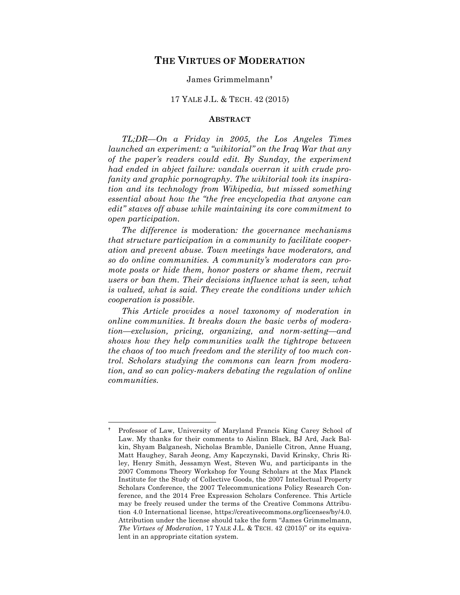# **THE VIRTUES OF MODERATION**

#### James Grimmelmann

## 17 YALE J.L. & TECH. 42 (2015)

## **ABSTRACT**

*TL;DR—On a Friday in 2005, the Los Angeles Times launched an experiment: a "wikitorial" on the Iraq War that any of the paper's readers could edit. By Sunday, the experiment had ended in abject failure: vandals overran it with crude profanity and graphic pornography. The wikitorial took its inspiration and its technology from Wikipedia, but missed something essential about how the "the free encyclopedia that anyone can edit" staves off abuse while maintaining its core commitment to open participation.*

*The difference is* moderation*: the governance mechanisms that structure participation in a community to facilitate cooperation and prevent abuse. Town meetings have moderators, and so do online communities. A community's moderators can promote posts or hide them, honor posters or shame them, recruit users or ban them. Their decisions influence what is seen, what is valued, what is said. They create the conditions under which cooperation is possible.*

*This Article provides a novel taxonomy of moderation in online communities. It breaks down the basic verbs of moderation—exclusion, pricing, organizing, and norm-setting—and shows how they help communities walk the tightrope between the chaos of too much freedom and the sterility of too much control. Scholars studying the commons can learn from moderation, and so can policy-makers debating the regulation of online communities.*

Professor of Law, University of Maryland Francis King Carey School of Law. My thanks for their comments to Aislinn Black, BJ Ard, Jack Balkin, Shyam Balganesh, Nicholas Bramble, Danielle Citron, Anne Huang, Matt Haughey, Sarah Jeong, Amy Kapczynski, David Krinsky, Chris Riley, Henry Smith, Jessamyn West, Steven Wu, and participants in the 2007 Commons Theory Workshop for Young Scholars at the Max Planck Institute for the Study of Collective Goods, the 2007 Intellectual Property Scholars Conference, the 2007 Telecommunications Policy Research Conference, and the 2014 Free Expression Scholars Conference. This Article may be freely reused under the terms of the Creative Commons Attribution 4.0 International license, https://creativecommons.org/licenses/by/4.0. Attribution under the license should take the form "James Grimmelmann, *The Virtues of Moderation*, 17 YALE J.L. & TECH. 42 (2015)" or its equivalent in an appropriate citation system.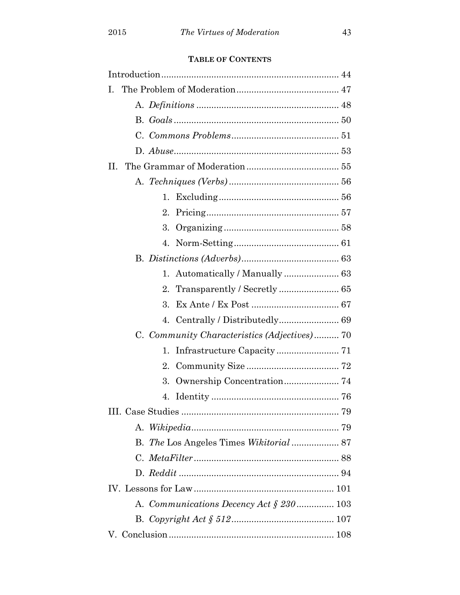# **TABLE OF CONTENTS**

| Ι.                                           |
|----------------------------------------------|
|                                              |
|                                              |
|                                              |
|                                              |
| П.                                           |
|                                              |
| 1.                                           |
| 2.                                           |
| 3.                                           |
| 4.                                           |
|                                              |
| 1.                                           |
| $2_{-}$                                      |
| 3.                                           |
| Centrally / Distributedly 69<br>4.           |
| C. Community Characteristics (Adjectives) 70 |
| 1.                                           |
| 2.                                           |
| 3.                                           |
| 4.                                           |
|                                              |
|                                              |
| B. The Los Angeles Times Wikitorial  87      |
|                                              |
|                                              |
|                                              |
| A. Communications Decency Act $\S 230$ 103   |
|                                              |
|                                              |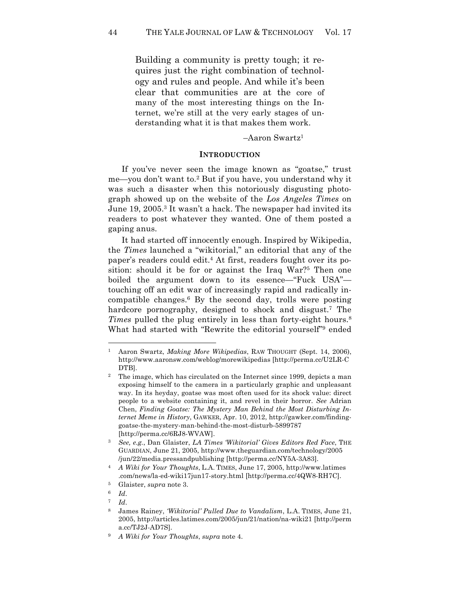Building a community is pretty tough; it requires just the right combination of technology and rules and people. And while it's been clear that communities are at the core of many of the most interesting things on the Internet, we're still at the very early stages of understanding what it is that makes them work.

 $-Aaron Swartz<sup>1</sup>$ 

#### **INTRODUCTION**

If you've never seen the image known as "goatse," trust me—you don't want to.2 But if you have, you understand why it was such a disaster when this notoriously disgusting photograph showed up on the website of the *Los Angeles Times* on June 19, 2005.3 It wasn't a hack. The newspaper had invited its readers to post whatever they wanted. One of them posted a gaping anus.

It had started off innocently enough. Inspired by Wikipedia, the *Times* launched a "wikitorial," an editorial that any of the paper's readers could edit.4 At first, readers fought over its position: should it be for or against the Iraq War?5 Then one boiled the argument down to its essence—"Fuck USA" touching off an edit war of increasingly rapid and radically incompatible changes.6 By the second day, trolls were posting hardcore pornography, designed to shock and disgust. <sup>7</sup> The *Times* pulled the plug entirely in less than forty-eight hours.<sup>8</sup> What had started with "Rewrite the editorial yourself"<sup>9</sup> ended

<sup>1</sup> Aaron Swartz, *Making More Wikipedias*, RAW THOUGHT (Sept. 14, 2006), http://www.aaronsw.com/weblog/morewikipedias [http://perma.cc/U2LR-C DTB].

<sup>&</sup>lt;sup>2</sup> The image, which has circulated on the Internet since 1999, depicts a man exposing himself to the camera in a particularly graphic and unpleasant way. In its heyday, goatse was most often used for its shock value: direct people to a website containing it, and revel in their horror. *See* Adrian Chen, *Finding Goatse: The Mystery Man Behind the Most Disturbing Internet Meme in History*, GAWKER, Apr. 10, 2012, http://gawker.com/findinggoatse-the-mystery-man-behind-the-most-disturb-5899787 [http://perma.cc/6RJ8-WVAW].

<sup>3</sup> *See, e.g.*, Dan Glaister, *LA Times 'Wikitorial' Gives Editors Red Face*, THE GUARDIAN, June 21, 2005, http://www.theguardian.com/technology/2005 /jun/22/media.pressandpublishing [http://perma.cc/NY5A-3A83].

<sup>4</sup> *A Wiki for Your Thoughts*, L.A. TIMES, June 17, 2005, http://www.latimes .com/news/la-ed-wiki17jun17-story.html [http://perma.cc/4QW8-RH7C].

<sup>5</sup> Glaister, *supra* note 3.

<sup>6</sup> *Id*.

<sup>7</sup> *Id*.

<sup>8</sup> James Rainey, *'Wikitorial' Pulled Due to Vandalism*, L.A. TIMES, June 21, 2005, http://articles.latimes.com/2005/jun/21/nation/na-wiki21 [http://perm a.cc/TJ2J-AD7S].

<sup>9</sup> *A Wiki for Your Thoughts*, *supra* note 4.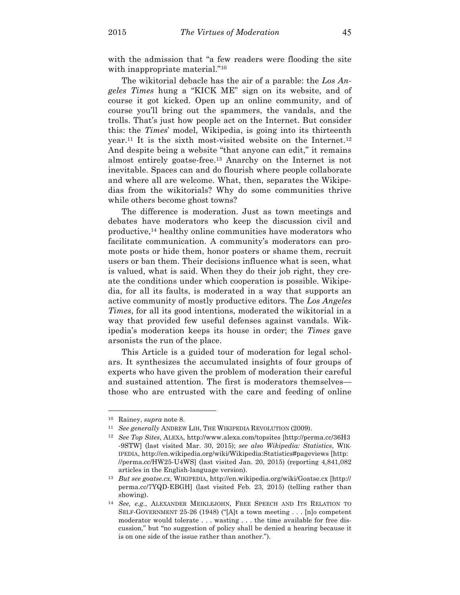with the admission that "a few readers were flooding the site with inappropriate material."<sup>10</sup>

The wikitorial debacle has the air of a parable: the *Los Angeles Times* hung a "KICK ME" sign on its website, and of course it got kicked. Open up an online community, and of course you'll bring out the spammers, the vandals, and the trolls. That's just how people act on the Internet. But consider this: the *Times*' model, Wikipedia, is going into its thirteenth year.<sup>11</sup> It is the sixth most-visited website on the Internet.<sup>12</sup> And despite being a website "that anyone can edit," it remains almost entirely goatse-free.13 Anarchy on the Internet is not inevitable. Spaces can and do flourish where people collaborate and where all are welcome. What, then, separates the Wikipedias from the wikitorials? Why do some communities thrive while others become ghost towns?

The difference is moderation. Just as town meetings and debates have moderators who keep the discussion civil and productive, $^{14}$  healthy online communities have moderators who facilitate communication. A community's moderators can promote posts or hide them, honor posters or shame them, recruit users or ban them. Their decisions influence what is seen, what is valued, what is said. When they do their job right, they create the conditions under which cooperation is possible. Wikipedia, for all its faults, is moderated in a way that supports an active community of mostly productive editors. The *Los Angeles Times*, for all its good intentions, moderated the wikitorial in a way that provided few useful defenses against vandals. Wikipedia's moderation keeps its house in order; the *Times* gave arsonists the run of the place.

This Article is a guided tour of moderation for legal scholars. It synthesizes the accumulated insights of four groups of experts who have given the problem of moderation their careful and sustained attention. The first is moderators themselves those who are entrusted with the care and feeding of online

<sup>10</sup> Rainey, *supra* note 8.

<sup>11</sup> *See generally* ANDREW LIH, THE WIKIPEDIA REVOLUTION (2009).

<sup>12</sup> *See Top Sites*, ALEXA, http://www.alexa.com/topsites [http://perma.cc/36H3 -9STW] (last visited Mar. 30, 2015); *see also Wikipedia: Statistics*, WIK-IPEDIA, http://en.wikipedia.org/wiki/Wikipedia:Statistics#pageviews [http: //perma.cc/HW25-U4WS] (last visited Jan. 20, 2015) (reporting 4,841,082 articles in the English-language version).

<sup>13</sup> *But see goatse.cx*, WIKIPEDIA, http://en.wikipedia.org/wiki/Goatse.cx [http:// perma.cc/7YQD-EBGH] (last visited Feb. 23, 2015) (telling rather than showing).

<sup>14</sup> *See, e.g.*, ALEXANDER MEIKLEJOHN, FREE SPEECH AND ITS RELATION TO SELF-GOVERNMENT 25-26 (1948) ("[A]t a town meeting . . . [n]o competent moderator would tolerate . . . wasting . . . the time available for free discussion," but "no suggestion of policy shall be denied a hearing because it is on one side of the issue rather than another.").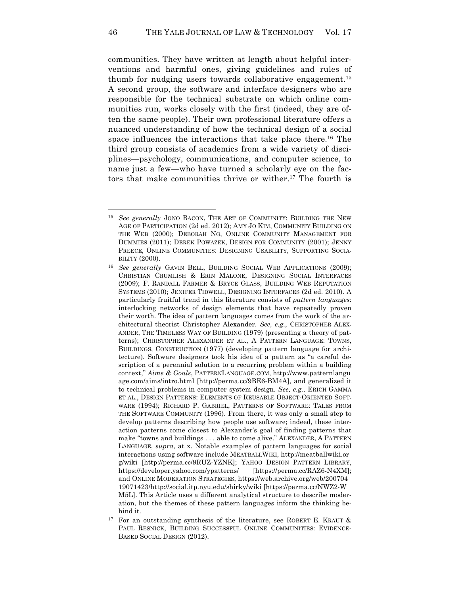communities. They have written at length about helpful interventions and harmful ones, giving guidelines and rules of thumb for nudging users towards collaborative engagement.15 A second group, the software and interface designers who are responsible for the technical substrate on which online communities run, works closely with the first (indeed, they are often the same people). Their own professional literature offers a nuanced understanding of how the technical design of a social space influences the interactions that take place there.<sup>16</sup> The third group consists of academics from a wide variety of disciplines—psychology, communications, and computer science, to name just a few—who have turned a scholarly eye on the factors that make communities thrive or wither.17 The fourth is

<sup>15</sup> *See generally* JONO BACON, THE ART OF COMMUNITY: BUILDING THE NEW AGE OF PARTICIPATION (2d ed. 2012); AMY JO KIM, COMMUNITY BUILDING ON THE WEB (2000); DEBORAH NG, ONLINE COMMUNITY MANAGEMENT FOR DUMMIES (2011); DEREK POWAZEK, DESIGN FOR COMMUNITY (2001); JENNY PREECE, ONLINE COMMUNITIES: DESIGNING USABILITY, SUPPORTING SOCIA-BILITY (2000).

<sup>16</sup> *See generally* GAVIN BELL, BUILDING SOCIAL WEB APPLICATIONS (2009); CHRISTIAN CRUMLISH & ERIN MALONE, DESIGNING SOCIAL INTERFACES (2009); F. RANDALL FARMER & BRYCE GLASS, BUILDING WEB REPUTATION SYSTEMS (2010); JENIFER TIDWELL, DESIGNING INTERFACES (2d ed. 2010). A particularly fruitful trend in this literature consists of *pattern languages*: interlocking networks of design elements that have repeatedly proven their worth. The idea of pattern languages comes from the work of the architectural theorist Christopher Alexander. *See, e.g.*, CHRISTOPHER ALEX-ANDER, THE TIMELESS WAY OF BUILDING (1979) (presenting a theory of patterns); CHRISTOPHER ALEXANDER ET AL., A PATTERN LANGUAGE: TOWNS, BUILDINGS, CONSTRUCTION (1977) (developing pattern language for architecture). Software designers took his idea of a pattern as "a careful description of a perennial solution to a recurring problem within a building context," *Aims & Goals*, PATTERNLANGUAGE.COM, http://www.patternlangu age.com/aims/intro.html [http://perma.cc/9BE6-BM4A], and generalized it to technical problems in computer system design. *See, e.g.*, ERICH GAMMA ET AL., DESIGN PATTERNS: ELEMENTS OF REUSABLE OBJECT-ORIENTED SOFT-WARE (1994); RICHARD P. GABRIEL, PATTERNS OF SOFTWARE: TALES FROM THE SOFTWARE COMMUNITY (1996). From there, it was only a small step to develop patterns describing how people use software; indeed, these interaction patterns come closest to Alexander's goal of finding patterns that make "towns and buildings . . . able to come alive." ALEXANDER, A PATTERN LANGUAGE, *supra*, at x. Notable examples of pattern languages for social interactions using software include MEATBALLWIKI, http://meatballwiki.or g/wiki [http://perma.cc/9RUZ-YZNK]; YAHOO DESIGN PATTERN LIBRARY, https://developer.yahoo.com/ypatterns/ [https://perma.cc/RAZ6-N4XM]; and ONLINE MODERATION STRATEGIES, https://web.archive.org/web/200704 19071423/http://social.itp.nyu.edu/shirky/wiki [https://perma.cc/NWZ2-W M5L]. This Article uses a different analytical structure to describe moderation, but the themes of these pattern languages inform the thinking behind it.

<sup>&</sup>lt;sup>17</sup> For an outstanding synthesis of the literature, see ROBERT E. KRAUT  $\&$ PAUL RESNICK, BUILDING SUCCESSFUL ONLINE COMMUNITIES: EVIDENCE-BASED SOCIAL DESIGN (2012).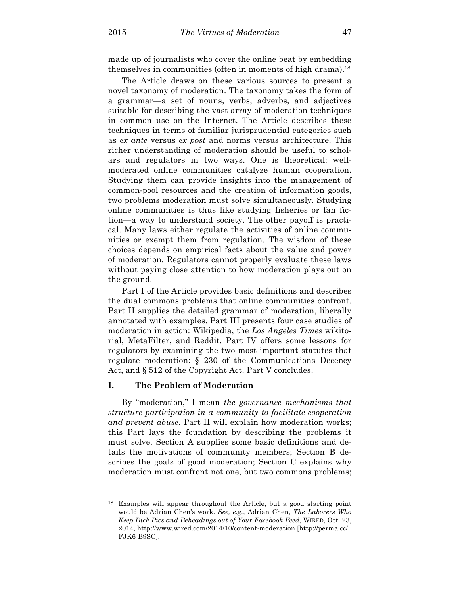made up of journalists who cover the online beat by embedding themselves in communities (often in moments of high drama).<sup>18</sup>

The Article draws on these various sources to present a novel taxonomy of moderation. The taxonomy takes the form of a grammar—a set of nouns, verbs, adverbs, and adjectives suitable for describing the vast array of moderation techniques in common use on the Internet. The Article describes these techniques in terms of familiar jurisprudential categories such as *ex ante* versus *ex post* and norms versus architecture. This richer understanding of moderation should be useful to scholars and regulators in two ways. One is theoretical: wellmoderated online communities catalyze human cooperation. Studying them can provide insights into the management of common-pool resources and the creation of information goods, two problems moderation must solve simultaneously. Studying online communities is thus like studying fisheries or fan fiction—a way to understand society. The other payoff is practical. Many laws either regulate the activities of online communities or exempt them from regulation. The wisdom of these choices depends on empirical facts about the value and power of moderation. Regulators cannot properly evaluate these laws without paying close attention to how moderation plays out on the ground.

Part I of the Article provides basic definitions and describes the dual commons problems that online communities confront. Part II supplies the detailed grammar of moderation, liberally annotated with examples. Part III presents four case studies of moderation in action: Wikipedia, the *Los Angeles Times* wikitorial, MetaFilter, and Reddit. Part IV offers some lessons for regulators by examining the two most important statutes that regulate moderation: § 230 of the Communications Decency Act, and § 512 of the Copyright Act. Part V concludes.

# **I. The Problem of Moderation**

 $\overline{a}$ 

By "moderation," I mean *the governance mechanisms that structure participation in a community to facilitate cooperation and prevent abuse*. Part II will explain how moderation works; this Part lays the foundation by describing the problems it must solve. Section A supplies some basic definitions and details the motivations of community members; Section B describes the goals of good moderation; Section C explains why moderation must confront not one, but two commons problems;

<sup>18</sup> Examples will appear throughout the Article, but a good starting point would be Adrian Chen's work. *See, e.g.*, Adrian Chen, *The Laborers Who Keep Dick Pics and Beheadings out of Your Facebook Feed*, WIRED, Oct. 23, 2014, http://www.wired.com/2014/10/content-moderation [http://perma.cc/ FJK6-B9SC].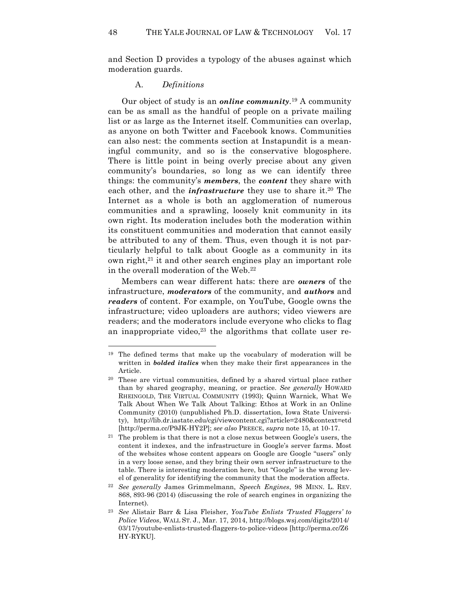and Section D provides a typology of the abuses against which moderation guards.

#### A. *Definitions*

Our object of study is an *online community*.19 A community can be as small as the handful of people on a private mailing list or as large as the Internet itself. Communities can overlap, as anyone on both Twitter and Facebook knows. Communities can also nest: the comments section at Instapundit is a meaningful community, and so is the conservative blogosphere. There is little point in being overly precise about any given community's boundaries, so long as we can identify three things: the community's *members*, the *content* they share with each other, and the *infrastructure* they use to share it.<sup>20</sup> The Internet as a whole is both an agglomeration of numerous communities and a sprawling, loosely knit community in its own right. Its moderation includes both the moderation within its constituent communities and moderation that cannot easily be attributed to any of them. Thus, even though it is not particularly helpful to talk about Google as a community in its own right, $21$  it and other search engines play an important role in the overall moderation of the Web.22

Members can wear different hats: there are *owners* of the infrastructure, *moderators* of the community, and *authors* and *readers* of content. For example, on YouTube, Google owns the infrastructure; video uploaders are authors; video viewers are readers; and the moderators include everyone who clicks to flag an inappropriate video,<sup>23</sup> the algorithms that collate user re-

<sup>&</sup>lt;sup>19</sup> The defined terms that make up the vocabulary of moderation will be written in *bolded italics* when they make their first appearances in the Article.

<sup>20</sup> These are virtual communities, defined by a shared virtual place rather than by shared geography, meaning, or practice. *See generally* HOWARD RHEINGOLD, THE VIRTUAL COMMUNITY (1993); Quinn Warnick, What We Talk About When We Talk About Talking: Ethos at Work in an Online Community (2010) (unpublished Ph.D. dissertation, Iowa State University), http://lib.dr.iastate.edu/cgi/viewcontent.cgi?article=2480&context=etd [http://perma.cc/P9JK-HY2P]; *see also* PREECE, *supra* note 15, at 10-17.

<sup>21</sup> The problem is that there is not a close nexus between Google's users, the content it indexes, and the infrastructure in Google's server farms. Most of the websites whose content appears on Google are Google "users" only in a very loose sense, and they bring their own server infrastructure to the table. There is interesting moderation here, but "Google" is the wrong level of generality for identifying the community that the moderation affects.

<sup>22</sup> *See generally* James Grimmelmann, *Speech Engines*, 98 MINN. L. REV. 868, 893-96 (2014) (discussing the role of search engines in organizing the Internet).

<sup>23</sup> *See* Alistair Barr & Lisa Fleisher, *YouTube Enlists 'Trusted Flaggers' to Police Videos*, WALL ST. J., Mar. 17, 2014, http://blogs.wsj.com/digits/2014/ 03/17/youtube-enlists-trusted-flaggers-to-police-videos [http://perma.cc/Z6 HY-RYKU].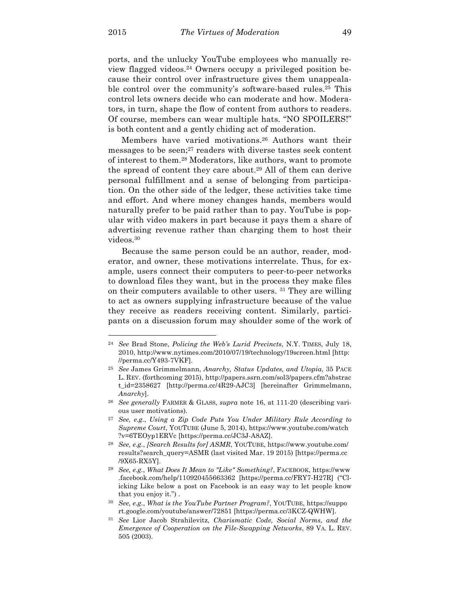ports, and the unlucky YouTube employees who manually review flagged videos.24 Owners occupy a privileged position because their control over infrastructure gives them unappealable control over the community's software-based rules.<sup>25</sup> This control lets owners decide who can moderate and how. Moderators, in turn, shape the flow of content from authors to readers. Of course, members can wear multiple hats. "NO SPOILERS!" is both content and a gently chiding act of moderation.

Members have varied motivations.26 Authors want their messages to be seen; $27$  readers with diverse tastes seek content of interest to them.28 Moderators, like authors, want to promote the spread of content they care about.<sup>29</sup> All of them can derive personal fulfillment and a sense of belonging from participation. On the other side of the ledger, these activities take time and effort. And where money changes hands, members would naturally prefer to be paid rather than to pay. YouTube is popular with video makers in part because it pays them a share of advertising revenue rather than charging them to host their videos.30

Because the same person could be an author, reader, moderator, and owner, these motivations interrelate. Thus, for example, users connect their computers to peer-to-peer networks to download files they want, but in the process they make files on their computers available to other users. 31 They are willing to act as owners supplying infrastructure because of the value they receive as readers receiving content. Similarly, participants on a discussion forum may shoulder some of the work of

<sup>24</sup> *See* Brad Stone, *Policing the Web's Lurid Precincts*, N.Y. TIMES, July 18, 2010, http://www.nytimes.com/2010/07/19/technology/19screen.html [http: //perma.cc/Y493-7VKF].

<sup>25</sup> *See* James Grimmelmann, *Anarchy, Status Updates, and Utopia*, 35 PACE L. REV. (forthcoming 2015), http://papers.ssrn.com/sol3/papers.cfm?abstrac t\_id=2358627 [http://perma.cc/4R29-AJC3] [hereinafter Grimmelmann, *Anarchy*].

<sup>26</sup> *See generally* FARMER & GLASS, *supra* note 16, at 111-20 (describing various user motivations).

<sup>27</sup> *See, e.g.*, *Using a Zip Code Puts You Under Military Rule According to Supreme Court*, YOUTUBE (June 5, 2014), https://www.youtube.com/watch ?v=6TEOyp1ERVc [https://perma.cc/JC3J-A8AZ].

<sup>28</sup> *See, e.g.*, *[Search Results for] ASMR*, YOUTUBE, https://www.youtube.com/ results?search\_query=ASMR (last visited Mar. 19 2015) [https://perma.cc /9X65-RX5Y].

<sup>29</sup> *See, e.g.*, *What Does It Mean to "Like" Something?*, FACEBOOK, https://www .facebook.com/help/110920455663362 [https://perma.cc/FRY7-H27R] ("Clicking Like below a post on Facebook is an easy way to let people know that you enjoy it.") .

<sup>30</sup> *See, e.g.*, *What is the YouTube Partner Program?*, YOUTUBE, https://suppo rt.google.com/youtube/answer/72851 [https://perma.cc/3KCZ-QWHW].

<sup>31</sup> *See* Lior Jacob Strahilevitz, *Charismatic Code, Social Norms, and the Emergence of Cooperation on the File-Swapping Networks*, 89 VA. L. REV. 505 (2003).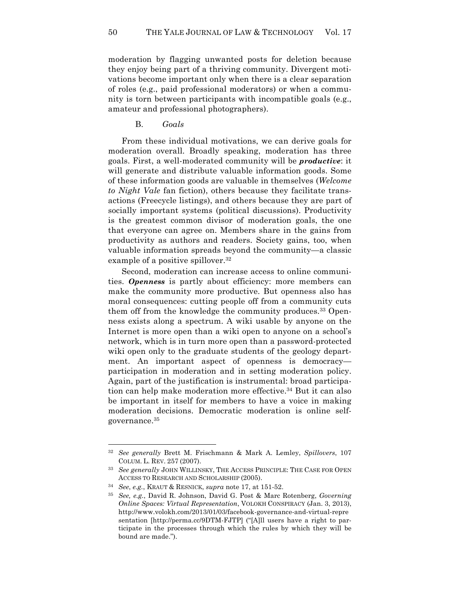moderation by flagging unwanted posts for deletion because they enjoy being part of a thriving community. Divergent motivations become important only when there is a clear separation of roles (e.g., paid professional moderators) or when a community is torn between participants with incompatible goals (e.g., amateur and professional photographers).

B. *Goals*

From these individual motivations, we can derive goals for moderation overall. Broadly speaking, moderation has three goals. First, a well-moderated community will be *productive*: it will generate and distribute valuable information goods. Some of these information goods are valuable in themselves (*Welcome to Night Vale* fan fiction), others because they facilitate transactions (Freecycle listings), and others because they are part of socially important systems (political discussions). Productivity is the greatest common divisor of moderation goals, the one that everyone can agree on. Members share in the gains from productivity as authors and readers. Society gains, too, when valuable information spreads beyond the community—a classic example of a positive spillover.<sup>32</sup>

Second, moderation can increase access to online communities. *Openness* is partly about efficiency: more members can make the community more productive. But openness also has moral consequences: cutting people off from a community cuts them off from the knowledge the community produces.33 Openness exists along a spectrum. A wiki usable by anyone on the Internet is more open than a wiki open to anyone on a school's network, which is in turn more open than a password-protected wiki open only to the graduate students of the geology department. An important aspect of openness is democracy participation in moderation and in setting moderation policy. Again, part of the justification is instrumental: broad participation can help make moderation more effective.34 But it can also be important in itself for members to have a voice in making moderation decisions. Democratic moderation is online selfgovernance.35

<sup>32</sup> *See generally* Brett M. Frischmann & Mark A. Lemley, *Spillovers*, 107 COLUM. L. REV. 257 (2007).

<sup>33</sup> *See generally* JOHN WILLINSKY, THE ACCESS PRINCIPLE: THE CASE FOR OPEN ACCESS TO RESEARCH AND SCHOLARSHIP (2005).

<sup>34</sup> *See*, *e.g.*, KRAUT & RESNICK, *supra* note 17, at 151-52.

<sup>35</sup> *See, e.g.*, David R. Johnson, David G. Post & Marc Rotenberg, *Governing Online Spaces: Virtual Representation*, VOLOKH CONSPIRACY (Jan. 3, 2013), http://www.volokh.com/2013/01/03/facebook-governance-and-virtual-repre sentation [http://perma.cc/9DTM-FJTP] ("[A]ll users have a right to participate in the processes through which the rules by which they will be bound are made.").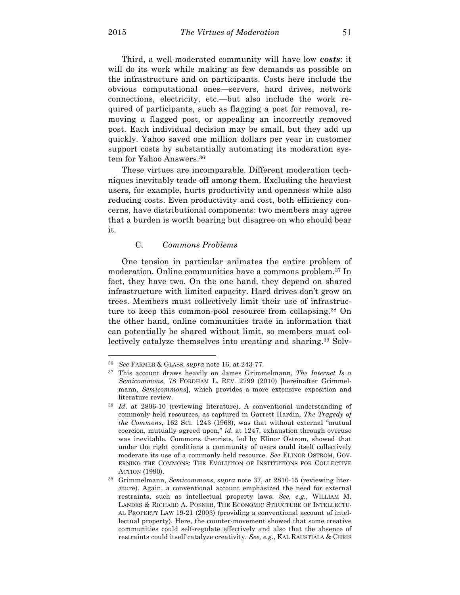Third, a well-moderated community will have low *costs*: it will do its work while making as few demands as possible on the infrastructure and on participants. Costs here include the obvious computational ones—servers, hard drives, network connections, electricity, etc.—but also include the work required of participants, such as flagging a post for removal, removing a flagged post, or appealing an incorrectly removed post. Each individual decision may be small, but they add up quickly. Yahoo saved one million dollars per year in customer support costs by substantially automating its moderation system for Yahoo Answers.<sup>36</sup>

These virtues are incomparable. Different moderation techniques inevitably trade off among them. Excluding the heaviest users, for example, hurts productivity and openness while also reducing costs. Even productivity and cost, both efficiency concerns, have distributional components: two members may agree that a burden is worth bearing but disagree on who should bear it.

## C. *Commons Problems*

One tension in particular animates the entire problem of moderation. Online communities have a commons problem.37 In fact, they have two. On the one hand, they depend on shared infrastructure with limited capacity. Hard drives don't grow on trees. Members must collectively limit their use of infrastructure to keep this common-pool resource from collapsing.<sup>38</sup> On the other hand, online communities trade in information that can potentially be shared without limit, so members must collectively catalyze themselves into creating and sharing.39 Solv-

<sup>36</sup> *See* FARMER & GLASS, *supra* note 16, at 243-77.

<sup>37</sup> This account draws heavily on James Grimmelmann, *The Internet Is a Semicommons*, 78 FORDHAM L. REV. 2799 (2010) [hereinafter Grimmelmann, *Semicommons*], which provides a more extensive exposition and literature review.

<sup>38</sup> *Id*. at 2806-10 (reviewing literature). A conventional understanding of commonly held resources, as captured in Garrett Hardin, *The Tragedy of the Commons*, 162 SCI. 1243 (1968), was that without external "mutual coercion, mutually agreed upon," *id.* at 1247, exhaustion through overuse was inevitable. Commons theorists, led by Elinor Ostrom, showed that under the right conditions a community of users could itself collectively moderate its use of a commonly held resource. *See* ELINOR OSTROM, GOV-ERNING THE COMMONS: THE EVOLUTION OF INSTITUTIONS FOR COLLECTIVE ACTION (1990).

<sup>39</sup> Grimmelmann, *Semicommons*, *supra* note 37, at 2810-15 (reviewing literature). Again, a conventional account emphasized the need for external restraints, such as intellectual property laws. *See, e.g.*, WILLIAM M. LANDES & RICHARD A. POSNER, THE ECONOMIC STRUCTURE OF INTELLECTU-AL PROPERTY LAW 19-21 (2003) (providing a conventional account of intellectual property). Here, the counter-movement showed that some creative communities could self-regulate effectively and also that the absence of restraints could itself catalyze creativity. *See, e.g.*, KAL RAUSTIALA & CHRIS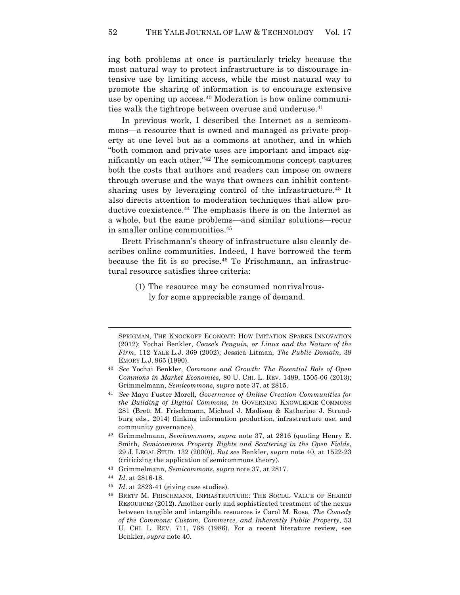ing both problems at once is particularly tricky because the most natural way to protect infrastructure is to discourage intensive use by limiting access, while the most natural way to promote the sharing of information is to encourage extensive use by opening up access.40 Moderation is how online communities walk the tightrope between overuse and underuse.<sup>41</sup>

In previous work, I described the Internet as a semicommons—a resource that is owned and managed as private property at one level but as a commons at another, and in which "both common and private uses are important and impact significantly on each other."42 The semicommons concept captures both the costs that authors and readers can impose on owners through overuse and the ways that owners can inhibit contentsharing uses by leveraging control of the infrastructure.<sup>43</sup> It also directs attention to moderation techniques that allow productive coexistence.<sup>44</sup> The emphasis there is on the Internet as a whole, but the same problems—and similar solutions—recur in smaller online communities.45

Brett Frischmann's theory of infrastructure also cleanly describes online communities. Indeed, I have borrowed the term because the fit is so precise.<sup>46</sup> To Frischmann, an infrastructural resource satisfies three criteria:

> (1) The resource may be consumed nonrivalrously for some appreciable range of demand.

<sup>43</sup> Grimmelmann, *Semicommons*, *supra* note 37, at 2817.

 $\overline{a}$ 

<sup>45</sup> *Id*. at 2823-41 (giving case studies).

SPRIGMAN, THE KNOCKOFF ECONOMY: HOW IMITATION SPARKS INNOVATION (2012); Yochai Benkler, *Coase's Penguin, or Linux and the Nature of the Firm*, 112 YALE L.J. 369 (2002); Jessica Litman, *The Public Domain*, 39 EMORY L.J. 965 (1990).

<sup>40</sup> *See* Yochai Benkler, *Commons and Growth: The Essential Role of Open Commons in Market Economies*, 80 U. CHI. L. REV. 1499, 1505-06 (2013); Grimmelmann, *Semicommons*, *supra* note 37, at 2815.

<sup>41</sup> *See* Mayo Fuster Morell, *Governance of Online Creation Communities for the Building of Digital Commons*, *in* GOVERNING KNOWLEDGE COMMONS 281 (Brett M. Frischmann, Michael J. Madison & Katherine J. Strandburg eds., 2014) (linking information production, infrastructure use, and community governance).

<sup>42</sup> Grimmelmann, *Semicommons*, *supra* note 37, at 2816 (quoting Henry E. Smith, *Semicommon Property Rights and Scattering in the Open Fields*, 29 J. LEGAL STUD. 132 (2000)). *But see* Benkler, *supra* note 40, at 1522-23 (criticizing the application of semicommons theory).

<sup>44</sup> *Id*. at 2816-18.

<sup>46</sup> BRETT M. FRISCHMANN, INFRASTRUCTURE: THE SOCIAL VALUE OF SHARED RESOURCES (2012). Another early and sophisticated treatment of the nexus between tangible and intangible resources is Carol M. Rose, *The Comedy of the Commons: Custom, Commerce, and Inherently Public Property*, 53 U. CHI. L. REV. 711, 768 (1986). For a recent literature review, see Benkler, *supra* note 40.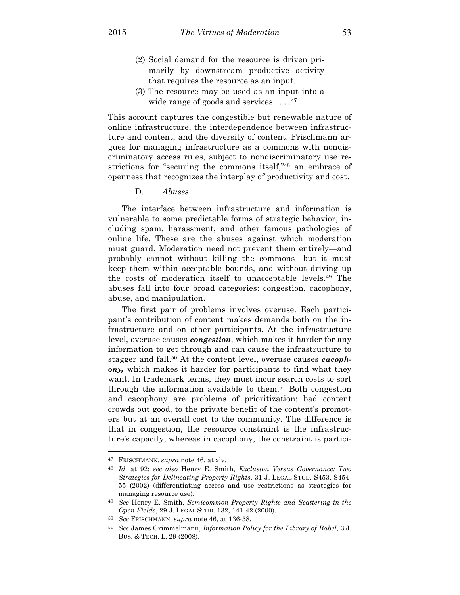- (2) Social demand for the resource is driven primarily by downstream productive activity that requires the resource as an input.
- (3) The resource may be used as an input into a wide range of goods and services . . . .<sup>47</sup>

This account captures the congestible but renewable nature of online infrastructure, the interdependence between infrastructure and content, and the diversity of content. Frischmann argues for managing infrastructure as a commons with nondiscriminatory access rules, subject to nondiscriminatory use restrictions for "securing the commons itself,"<sup>48</sup> an embrace of openness that recognizes the interplay of productivity and cost.

#### D. *Abuses*

The interface between infrastructure and information is vulnerable to some predictable forms of strategic behavior, including spam, harassment, and other famous pathologies of online life. These are the abuses against which moderation must guard. Moderation need not prevent them entirely—and probably cannot without killing the commons—but it must keep them within acceptable bounds, and without driving up the costs of moderation itself to unacceptable levels.49 The abuses fall into four broad categories: congestion, cacophony, abuse, and manipulation.

The first pair of problems involves overuse. Each participant's contribution of content makes demands both on the infrastructure and on other participants. At the infrastructure level, overuse causes *congestion*, which makes it harder for any information to get through and can cause the infrastructure to stagger and fall.50 At the content level, overuse causes *cacophony,* which makes it harder for participants to find what they want. In trademark terms, they must incur search costs to sort through the information available to them.<sup>51</sup> Both congestion and cacophony are problems of prioritization: bad content crowds out good, to the private benefit of the content's promoters but at an overall cost to the community. The difference is that in congestion, the resource constraint is the infrastructure's capacity, whereas in cacophony, the constraint is partici-

<sup>47</sup> FRISCHMANN, *supra* note 46, at xiv.

<sup>48</sup> *Id.* at 92; *see also* Henry E. Smith, *Exclusion Versus Governance: Two Strategies for Delineating Property Rights*, 31 J. LEGAL STUD. S453, S454- 55 (2002) (differentiating access and use restrictions as strategies for managing resource use).

<sup>49</sup> *See* Henry E. Smith, *Semicommon Property Rights and Scattering in the Open Fields*, 29 J. LEGAL STUD. 132, 141-42 (2000).

<sup>50</sup> *See* FRISCHMANN, *supra* note 46, at 136-58.

<sup>51</sup> *See* James Grimmelmann, *Information Policy for the Library of Babel*, 3 J. BUS. & TECH. L. 29 (2008).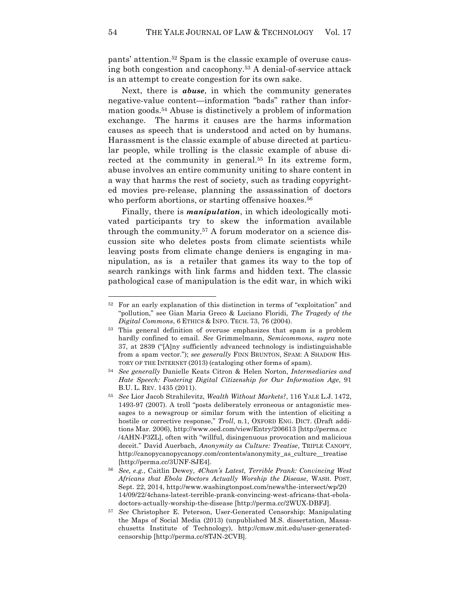pants' attention.52 Spam is the classic example of overuse causing both congestion and cacophony.53 A denial-of-service attack is an attempt to create congestion for its own sake.

Next, there is *abuse*, in which the community generates negative-value content—information "bads" rather than information goods.54 Abuse is distinctively a problem of information exchange. The harms it causes are the harms information causes as speech that is understood and acted on by humans. Harassment is the classic example of abuse directed at particular people, while trolling is the classic example of abuse directed at the community in general.<sup>55</sup> In its extreme form, abuse involves an entire community uniting to share content in a way that harms the rest of society, such as trading copyrighted movies pre-release, planning the assassination of doctors who perform abortions, or starting offensive hoaxes.<sup>56</sup>

Finally, there is *manipulation*, in which ideologically motivated participants try to skew the information available through the community.57 A forum moderator on a science discussion site who deletes posts from climate scientists while leaving posts from climate change deniers is engaging in manipulation, as is a retailer that games its way to the top of search rankings with link farms and hidden text. The classic pathological case of manipulation is the edit war, in which wiki

<sup>52</sup> For an early explanation of this distinction in terms of "exploitation" and "pollution," see Gian Maria Greco & Luciano Floridi, *The Tragedy of the Digital Commons*, 6 ETHICS & INFO. TECH. 73, 76 (2004).

<sup>53</sup> This general definition of overuse emphasizes that spam is a problem hardly confined to email. *See* Grimmelmann, *Semicommons*, *supra* note 37, at 2839 ("[A]ny sufficiently advanced technology is indistinguishable from a spam vector."); *see generally* FINN BRUNTON, SPAM: A SHADOW HIS-TORY OF THE INTERNET (2013) (cataloging other forms of spam).

<sup>54</sup> *See generally* Danielle Keats Citron & Helen Norton, *Intermediaries and Hate Speech: Fostering Digital Citizenship for Our Information Age*, 91 B.U. L. REV. 1435 (2011).

<sup>55</sup> *See* Lior Jacob Strahilevitz, *Wealth Without Markets?*, 116 YALE L.J. 1472, 1493-97 (2007). A troll "posts deliberately erroneous or antagonistic messages to a newsgroup or similar forum with the intention of eliciting a hostile or corrective response," *Troll*, n.1, OXFORD ENG. DICT. (Draft additions Mar. 2006), http://www.oed.com/view/Entry/206613 [http://perma.cc /4AHN-P3ZL], often with "willful, disingenuous provocation and malicious deceit." David Auerbach, *Anonymity as Culture: Treatise*, TRIPLE CANOPY, http://canopycanopycanopy.com/contents/anonymity\_as\_culture\_\_treatise [http://perma.cc/3UNF-SJE4].

<sup>56</sup> *See, e.g.*, Caitlin Dewey, *4Chan's Latest, Terrible Prank: Convincing West Africans that Ebola Doctors Actually Worship the Disease*, WASH. POST, Sept. 22, 2014, http://www.washingtonpost.com/news/the-intersect/wp/20 14/09/22/4chans-latest-terrible-prank-convincing-west-africans-that-eboladoctors-actually-worship-the-disease [http://perma.cc/2WUX-DBFJ].

<sup>57</sup> *See* Christopher E. Peterson, User-Generated Censorship: Manipulating the Maps of Social Media (2013) (unpublished M.S. dissertation, Massachusetts Institute of Technology), http://cmsw.mit.edu/user-generatedcensorship [http://perma.cc/8TJN-2CVB]*.*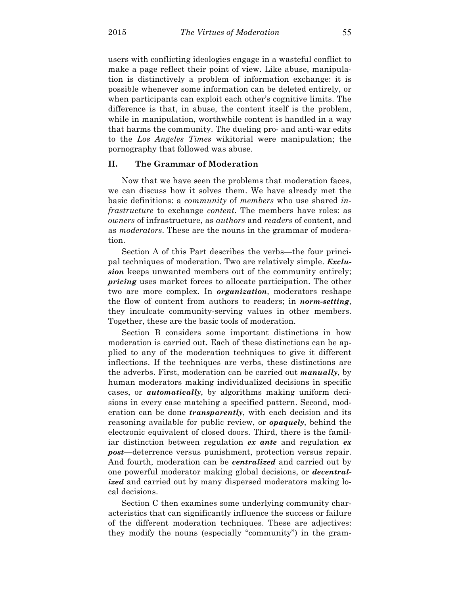users with conflicting ideologies engage in a wasteful conflict to make a page reflect their point of view. Like abuse, manipulation is distinctively a problem of information exchange: it is possible whenever some information can be deleted entirely, or when participants can exploit each other's cognitive limits. The difference is that, in abuse, the content itself is the problem, while in manipulation, worthwhile content is handled in a way that harms the community. The dueling pro- and anti-war edits to the *Los Angeles Times* wikitorial were manipulation; the pornography that followed was abuse.

# **II. The Grammar of Moderation**

Now that we have seen the problems that moderation faces, we can discuss how it solves them. We have already met the basic definitions: a *community* of *members* who use shared *infrastructure* to exchange *content*. The members have roles: as *owners* of infrastructure, as *authors* and *readers* of content, and as *moderators*. These are the nouns in the grammar of moderation.

Section A of this Part describes the verbs—the four principal techniques of moderation. Two are relatively simple. *Exclusion* keeps unwanted members out of the community entirely; *pricing* uses market forces to allocate participation. The other two are more complex. In *organization*, moderators reshape the flow of content from authors to readers; in *norm-setting*, they inculcate community-serving values in other members. Together, these are the basic tools of moderation.

Section B considers some important distinctions in how moderation is carried out. Each of these distinctions can be applied to any of the moderation techniques to give it different inflections. If the techniques are verbs, these distinctions are the adverbs. First, moderation can be carried out *manually*, by human moderators making individualized decisions in specific cases, or *automatically*, by algorithms making uniform decisions in every case matching a specified pattern. Second, moderation can be done *transparently*, with each decision and its reasoning available for public review, or *opaquely*, behind the electronic equivalent of closed doors. Third, there is the familiar distinction between regulation *ex ante* and regulation *ex post*—deterrence versus punishment, protection versus repair. And fourth, moderation can be *centralized* and carried out by one powerful moderator making global decisions, or *decentralized* and carried out by many dispersed moderators making local decisions.

Section C then examines some underlying community characteristics that can significantly influence the success or failure of the different moderation techniques. These are adjectives: they modify the nouns (especially "community") in the gram-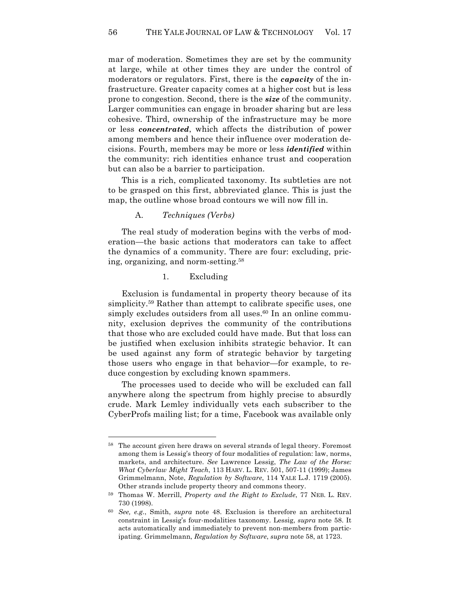mar of moderation. Sometimes they are set by the community at large, while at other times they are under the control of moderators or regulators. First, there is the *capacity* of the infrastructure. Greater capacity comes at a higher cost but is less prone to congestion. Second, there is the *size* of the community. Larger communities can engage in broader sharing but are less cohesive. Third, ownership of the infrastructure may be more or less *concentrated*, which affects the distribution of power among members and hence their influence over moderation decisions. Fourth, members may be more or less *identified* within the community: rich identities enhance trust and cooperation but can also be a barrier to participation.

This is a rich, complicated taxonomy. Its subtleties are not to be grasped on this first, abbreviated glance. This is just the map, the outline whose broad contours we will now fill in.

# A. *Techniques (Verbs)*

The real study of moderation begins with the verbs of moderation—the basic actions that moderators can take to affect the dynamics of a community. There are four: excluding, pricing, organizing, and norm-setting.58

# 1. Excluding

Exclusion is fundamental in property theory because of its simplicity.59 Rather than attempt to calibrate specific uses, one simply excludes outsiders from all uses.<sup>60</sup> In an online community, exclusion deprives the community of the contributions that those who are excluded could have made. But that loss can be justified when exclusion inhibits strategic behavior. It can be used against any form of strategic behavior by targeting those users who engage in that behavior—for example, to reduce congestion by excluding known spammers.

The processes used to decide who will be excluded can fall anywhere along the spectrum from highly precise to absurdly crude. Mark Lemley individually vets each subscriber to the CyberProfs mailing list; for a time, Facebook was available only

<sup>&</sup>lt;sup>58</sup> The account given here draws on several strands of legal theory. Foremost among them is Lessig's theory of four modalities of regulation: law, norms, markets, and architecture. *See* Lawrence Lessig, *The Law of the Horse: What Cyberlaw Might Teach*, 113 HARV. L. REV. 501, 507-11 (1999); James Grimmelmann, Note, *Regulation by Software*, 114 YALE L.J. 1719 (2005). Other strands include property theory and commons theory.

<sup>59</sup> Thomas W. Merrill, *Property and the Right to Exclude*, 77 NEB. L. REV. 730 (1998).

<sup>60</sup> *See, e.g.*, Smith, *supra* note 48. Exclusion is therefore an architectural constraint in Lessig's four-modalities taxonomy. Lessig, *supra* note 58. It acts automatically and immediately to prevent non-members from participating. Grimmelmann, *Regulation by Software*, *supra* note 58, at 1723.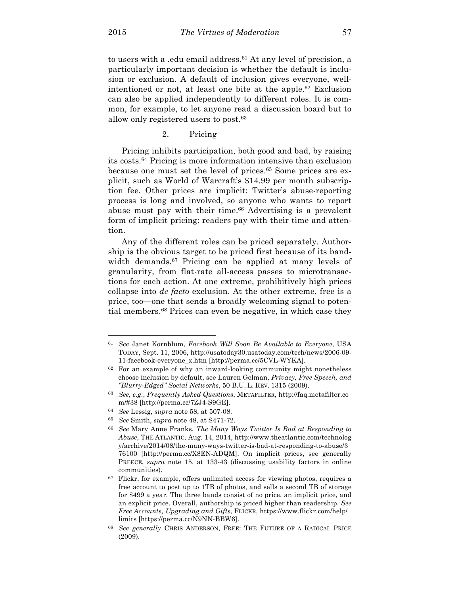$\overline{a}$ 

to users with a .edu email address.<sup>61</sup> At any level of precision, a particularly important decision is whether the default is inclusion or exclusion. A default of inclusion gives everyone, wellintentioned or not, at least one bite at the apple.62 Exclusion can also be applied independently to different roles. It is common, for example, to let anyone read a discussion board but to allow only registered users to post.63

## 2. Pricing

Pricing inhibits participation, both good and bad, by raising its costs.64 Pricing is more information intensive than exclusion because one must set the level of prices.65 Some prices are explicit, such as World of Warcraft's \$14.99 per month subscription fee. Other prices are implicit: Twitter's abuse-reporting process is long and involved, so anyone who wants to report abuse must pay with their time.<sup>66</sup> Advertising is a prevalent form of implicit pricing: readers pay with their time and attention.

Any of the different roles can be priced separately. Authorship is the obvious target to be priced first because of its bandwidth demands.<sup>67</sup> Pricing can be applied at many levels of granularity, from flat-rate all-access passes to microtransactions for each action. At one extreme, prohibitively high prices collapse into *de facto* exclusion. At the other extreme, free is a price, too—one that sends a broadly welcoming signal to potential members.68 Prices can even be negative, in which case they

<sup>61</sup> *See* Janet Kornblum, *Facebook Will Soon Be Available to Everyone*, USA TODAY, Sept. 11, 2006, http://usatoday30.usatoday.com/tech/news/2006-09- 11-facebook-everyone\_x.htm [http://perma.cc/5CVL-WYKA].

<sup>62</sup> For an example of why an inward-looking community might nonetheless choose inclusion by default, see Lauren Gelman, *Privacy, Free Speech, and "Blurry-Edged" Social Networks*, 50 B.U. L. REV. 1315 (2009).

<sup>63</sup> *See, e.g.*, *Frequently Asked Questions*, METAFILTER, http://faq.metafilter.co m/#38 [http://perma.cc/7ZJ4-S9GE].

<sup>64</sup> *See* Lessig, *supra* note 58, at 507-08.

<sup>65</sup> *See* Smith, *supra* note 48, at S471-72.

<sup>66</sup> *See* Mary Anne Franks, *The Many Ways Twitter Is Bad at Responding to Abuse*, THE ATLANTIC, Aug. 14, 2014, http://www.theatlantic.com/technolog y/archive/2014/08/the-many-ways-twitter-is-bad-at-responding-to-abuse/3 76100 [http://perma.cc/X8EN-ADQM]. On implicit prices, see generally PREECE, *supra* note 15, at 133-43 (discussing usability factors in online communities).

<sup>&</sup>lt;sup>67</sup> Flickr, for example, offers unlimited access for viewing photos, requires a free account to post up to 1TB of photos, and sells a second TB of storage for \$499 a year. The three bands consist of no price, an implicit price, and an explicit price. Overall, authorship is priced higher than readership. *See Free Accounts, Upgrading and Gifts*, FLICKR, https://www.flickr.com/help/ limits [https://perma.cc/N9NN-BBW6].

<sup>68</sup> *See generally* CHRIS ANDERSON, FREE: THE FUTURE OF A RADICAL PRICE (2009).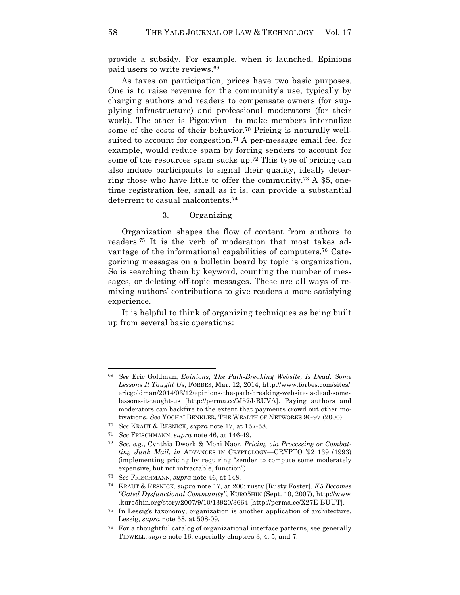provide a subsidy. For example, when it launched, Epinions paid users to write reviews.69

As taxes on participation, prices have two basic purposes. One is to raise revenue for the community's use, typically by charging authors and readers to compensate owners (for supplying infrastructure) and professional moderators (for their work). The other is Pigouvian—to make members internalize some of the costs of their behavior.<sup>70</sup> Pricing is naturally wellsuited to account for congestion.<sup>71</sup> A per-message email fee, for example, would reduce spam by forcing senders to account for some of the resources spam sucks up.<sup>72</sup> This type of pricing can also induce participants to signal their quality, ideally deterring those who have little to offer the community.73 A \$5, onetime registration fee, small as it is, can provide a substantial deterrent to casual malcontents.74

# 3. Organizing

Organization shapes the flow of content from authors to readers.75 It is the verb of moderation that most takes advantage of the informational capabilities of computers.<sup>76</sup> Categorizing messages on a bulletin board by topic is organization. So is searching them by keyword, counting the number of messages, or deleting off-topic messages. These are all ways of remixing authors' contributions to give readers a more satisfying experience.

It is helpful to think of organizing techniques as being built up from several basic operations:

<sup>69</sup> *See* Eric Goldman, *Epinions, The Path-Breaking Website, Is Dead. Some Lessons It Taught Us*, FORBES, Mar. 12, 2014, http://www.forbes.com/sites/ ericgoldman/2014/03/12/epinions-the-path-breaking-website-is-dead-somelessons-it-taught-us [http://perma.cc/M57J-RUVA]. Paying authors and moderators can backfire to the extent that payments crowd out other motivations. *See* YOCHAI BENKLER, THE WEALTH OF NETWORKS 96-97 (2006).

<sup>70</sup> *See* KRAUT & RESNICK, *supra* note 17, at 157-58.

<sup>71</sup> *See* FRISCHMANN, *supra* note 46, at 146-49.

<sup>72</sup> *See, e.g.*, Cynthia Dwork & Moni Naor, *Pricing via Processing or Combatting Junk Mail*, *in* ADVANCES IN CRYPTOLOGY—CRYPTO '92 139 (1993) (implementing pricing by requiring "sender to compute some moderately expensive, but not intractable, function").

<sup>73</sup> S*ee* FRISCHMANN, *supra* note 46, at 148.

<sup>74</sup> KRAUT & RESNICK, *supra* note 17, at 200; rusty [Rusty Foster], *K5 Becomes "Gated Dysfunctional Community"*, KURO5HIN (Sept. 10, 2007), http://www .kuro5hin.org/story/2007/9/10/13920/3664 [http://perma.cc/X27E-BUUT].

<sup>75</sup> In Lessig's taxonomy, organization is another application of architecture. Lessig, *supra* note 58, at 508-09.

<sup>76</sup> For a thoughtful catalog of organizational interface patterns, see generally TIDWELL, *supra* note 16, especially chapters 3, 4, 5, and 7.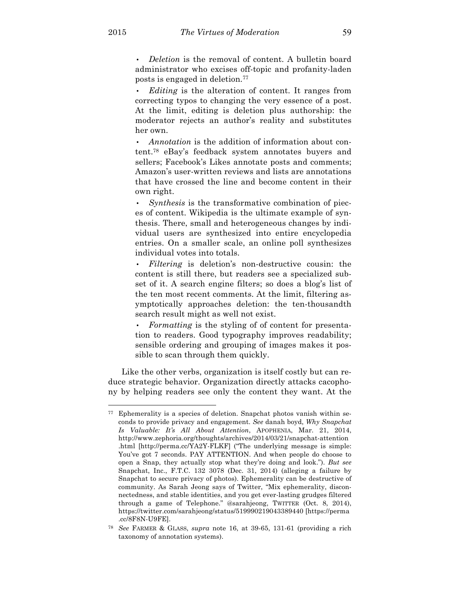• *Deletion* is the removal of content. A bulletin board administrator who excises off-topic and profanity-laden posts is engaged in deletion.77

• *Editing* is the alteration of content. It ranges from correcting typos to changing the very essence of a post. At the limit, editing is deletion plus authorship: the moderator rejects an author's reality and substitutes her own.

• *Annotation* is the addition of information about content.78 eBay's feedback system annotates buyers and sellers; Facebook's Likes annotate posts and comments; Amazon's user-written reviews and lists are annotations that have crossed the line and become content in their own right.

• *Synthesis* is the transformative combination of pieces of content. Wikipedia is the ultimate example of synthesis. There, small and heterogeneous changes by individual users are synthesized into entire encyclopedia entries. On a smaller scale, an online poll synthesizes individual votes into totals.

• *Filtering* is deletion's non-destructive cousin: the content is still there, but readers see a specialized subset of it. A search engine filters; so does a blog's list of the ten most recent comments. At the limit, filtering asymptotically approaches deletion: the ten-thousandth search result might as well not exist.

• *Formatting* is the styling of of content for presentation to readers. Good typography improves readability; sensible ordering and grouping of images makes it possible to scan through them quickly.

Like the other verbs, organization is itself costly but can reduce strategic behavior. Organization directly attacks cacophony by helping readers see only the content they want. At the

<sup>77</sup> Ephemerality is a species of deletion. Snapchat photos vanish within seconds to provide privacy and engagement. *See* danah boyd, *Why Snapchat Is Valuable: It's All About Attention*, APOPHENIA, Mar. 21, 2014, http://www.zephoria.org/thoughts/archives/2014/03/21/snapchat-attention .html [http://perma.cc/YA2Y-FLKF] ("The underlying message is simple: You've got 7 seconds. PAY ATTENTION. And when people do choose to open a Snap, they actually stop what they're doing and look."). *But see* Snapchat, Inc., F.T.C. 132 3078 (Dec. 31, 2014) (alleging a failure by Snapchat to secure privacy of photos). Ephemerality can be destructive of community. As Sarah Jeong says of Twitter, "Mix ephemerality, disconnectedness, and stable identities, and you get ever-lasting grudges filtered through a game of Telephone." @sarahjeong, TWITTER (Oct. 8, 2014), https://twitter.com/sarahjeong/status/519990219043389440 [https://perma .cc/8F8N-U9FE].

<sup>78</sup> *See* FARMER & GLASS, *supra* note 16, at 39-65, 131-61 (providing a rich taxonomy of annotation systems).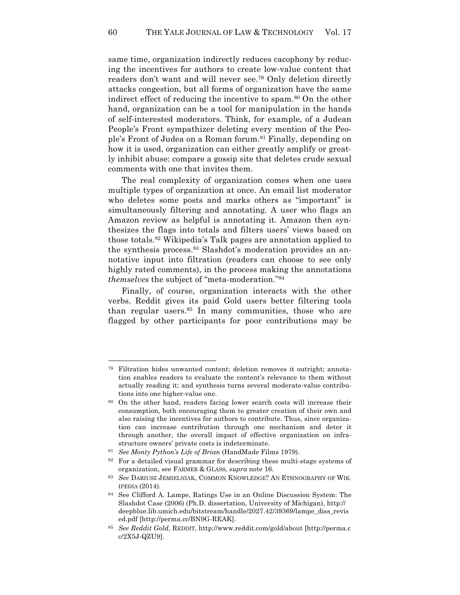same time, organization indirectly reduces cacophony by reducing the incentives for authors to create low-value content that readers don't want and will never see.79 Only deletion directly attacks congestion, but all forms of organization have the same indirect effect of reducing the incentive to spam.<sup>80</sup> On the other hand, organization can be a tool for manipulation in the hands of self-interested moderators. Think, for example, of a Judean People's Front sympathizer deleting every mention of the People's Front of Judea on a Roman forum.<sup>81</sup> Finally, depending on how it is used, organization can either greatly amplify or greatly inhibit abuse: compare a gossip site that deletes crude sexual comments with one that invites them.

The real complexity of organization comes when one uses multiple types of organization at once. An email list moderator who deletes some posts and marks others as "important" is simultaneously filtering and annotating. A user who flags an Amazon review as helpful is annotating it. Amazon then synthesizes the flags into totals and filters users' views based on those totals.82 Wikipedia's Talk pages are annotation applied to the synthesis process.83 Slashdot's moderation provides an annotative input into filtration (readers can choose to see only highly rated comments), in the process making the annotations *themselves* the subject of "meta-moderation."84

Finally, of course, organization interacts with the other verbs. Reddit gives its paid Gold users better filtering tools than regular users.<sup>85</sup> In many communities, those who are flagged by other participants for poor contributions may be

<sup>79</sup> Filtration hides unwanted content; deletion removes it outright; annotation enables readers to evaluate the content's relevance to them without actually reading it; and synthesis turns several moderate-value contributions into one higher-value one.

<sup>80</sup> On the other hand, readers facing lower search costs will increase their consumption, both encouraging them to greater creation of their own and also raising the incentives for authors to contribute. Thus, since organization can increase contribution through one mechanism and deter it through another, the overall impact of effective organization on infrastructure owners' private costs is indeterminate.

<sup>81</sup> *See Monty Python's Life of Brian* (HandMade Films 1979).

 $82$  For a detailed visual grammar for describing these multi-stage systems of organization, see FARMER & GLASS, *supra* note 16.

<sup>83</sup> *See* DARIUSZ JEMIELNIAK, COMMON KNOWLEDGE? AN ETHNOGRAPHY OF WIK-IPEDIA (2014).

<sup>84</sup> See Clifford A. Lampe, Ratings Use in an Online Discussion System: The Slashdot Case (2006) (Ph.D. dissertation, University of Michigan), http:// deepblue.lib.umich.edu/bitstream/handle/2027.42/39369/lampe\_diss\_revis ed.pdf [http://perma.cc/BN9G-REAK].

<sup>85</sup> *See Reddit Gold*, REDDIT, http://www.reddit.com/gold/about [http://perma.c c/2X5J-QZU9].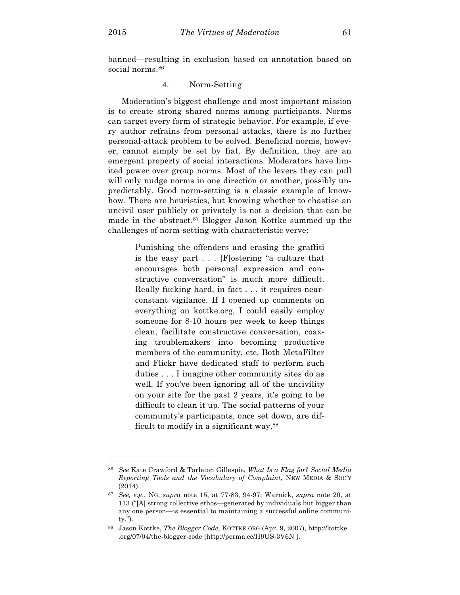$\overline{a}$ 

banned—resulting in exclusion based on annotation based on social norms.<sup>86</sup>

# 4. Norm-Setting

Moderation's biggest challenge and most important mission is to create strong shared norms among participants. Norms can target every form of strategic behavior. For example, if every author refrains from personal attacks, there is no further personal-attack problem to be solved. Beneficial norms, however, cannot simply be set by fiat. By definition, they are an emergent property of social interactions. Moderators have limited power over group norms. Most of the levers they can pull will only nudge norms in one direction or another, possibly unpredictably. Good norm-setting is a classic example of knowhow. There are heuristics, but knowing whether to chastise an uncivil user publicly or privately is not a decision that can be made in the abstract.87 Blogger Jason Kottke summed up the challenges of norm-setting with characteristic verve:

> Punishing the offenders and erasing the graffiti is the easy part . . . [F]ostering "a culture that encourages both personal expression and constructive conversation" is much more difficult. Really fucking hard, in fact . . . it requires nearconstant vigilance. If I opened up comments on everything on kottke.org, I could easily employ someone for 8-10 hours per week to keep things clean, facilitate constructive conversation, coaxing troublemakers into becoming productive members of the community, etc. Both MetaFilter and Flickr have dedicated staff to perform such duties . . . I imagine other community sites do as well. If you've been ignoring all of the uncivility on your site for the past 2 years, it's going to be difficult to clean it up. The social patterns of your community's participants, once set down, are difficult to modify in a significant way.88

<sup>86</sup> *See* Kate Crawford & Tarleton Gillespie, *What Is a Flag for? Social Media Reporting Tools and the Vocabulary of Complaint*, NEW MEDIA & SOC'Y (2014).

<sup>87</sup> *See, e.g.*, NG, *supra* note 15, at 77-83, 94-97; Warnick, *supra* note 20, at 113 ("[A] strong collective ethos—generated by individuals but bigger than any one person—is essential to maintaining a successful online community.").

<sup>88</sup> Jason Kottke, *The Blogger Code*, KOTTKE.ORG (Apr. 9, 2007), http://kottke .org/07/04/the-blogger-code [http://perma.cc/H9US-3V6N ].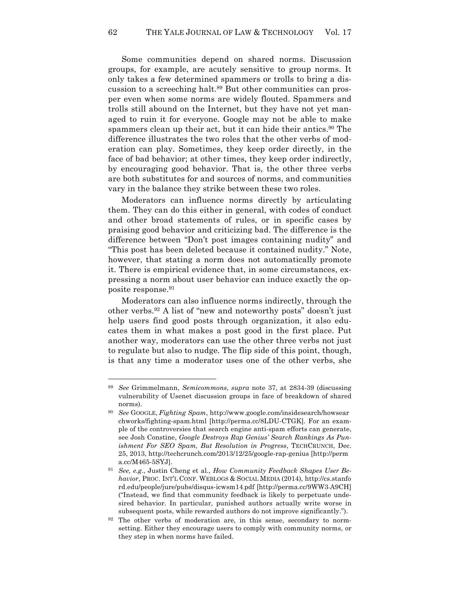Some communities depend on shared norms. Discussion groups, for example, are acutely sensitive to group norms. It only takes a few determined spammers or trolls to bring a discussion to a screeching halt.89 But other communities can prosper even when some norms are widely flouted. Spammers and trolls still abound on the Internet, but they have not yet managed to ruin it for everyone. Google may not be able to make spammers clean up their act, but it can hide their antics.<sup>90</sup> The difference illustrates the two roles that the other verbs of moderation can play. Sometimes, they keep order directly, in the face of bad behavior; at other times, they keep order indirectly, by encouraging good behavior. That is, the other three verbs are both substitutes for and sources of norms, and communities vary in the balance they strike between these two roles.

Moderators can influence norms directly by articulating them. They can do this either in general, with codes of conduct and other broad statements of rules, or in specific cases by praising good behavior and criticizing bad. The difference is the difference between "Don't post images containing nudity" and "This post has been deleted because it contained nudity." Note, however, that stating a norm does not automatically promote it. There is empirical evidence that, in some circumstances, expressing a norm about user behavior can induce exactly the opposite response.91

Moderators can also influence norms indirectly, through the other verbs.92 A list of "new and noteworthy posts" doesn't just help users find good posts through organization, it also educates them in what makes a post good in the first place. Put another way, moderators can use the other three verbs not just to regulate but also to nudge. The flip side of this point, though, is that any time a moderator uses one of the other verbs, she

<sup>89</sup> *See* Grimmelmann, *Semicommons*, *supra* note 37, at 2834-39 (discussing vulnerability of Usenet discussion groups in face of breakdown of shared norms).

<sup>90</sup> *See* GOOGLE, *Fighting Spam*, http://www.google.com/insidesearch/howsear chworks/fighting-spam.html [http://perma.cc/8LDU-CTGK]. For an example of the controversies that search engine anti-spam efforts can generate, see Josh Constine, *Google Destroys Rap Genius' Search Rankings As Punishment For SEO Spam, But Resolution in Progress*, TECHCRUNCH, Dec. 25, 2013, http://techcrunch.com/2013/12/25/google-rap-genius [http://perm a.cc/M465-5SYJ].

<sup>91</sup> *See, e.g*., Justin Cheng et al., *How Community Feedback Shapes User Behavior*, PROC. INT'L CONF. WEBLOGS & SOCIAL MEDIA (2014), http://cs.stanfo rd.edu/people/jure/pubs/disqus-icwsm14.pdf [http://perma.cc/9WW3-A9CH] ("Instead, we find that community feedback is likely to perpetuate undesired behavior. In particular, punished authors actually write worse in subsequent posts, while rewarded authors do not improve significantly.").

<sup>&</sup>lt;sup>92</sup> The other verbs of moderation are, in this sense, secondary to normsetting. Either they encourage users to comply with community norms, or they step in when norms have failed.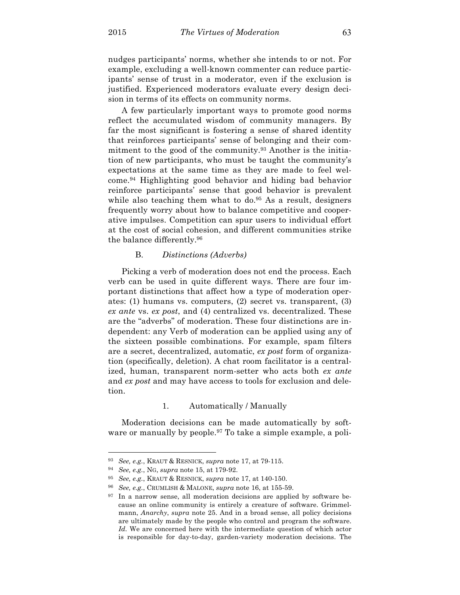nudges participants' norms, whether she intends to or not. For example, excluding a well-known commenter can reduce participants' sense of trust in a moderator, even if the exclusion is justified. Experienced moderators evaluate every design decision in terms of its effects on community norms.

A few particularly important ways to promote good norms reflect the accumulated wisdom of community managers. By far the most significant is fostering a sense of shared identity that reinforces participants' sense of belonging and their commitment to the good of the community.<sup>93</sup> Another is the initiation of new participants, who must be taught the community's expectations at the same time as they are made to feel welcome.94 Highlighting good behavior and hiding bad behavior reinforce participants' sense that good behavior is prevalent while also teaching them what to do.<sup>95</sup> As a result, designers frequently worry about how to balance competitive and cooperative impulses. Competition can spur users to individual effort at the cost of social cohesion, and different communities strike the balance differently.96

# B. *Distinctions (Adverbs)*

Picking a verb of moderation does not end the process. Each verb can be used in quite different ways. There are four important distinctions that affect how a type of moderation operates: (1) humans vs. computers, (2) secret vs. transparent, (3) *ex ante* vs. *ex post*, and (4) centralized vs. decentralized. These are the "adverbs" of moderation. These four distinctions are independent: any Verb of moderation can be applied using any of the sixteen possible combinations. For example, spam filters are a secret, decentralized, automatic, *ex post* form of organization (specifically, deletion). A chat room facilitator is a centralized, human, transparent norm-setter who acts both *ex ante* and *ex post* and may have access to tools for exclusion and deletion.

## 1. Automatically / Manually

Moderation decisions can be made automatically by software or manually by people.<sup>97</sup> To take a simple example, a poli-

<sup>93</sup> *See, e.g.*, KRAUT & RESNICK, *supra* note 17, at 79-115.

<sup>94</sup> *See, e.g.*, NG, *supra* note 15, at 179-92.

<sup>95</sup> *See, e.g.*, KRAUT & RESNICK, *supra* note 17, at 140-150.

<sup>96</sup> *See, e.g.*, CRUMLISH & MALONE, *supra* note 16, at 155-59.

 $97$  In a narrow sense, all moderation decisions are applied by software because an online community is entirely a creature of software. Grimmelmann, *Anarchy*, *supra* note 25. And in a broad sense, all policy decisions are ultimately made by the people who control and program the software. *Id.* We are concerned here with the intermediate question of which actor is responsible for day-to-day, garden-variety moderation decisions. The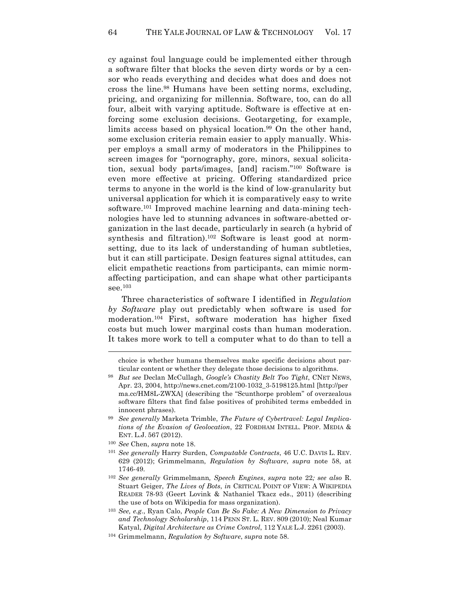cy against foul language could be implemented either through a software filter that blocks the seven dirty words or by a censor who reads everything and decides what does and does not cross the line.98 Humans have been setting norms, excluding, pricing, and organizing for millennia. Software, too, can do all four, albeit with varying aptitude. Software is effective at enforcing some exclusion decisions. Geotargeting, for example, limits access based on physical location.<sup>99</sup> On the other hand, some exclusion criteria remain easier to apply manually. Whisper employs a small army of moderators in the Philippines to screen images for "pornography, gore, minors, sexual solicitation, sexual body parts/images, [and] racism."100 Software is even more effective at pricing. Offering standardized price terms to anyone in the world is the kind of low-granularity but universal application for which it is comparatively easy to write software.<sup>101</sup> Improved machine learning and data-mining technologies have led to stunning advances in software-abetted organization in the last decade, particularly in search (a hybrid of synthesis and filtration).<sup>102</sup> Software is least good at normsetting, due to its lack of understanding of human subtleties, but it can still participate. Design features signal attitudes, can elicit empathetic reactions from participants, can mimic normaffecting participation, and can shape what other participants see. $103$ 

Three characteristics of software I identified in *Regulation by Software* play out predictably when software is used for moderation.104 First, software moderation has higher fixed costs but much lower marginal costs than human moderation. It takes more work to tell a computer what to do than to tell a

<sup>99</sup> *See generally* Marketa Trimble, *The Future of Cybertravel: Legal Implications of the Evasion of Geolocation*, 22 FORDHAM INTELL. PROP. MEDIA & ENT. L.J. 567 (2012).

- <sup>101</sup> *See generally* Harry Surden, *Computable Contracts*, 46 U.C. DAVIS L. REV. 629 (2012); Grimmelmann, *Regulation by Software*, *supra* note 58, at 1746-49.
- <sup>102</sup> *See generally* Grimmelmann*, Speech Engines*, *supra* note 22*; see also* R. Stuart Geiger, *The Lives of Bots*, *in* CRITICAL POINT OF VIEW: A WIKIPEDIA READER 78-93 (Geert Lovink & Nathaniel Tkacz eds., 2011) (describing the use of bots on Wikipedia for mass organization).
- <sup>103</sup> *See, e.g.*, Ryan Calo, *People Can Be So Fake: A New Dimension to Privacy and Technology Scholarship*, 114 PENN ST. L. REV. 809 (2010); Neal Kumar Katyal, *Digital Architecture as Crime Control*, 112 YALE L.J. 2261 (2003).
- <sup>104</sup> Grimmelmann, *Regulation by Software*, *supra* note 58.

choice is whether humans themselves make specific decisions about particular content or whether they delegate those decisions to algorithms.

<sup>98</sup> *But see* Declan McCullagh, *Google's Chastity Belt Too Tight*, CNET NEWS, Apr. 23, 2004, http://news.cnet.com/2100-1032\_3-5198125.html [http://per ma.cc/HM8L-ZWXA] (describing the "Scunthorpe problem" of overzealous software filters that find false positives of prohibited terms embedded in innocent phrases).

<sup>100</sup> *See* Chen, *supra* note 18.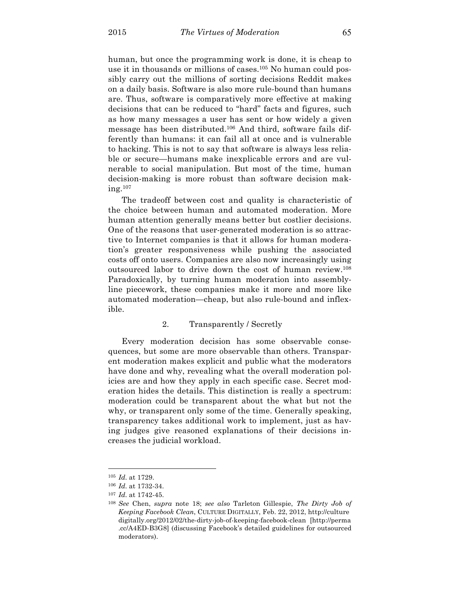human, but once the programming work is done, it is cheap to use it in thousands or millions of cases.105 No human could possibly carry out the millions of sorting decisions Reddit makes on a daily basis. Software is also more rule-bound than humans are. Thus, software is comparatively more effective at making decisions that can be reduced to "hard" facts and figures, such as how many messages a user has sent or how widely a given message has been distributed.106 And third, software fails differently than humans: it can fail all at once and is vulnerable to hacking. This is not to say that software is always less reliable or secure—humans make inexplicable errors and are vulnerable to social manipulation. But most of the time, human decision-making is more robust than software decision making.107

The tradeoff between cost and quality is characteristic of the choice between human and automated moderation. More human attention generally means better but costlier decisions. One of the reasons that user-generated moderation is so attractive to Internet companies is that it allows for human moderation's greater responsiveness while pushing the associated costs off onto users. Companies are also now increasingly using outsourced labor to drive down the cost of human review.108 Paradoxically, by turning human moderation into assemblyline piecework, these companies make it more and more like automated moderation—cheap, but also rule-bound and inflexible.

# 2. Transparently / Secretly

Every moderation decision has some observable consequences, but some are more observable than others. Transparent moderation makes explicit and public what the moderators have done and why, revealing what the overall moderation policies are and how they apply in each specific case. Secret moderation hides the details. This distinction is really a spectrum: moderation could be transparent about the what but not the why, or transparent only some of the time. Generally speaking, transparency takes additional work to implement, just as having judges give reasoned explanations of their decisions increases the judicial workload.

<sup>105</sup> *Id.* at 1729.

<sup>106</sup> *Id.* at 1732-34.

<sup>107</sup> *Id.* at 1742-45.

<sup>108</sup> *See* Chen, *supra* note 18; *see also* Tarleton Gillespie, *The Dirty Job of Keeping Facebook Clean*, CULTURE DIGITALLY, Feb. 22, 2012, http://culture digitally.org/2012/02/the-dirty-job-of-keeping-facebook-clean [http://perma .cc/A4ED-B3G8] (discussing Facebook's detailed guidelines for outsourced moderators).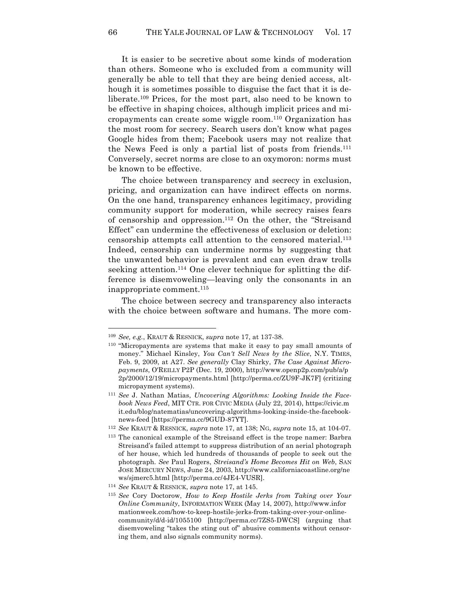It is easier to be secretive about some kinds of moderation than others. Someone who is excluded from a community will generally be able to tell that they are being denied access, although it is sometimes possible to disguise the fact that it is deliberate.109 Prices, for the most part, also need to be known to be effective in shaping choices, although implicit prices and micropayments can create some wiggle room.110 Organization has the most room for secrecy. Search users don't know what pages Google hides from them; Facebook users may not realize that the News Feed is only a partial list of posts from friends.111 Conversely, secret norms are close to an oxymoron: norms must be known to be effective.

The choice between transparency and secrecy in exclusion, pricing, and organization can have indirect effects on norms. On the one hand, transparency enhances legitimacy, providing community support for moderation, while secrecy raises fears of censorship and oppression.112 On the other, the "Streisand Effect" can undermine the effectiveness of exclusion or deletion: censorship attempts call attention to the censored material.113 Indeed, censorship can undermine norms by suggesting that the unwanted behavior is prevalent and can even draw trolls seeking attention.<sup>114</sup> One clever technique for splitting the difference is disemvoweling—leaving only the consonants in an inappropriate comment.115

The choice between secrecy and transparency also interacts with the choice between software and humans. The more com-

<sup>109</sup> *See, e.g.*, KRAUT & RESNICK, *supra* note 17, at 137-38.

<sup>110</sup> "Micropayments are systems that make it easy to pay small amounts of money." Michael Kinsley, *You Can't Sell News by the Slice*, N.Y. TIMES, Feb. 9, 2009, at A27. *See generally* Clay Shirky, *The Case Against Micropayments*, O'REILLY P2P (Dec. 19, 2000), http://www.openp2p.com/pub/a/p 2p/2000/12/19/micropayments.html [http://perma.cc/ZU9F-JK7F] (critizing micropayment systems).

<sup>111</sup> *See* J. Nathan Matias, *Uncovering Algorithms: Looking Inside the Facebook News Feed*, MIT CTR. FOR CIVIC MEDIA (July 22, 2014), https://civic.m it.edu/blog/natematias/uncovering-algorithms-looking-inside-the-facebooknews-feed [https://perma.cc/9GUD-87YT].

<sup>112</sup> *See* KRAUT & RESNICK, *supra* note 17, at 138; NG, *supra* note 15, at 104-07.

<sup>113</sup> The canonical example of the Streisand effect is the trope namer: Barbra Streisand's failed attempt to suppress distribution of an aerial photograph of her house, which led hundreds of thousands of people to seek out the photograph. *See* Paul Rogers, *Streisand's Home Becomes Hit on Web*, SAN JOSE MERCURY NEWS, June 24, 2003, http://www.californiacoastline.org/ne ws/sjmerc5.html [http://perma.cc/4JE4-VUSR].

<sup>114</sup> *See* KRAUT & RESNICK, *supra* note 17, at 145.

<sup>115</sup> *See* Cory Doctorow, *How to Keep Hostile Jerks from Taking over Your Online Community*, INFORMATION WEEK (May 14, 2007), http://www.infor mationweek.com/how-to-keep-hostile-jerks-from-taking-over-your-onlinecommunity/d/d-id/1055100 [http://perma.cc/7ZS5-DWCS] (arguing that disemvoweling "takes the sting out of" abusive comments without censoring them, and also signals community norms).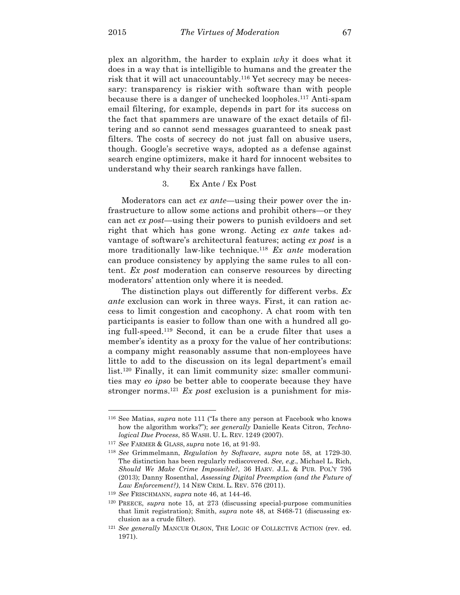plex an algorithm, the harder to explain *why* it does what it does in a way that is intelligible to humans and the greater the risk that it will act unaccountably.116 Yet secrecy may be necessary: transparency is riskier with software than with people because there is a danger of unchecked loopholes. <sup>117</sup> Anti-spam email filtering, for example, depends in part for its success on the fact that spammers are unaware of the exact details of filtering and so cannot send messages guaranteed to sneak past filters. The costs of secrecy do not just fall on abusive users, though. Google's secretive ways, adopted as a defense against search engine optimizers, make it hard for innocent websites to understand why their search rankings have fallen.

### 3. Ex Ante / Ex Post

Moderators can act *ex ante*—using their power over the infrastructure to allow some actions and prohibit others—or they can act *ex post*—using their powers to punish evildoers and set right that which has gone wrong. Acting *ex ante* takes advantage of software's architectural features; acting *ex post* is a more traditionally law-like technique.118 *Ex ante* moderation can produce consistency by applying the same rules to all content. *Ex post* moderation can conserve resources by directing moderators' attention only where it is needed.

The distinction plays out differently for different verbs. *Ex ante* exclusion can work in three ways. First, it can ration access to limit congestion and cacophony. A chat room with ten participants is easier to follow than one with a hundred all going full-speed.119 Second, it can be a crude filter that uses a member's identity as a proxy for the value of her contributions: a company might reasonably assume that non-employees have little to add to the discussion on its legal department's email list.120 Finally, it can limit community size: smaller communities may *eo ipso* be better able to cooperate because they have stronger norms.121 *Ex post* exclusion is a punishment for mis-

<sup>116</sup> See Matias, *supra* note 111 ("Is there any person at Facebook who knows how the algorithm works?"); *see generally* Danielle Keats Citron, *Technological Due Process*, 85 WASH. U. L. REV. 1249 (2007).

<sup>117</sup> *See* FARMER & GLASS, *supra* note 16, at 91-93.

<sup>118</sup> *See* Grimmelmann, *Regulation by Software*, *supra* note 58, at 1729-30. The distinction has been regularly rediscovered. *See, e.g*., Michael L. Rich, *Should We Make Crime Impossible?*, 36 HARV. J.L. & PUB. POL'Y 795 (2013); Danny Rosenthal, *Assessing Digital Preemption (and the Future of Law Enforcement?)*, 14 NEW CRIM. L. REV. 576 (2011).

<sup>119</sup> *See* FRISCHMANN, *supra* note 46, at 144-46.

<sup>120</sup> PREECE, *supra* note 15, at 273 (discussing special-purpose communities that limit registration); Smith, *supra* note 48, at S468-71 (discussing exclusion as a crude filter).

<sup>121</sup> *See generally* MANCUR OLSON, THE LOGIC OF COLLECTIVE ACTION (rev. ed. 1971).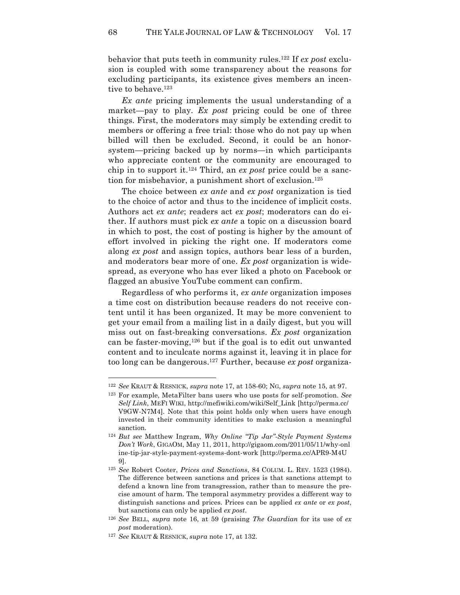behavior that puts teeth in community rules.122 If *ex post* exclusion is coupled with some transparency about the reasons for excluding participants, its existence gives members an incentive to behave.<sup>123</sup>

*Ex ante* pricing implements the usual understanding of a market—pay to play. *Ex post* pricing could be one of three things. First, the moderators may simply be extending credit to members or offering a free trial: those who do not pay up when billed will then be excluded. Second, it could be an honorsystem—pricing backed up by norms—in which participants who appreciate content or the community are encouraged to chip in to support it.124 Third, an *ex post* price could be a sanction for misbehavior, a punishment short of exclusion.<sup>125</sup>

The choice between *ex ante* and *ex post* organization is tied to the choice of actor and thus to the incidence of implicit costs. Authors act *ex ante*; readers act *ex post*; moderators can do either. If authors must pick *ex ante* a topic on a discussion board in which to post, the cost of posting is higher by the amount of effort involved in picking the right one. If moderators come along *ex post* and assign topics, authors bear less of a burden, and moderators bear more of one. *Ex post* organization is widespread, as everyone who has ever liked a photo on Facebook or flagged an abusive YouTube comment can confirm.

Regardless of who performs it, *ex ante* organization imposes a time cost on distribution because readers do not receive content until it has been organized. It may be more convenient to get your email from a mailing list in a daily digest, but you will miss out on fast-breaking conversations. *Ex post* organization can be faster-moving,  $126$  but if the goal is to edit out unwanted content and to inculcate norms against it, leaving it in place for too long can be dangerous.127 Further, because *ex post* organiza-

<sup>122</sup> *See* KRAUT & RESNICK, *supra* note 17, at 158-60; NG, *supra* note 15, at 97.

<sup>123</sup> For example, MetaFilter bans users who use posts for self-promotion. *See Self Link*, MEFI WIKI, http://mefiwiki.com/wiki/Self\_Link [http://perma.cc/ V9GW-N7M4]. Note that this point holds only when users have enough invested in their community identities to make exclusion a meaningful sanction.

<sup>124</sup> *But see* Matthew Ingram, *Why Online "Tip Jar"-Style Payment Systems Don't Work*, GIGAOM, May 11, 2011, http://gigaom.com/2011/05/11/why-onl ine-tip-jar-style-payment-systems-dont-work [http://perma.cc/APR9-M4U 9].

<sup>125</sup> *See* Robert Cooter, *Prices and Sanctions*, 84 COLUM. L. REV. 1523 (1984). The difference between sanctions and prices is that sanctions attempt to defend a known line from transgression, rather than to measure the precise amount of harm. The temporal asymmetry provides a different way to distinguish sanctions and prices. Prices can be applied *ex ante* or *ex post*, but sanctions can only be applied *ex post*.

<sup>126</sup> *See* BELL, *supra* note 16, at 59 (praising *The Guardian* for its use of *ex post* moderation).

<sup>127</sup> *See* KRAUT & RESNICK, *supra* note 17, at 132.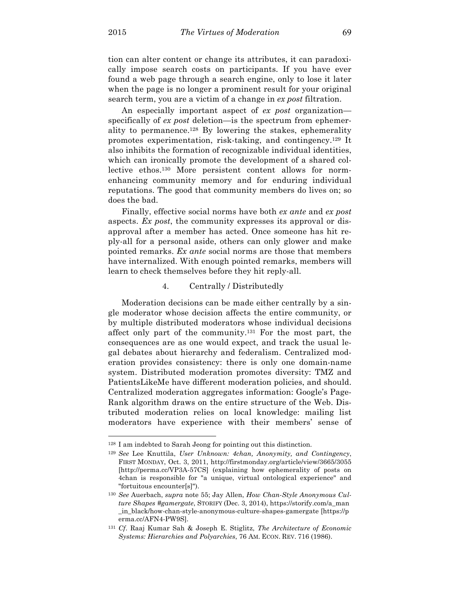$\overline{a}$ 

tion can alter content or change its attributes, it can paradoxically impose search costs on participants. If you have ever found a web page through a search engine, only to lose it later when the page is no longer a prominent result for your original search term, you are a victim of a change in *ex post* filtration.

An especially important aspect of *ex post* organization specifically of *ex post* deletion—is the spectrum from ephemerality to permanence.128 By lowering the stakes, ephemerality promotes experimentation, risk-taking, and contingency.129 It also inhibits the formation of recognizable individual identities, which can ironically promote the development of a shared collective ethos.130 More persistent content allows for normenhancing community memory and for enduring individual reputations. The good that community members do lives on; so does the bad.

Finally, effective social norms have both *ex ante* and *ex post* aspects. *Ex post*, the community expresses its approval or disapproval after a member has acted. Once someone has hit reply-all for a personal aside, others can only glower and make pointed remarks. *Ex ante* social norms are those that members have internalized. With enough pointed remarks, members will learn to check themselves before they hit reply-all.

# 4. Centrally / Distributedly

Moderation decisions can be made either centrally by a single moderator whose decision affects the entire community, or by multiple distributed moderators whose individual decisions affect only part of the community.131 For the most part, the consequences are as one would expect, and track the usual legal debates about hierarchy and federalism. Centralized moderation provides consistency: there is only one domain-name system. Distributed moderation promotes diversity: TMZ and PatientsLikeMe have different moderation policies, and should. Centralized moderation aggregates information: Google's Page-Rank algorithm draws on the entire structure of the Web. Distributed moderation relies on local knowledge: mailing list moderators have experience with their members' sense of

<sup>128</sup> I am indebted to Sarah Jeong for pointing out this distinction.

<sup>129</sup> *See* Lee Knuttila, *User Unknown: 4chan, Anonymity, and Contingency*, FIRST MONDAY, Oct. 3, 2011, http://firstmonday.org/article/view/3665/3055 [http://perma.cc/VP3A-57CS] (explaining how ephemerality of posts on 4chan is responsible for "a unique, virtual ontological experience" and "fortuitous encounter[s]").

<sup>130</sup> *See* Auerbach, *supra* note 55; Jay Allen, *How Chan-Style Anonymous Culture Shapes #gamergate*, STORIFY (Dec. 3, 2014), https://storify.com/a\_man \_in\_black/how-chan-style-anonymous-culture-shapes-gamergate [https://p erma.cc/AFN4-PW9S].

<sup>131</sup> *Cf*. Raaj Kumar Sah & Joseph E. Stiglitz, *The Architecture of Economic Systems: Hierarchies and Polyarchies*, 76 AM. ECON. REV. 716 (1986).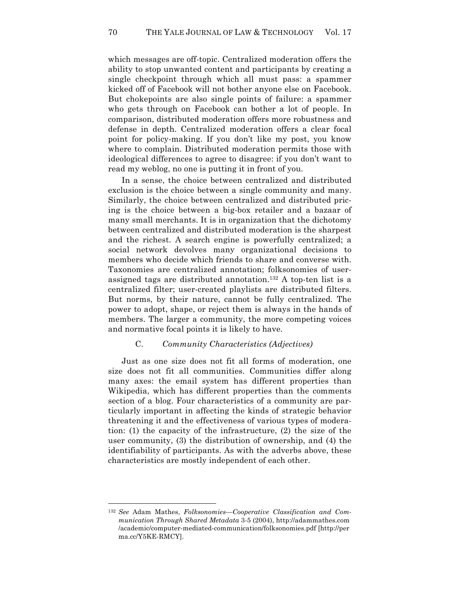which messages are off-topic. Centralized moderation offers the ability to stop unwanted content and participants by creating a single checkpoint through which all must pass: a spammer kicked off of Facebook will not bother anyone else on Facebook. But chokepoints are also single points of failure: a spammer who gets through on Facebook can bother a lot of people. In comparison, distributed moderation offers more robustness and defense in depth. Centralized moderation offers a clear focal point for policy-making. If you don't like my post, you know where to complain. Distributed moderation permits those with ideological differences to agree to disagree: if you don't want to read my weblog, no one is putting it in front of you.

In a sense, the choice between centralized and distributed exclusion is the choice between a single community and many. Similarly, the choice between centralized and distributed pricing is the choice between a big-box retailer and a bazaar of many small merchants. It is in organization that the dichotomy between centralized and distributed moderation is the sharpest and the richest. A search engine is powerfully centralized; a social network devolves many organizational decisions to members who decide which friends to share and converse with. Taxonomies are centralized annotation; folksonomies of userassigned tags are distributed annotation.132 A top-ten list is a centralized filter; user-created playlists are distributed filters. But norms, by their nature, cannot be fully centralized. The power to adopt, shape, or reject them is always in the hands of members. The larger a community, the more competing voices and normative focal points it is likely to have.

#### C. *Community Characteristics (Adjectives)*

Just as one size does not fit all forms of moderation, one size does not fit all communities. Communities differ along many axes: the email system has different properties than Wikipedia, which has different properties than the comments section of a blog. Four characteristics of a community are particularly important in affecting the kinds of strategic behavior threatening it and the effectiveness of various types of moderation: (1) the capacity of the infrastructure, (2) the size of the user community, (3) the distribution of ownership, and (4) the identifiability of participants. As with the adverbs above, these characteristics are mostly independent of each other.

<sup>132</sup> *See* Adam Mathes, *Folksonomies—Cooperative Classification and Communication Through Shared Metadata* 3-5 (2004), http://adammathes.com /academic/computer-mediated-communication/folksonomies.pdf [http://per ma.cc/Y5KE-RMCY].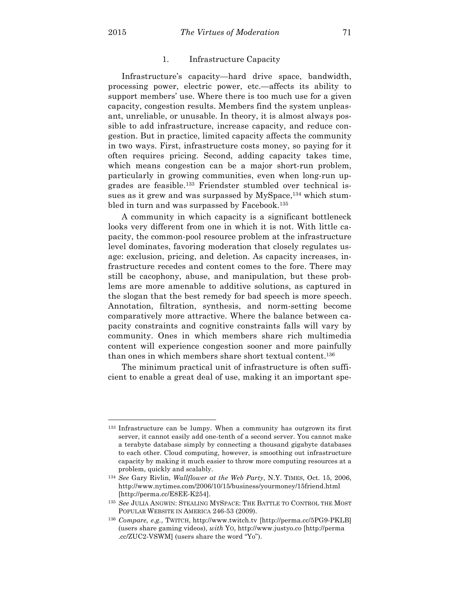#### 1. Infrastructure Capacity

Infrastructure's capacity—hard drive space, bandwidth, processing power, electric power, etc.—affects its ability to support members' use. Where there is too much use for a given capacity, congestion results. Members find the system unpleasant, unreliable, or unusable. In theory, it is almost always possible to add infrastructure, increase capacity, and reduce congestion. But in practice, limited capacity affects the community in two ways. First, infrastructure costs money, so paying for it often requires pricing. Second, adding capacity takes time, which means congestion can be a major short-run problem, particularly in growing communities, even when long-run upgrades are feasible.133 Friendster stumbled over technical issues as it grew and was surpassed by MySpace,<sup>134</sup> which stumbled in turn and was surpassed by Facebook.135

A community in which capacity is a significant bottleneck looks very different from one in which it is not. With little capacity, the common-pool resource problem at the infrastructure level dominates, favoring moderation that closely regulates usage: exclusion, pricing, and deletion. As capacity increases, infrastructure recedes and content comes to the fore. There may still be cacophony, abuse, and manipulation, but these problems are more amenable to additive solutions, as captured in the slogan that the best remedy for bad speech is more speech. Annotation, filtration, synthesis, and norm-setting become comparatively more attractive. Where the balance between capacity constraints and cognitive constraints falls will vary by community. Ones in which members share rich multimedia content will experience congestion sooner and more painfully than ones in which members share short textual content.136

The minimum practical unit of infrastructure is often sufficient to enable a great deal of use, making it an important spe-

<sup>133</sup> Infrastructure can be lumpy. When a community has outgrown its first server, it cannot easily add one-tenth of a second server. You cannot make a terabyte database simply by connecting a thousand gigabyte databases to each other. Cloud computing, however, is smoothing out infrastructure capacity by making it much easier to throw more computing resources at a problem, quickly and scalably.

<sup>134</sup> *See* Gary Rivlin, *Wallflower at the Web Party*, N.Y. TIMES, Oct. 15, 2006, http://www.nytimes.com/2006/10/15/business/yourmoney/15friend.html [http://perma.cc/E8EE-K254].

<sup>135</sup> *See* JULIA ANGWIN: STEALING MYSPACE: THE BATTLE TO CONTROL THE MOST POPULAR WEBSITE IN AMERICA 246-53 (2009).

<sup>136</sup> *Compare, e.g.*, TWITCH, http://www.twitch.tv [http://perma.cc/5PG9-PKLB] (users share gaming videos), *with* YO, http://www.justyo.co [http://perma .cc/ZUC2-VSWM] (users share the word "Yo").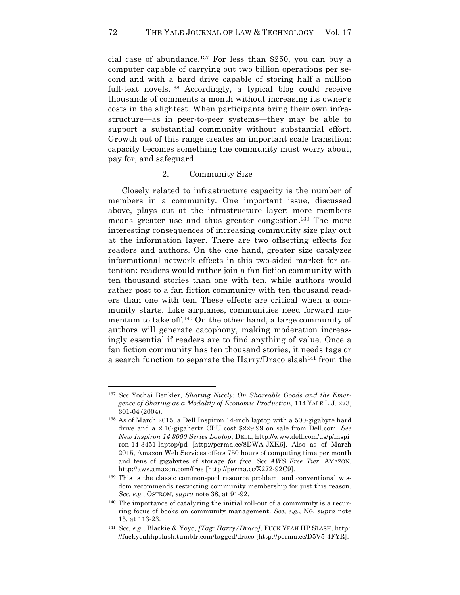cial case of abundance. <sup>137</sup> For less than \$250, you can buy a computer capable of carrying out two billion operations per second and with a hard drive capable of storing half a million full-text novels.138 Accordingly, a typical blog could receive thousands of comments a month without increasing its owner's costs in the slightest. When participants bring their own infrastructure—as in peer-to-peer systems—they may be able to support a substantial community without substantial effort. Growth out of this range creates an important scale transition: capacity becomes something the community must worry about, pay for, and safeguard.

## 2. Community Size

Closely related to infrastructure capacity is the number of members in a community. One important issue, discussed above, plays out at the infrastructure layer: more members means greater use and thus greater congestion.139 The more interesting consequences of increasing community size play out at the information layer. There are two offsetting effects for readers and authors. On the one hand, greater size catalyzes informational network effects in this two-sided market for attention: readers would rather join a fan fiction community with ten thousand stories than one with ten, while authors would rather post to a fan fiction community with ten thousand readers than one with ten. These effects are critical when a community starts. Like airplanes, communities need forward momentum to take off.140 On the other hand, a large community of authors will generate cacophony, making moderation increasingly essential if readers are to find anything of value. Once a fan fiction community has ten thousand stories, it needs tags or a search function to separate the Harry/Draco slash<sup>141</sup> from the

<sup>137</sup> *See* Yochai Benkler, *Sharing Nicely: On Shareable Goods and the Emergence of Sharing as a Modality of Economic Production*, 114 YALE L.J. 273, 301-04 (2004).

<sup>138</sup> As of March 2015, a Dell Inspiron 14-inch laptop with a 500-gigabyte hard drive and a 2.16-gigahertz CPU cost \$229.99 on sale from Dell.com. *See New Inspiron 14 3000 Series Laptop*, DELL, http://www.dell.com/us/p/inspi ron-14-3451-laptop/pd [http://perma.cc/8DWA-JXK6]. Also as of March 2015, Amazon Web Services offers 750 hours of computing time per month and tens of gigabytes of storage *for free*. *See AWS Free Tier*, AMAZON, http://aws.amazon.com/free [http://perma.cc/X272-92C9].

<sup>139</sup> This is the classic common-pool resource problem, and conventional wisdom recommends restricting community membership for just this reason. *See, e.g.*, OSTROM, *supra* note 38, at 91-92.

<sup>140</sup> The importance of catalyzing the initial roll-out of a community is a recurring focus of books on community management. *See, e.g.*, NG, *supra* note 15, at 113-23.

<sup>141</sup> *See, e.g.*, Blackie & Yoyo, *[Tag: Harry/Draco]*, FUCK YEAH HP SLASH, http: //fuckyeahhpslash.tumblr.com/tagged/draco [http://perma.cc/D5V5-4FYR].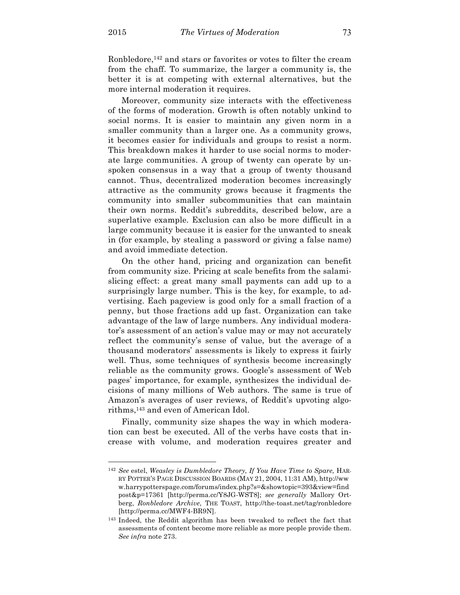$\overline{a}$ 

Ronbledore,<sup>142</sup> and stars or favorites or votes to filter the cream from the chaff. To summarize, the larger a community is, the better it is at competing with external alternatives, but the more internal moderation it requires.

Moreover, community size interacts with the effectiveness of the forms of moderation. Growth is often notably unkind to social norms. It is easier to maintain any given norm in a smaller community than a larger one. As a community grows, it becomes easier for individuals and groups to resist a norm. This breakdown makes it harder to use social norms to moderate large communities. A group of twenty can operate by unspoken consensus in a way that a group of twenty thousand cannot. Thus, decentralized moderation becomes increasingly attractive as the community grows because it fragments the community into smaller subcommunities that can maintain their own norms. Reddit's subreddits, described below, are a superlative example. Exclusion can also be more difficult in a large community because it is easier for the unwanted to sneak in (for example, by stealing a password or giving a false name) and avoid immediate detection.

On the other hand, pricing and organization can benefit from community size. Pricing at scale benefits from the salamislicing effect: a great many small payments can add up to a surprisingly large number. This is the key, for example, to advertising. Each pageview is good only for a small fraction of a penny, but those fractions add up fast. Organization can take advantage of the law of large numbers. Any individual moderator's assessment of an action's value may or may not accurately reflect the community's sense of value, but the average of a thousand moderators' assessments is likely to express it fairly well. Thus, some techniques of synthesis become increasingly reliable as the community grows. Google's assessment of Web pages' importance, for example, synthesizes the individual decisions of many millions of Web authors. The same is true of Amazon's averages of user reviews, of Reddit's upvoting algorithms,143 and even of American Idol.

Finally, community size shapes the way in which moderation can best be executed. All of the verbs have costs that increase with volume, and moderation requires greater and

<sup>142</sup> *See* estel, *Weasley is Dumbledore Theory, If You Have Time to Spare,* HAR-RY POTTER'S PAGE DISCUSSION BOARDS (MAY 21, 2004, 11:31 AM), http://ww w.harrypotterspage.com/forums/index.php?s=&showtopic=393&view=find post&p=17361 [http://perma.cc/Y8JG-WST8]; *see generally* Mallory Ortberg, *Ronbledore Archive*, THE TOAST, http://the-toast.net/tag/ronbledore [http://perma.cc/MWF4-BR9N].

<sup>143</sup> Indeed, the Reddit algorithm has been tweaked to reflect the fact that assessments of content become more reliable as more people provide them. *See infra* note 273.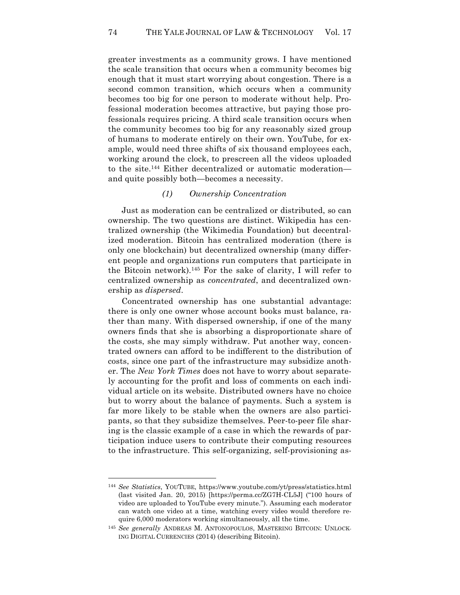greater investments as a community grows. I have mentioned the scale transition that occurs when a community becomes big enough that it must start worrying about congestion. There is a second common transition, which occurs when a community becomes too big for one person to moderate without help. Professional moderation becomes attractive, but paying those professionals requires pricing. A third scale transition occurs when the community becomes too big for any reasonably sized group of humans to moderate entirely on their own. YouTube, for example, would need three shifts of six thousand employees each, working around the clock, to prescreen all the videos uploaded to the site.144 Either decentralized or automatic moderation and quite possibly both—becomes a necessity.

# *(1) Ownership Concentration*

Just as moderation can be centralized or distributed, so can ownership. The two questions are distinct. Wikipedia has centralized ownership (the Wikimedia Foundation) but decentralized moderation. Bitcoin has centralized moderation (there is only one blockchain) but decentralized ownership (many different people and organizations run computers that participate in the Bitcoin network). <sup>145</sup> For the sake of clarity, I will refer to centralized ownership as *concentrated*, and decentralized ownership as *dispersed*.

Concentrated ownership has one substantial advantage: there is only one owner whose account books must balance, rather than many. With dispersed ownership, if one of the many owners finds that she is absorbing a disproportionate share of the costs, she may simply withdraw. Put another way, concentrated owners can afford to be indifferent to the distribution of costs, since one part of the infrastructure may subsidize another. The *New York Times* does not have to worry about separately accounting for the profit and loss of comments on each individual article on its website. Distributed owners have no choice but to worry about the balance of payments. Such a system is far more likely to be stable when the owners are also participants, so that they subsidize themselves. Peer-to-peer file sharing is the classic example of a case in which the rewards of participation induce users to contribute their computing resources to the infrastructure. This self-organizing, self-provisioning as-

<sup>144</sup> *See Statistics*, YOUTUBE, https://www.youtube.com/yt/press/statistics.html (last visited Jan. 20, 2015) [https://perma.cc/ZG7H-CL5J] ("100 hours of video are uploaded to YouTube every minute."). Assuming each moderator can watch one video at a time, watching every video would therefore require 6,000 moderators working simultaneously, all the time.

<sup>145</sup> *See generally* ANDREAS M. ANTONOPOULOS, MASTERING BITCOIN: UNLOCK-ING DIGITAL CURRENCIES (2014) (describing Bitcoin).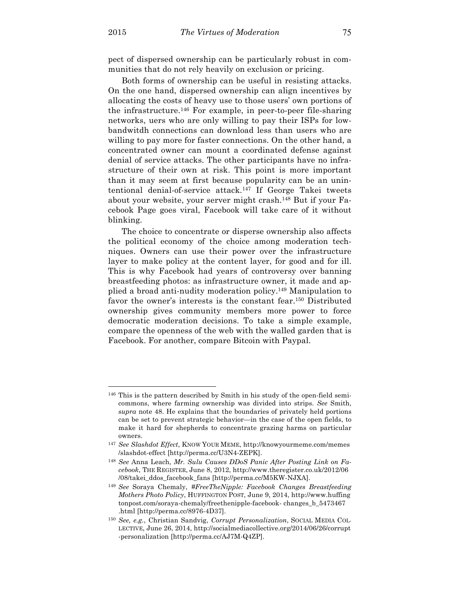pect of dispersed ownership can be particularly robust in communities that do not rely heavily on exclusion or pricing.

Both forms of ownership can be useful in resisting attacks. On the one hand, dispersed ownership can align incentives by allocating the costs of heavy use to those users' own portions of the infrastructure.<sup>146</sup> For example, in peer-to-peer file-sharing networks, uers who are only willing to pay their ISPs for lowbandwitdh connections can download less than users who are willing to pay more for faster connections. On the other hand, a concentrated owner can mount a coordinated defense against denial of service attacks. The other participants have no infrastructure of their own at risk. This point is more important than it may seem at first because popularity can be an unintentional denial-of-service attack.147 If George Takei tweets about your website, your server might crash.148 But if your Facebook Page goes viral, Facebook will take care of it without blinking.

The choice to concentrate or disperse ownership also affects the political economy of the choice among moderation techniques. Owners can use their power over the infrastructure layer to make policy at the content layer, for good and for ill. This is why Facebook had years of controversy over banning breastfeeding photos: as infrastructure owner, it made and applied a broad anti-nudity moderation policy.149 Manipulation to favor the owner's interests is the constant fear.150 Distributed ownership gives community members more power to force democratic moderation decisions. To take a simple example, compare the openness of the web with the walled garden that is Facebook. For another, compare Bitcoin with Paypal.

<sup>146</sup> This is the pattern described by Smith in his study of the open-field semicommons, where farming ownership was divided into strips. *See* Smith, *supra* note 48. He explains that the boundaries of privately held portions can be set to prevent strategic behavior—in the case of the open fields, to make it hard for shepherds to concentrate grazing harms on particular owners.

<sup>147</sup> *See Slashdot Effect*, KNOW YOUR MEME, http://knowyourmeme.com/memes /slashdot-effect [http://perma.cc/U3N4-ZEPK].

<sup>148</sup> *See* Anna Leach, *Mr. Sulu Causes DDoS Panic After Posting Link on Facebook*, THE REGISTER, June 8, 2012, http://www.theregister.co.uk/2012/06 /08/takei\_ddos\_facebook\_fans [http://perma.cc/M5KW-NJXA].

<sup>149</sup> *See* Soraya Chemaly, *#FreeTheNipple: Facebook Changes Breastfeeding Mothers Photo Policy*, HUFFINGTON POST, June 9, 2014, http://www.huffing tonpost.com/soraya-chemaly/freethenipple-facebook- changes\_b\_5473467 .html [http://perma.cc/8976-4D37].

<sup>150</sup> *See, e.g.*, Christian Sandvig, *Corrupt Personalization*, SOCIAL MEDIA COL-LECTIVE, June 26, 2014, http://socialmediacollective.org/2014/06/26/corrupt -personalization [http://perma.cc/AJ7M-Q4ZP].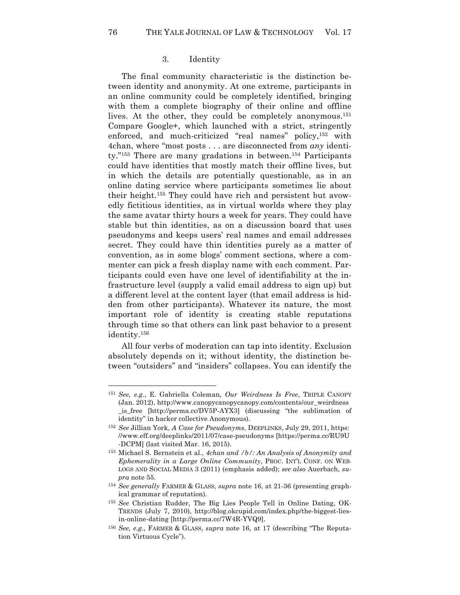## 3. Identity

The final community characteristic is the distinction between identity and anonymity. At one extreme, participants in an online community could be completely identified, bringing with them a complete biography of their online and offline lives. At the other, they could be completely anonymous.<sup>151</sup> Compare Google+, which launched with a strict, stringently enforced, and much-criticized "real names" policy,<sup>152</sup> with 4chan, where "most posts . . . are disconnected from *any* identity."<sup>153</sup> There are many gradations in between.<sup>154</sup> Participants could have identities that mostly match their offline lives, but in which the details are potentially questionable, as in an online dating service where participants sometimes lie about their height.155 They could have rich and persistent but avowedly fictitious identities, as in virtual worlds where they play the same avatar thirty hours a week for years. They could have stable but thin identities, as on a discussion board that uses pseudonyms and keeps users' real names and email addresses secret. They could have thin identities purely as a matter of convention, as in some blogs' comment sections, where a commenter can pick a fresh display name with each comment. Participants could even have one level of identifiability at the infrastructure level (supply a valid email address to sign up) but a different level at the content layer (that email address is hidden from other participants). Whatever its nature, the most important role of identity is creating stable reputations through time so that others can link past behavior to a present identity.156

All four verbs of moderation can tap into identity. Exclusion absolutely depends on it; without identity, the distinction between "outsiders" and "insiders" collapses. You can identify the

<sup>151</sup> *See, e.g.*, E. Gabriella Coleman, *Our Weirdness Is Free*, TRIPLE CANOPY (Jan. 2012), http://www.canopycanopycanopy.com/contents/our\_weirdness \_is\_free [http://perma.cc/DV5P-AYX3] (discussing "the sublimation of identity" in hacker collective Anonymous).

<sup>152</sup> *See* Jillian York, *A Case for Pseudonyms*, DEEPLINKS, July 29, 2011, https: //www.eff.org/deeplinks/2011/07/case-pseudonyms [https://perma.cc/RU9U -DCPM] (last visited Mar. 16, 2015).

<sup>153</sup> Michael S. Bernstein et al., *4chan and /b/: An Analysis of Anonymity and Ephemerality in a Large Online Community*, PROC. INT'L CONF. ON WEB-LOGS AND SOCIAL MEDIA 3 (2011) (emphasis added); *see also* Auerbach, *supra* note 55.

<sup>154</sup> *See generally* FARMER & GLASS, *supra* note 16, at 21-36 (presenting graphical grammar of reputation).

<sup>155</sup> *See* Christian Rudder, The Big Lies People Tell in Online Dating, OK-TRENDS (July 7, 2010), http://blog.okcupid.com/index.php/the-biggest-liesin-online-dating [http://perma.cc/7W4R-YVQ9].

<sup>156</sup> *See, e.g.*, FARMER & GLASS, *supra* note 16, at 17 (describing "The Reputation Virtuous Cycle").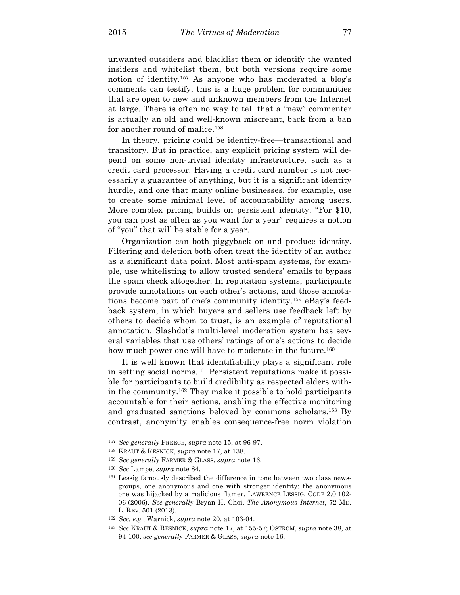unwanted outsiders and blacklist them or identify the wanted insiders and whitelist them, but both versions require some notion of identity.157 As anyone who has moderated a blog's comments can testify, this is a huge problem for communities that are open to new and unknown members from the Internet at large. There is often no way to tell that a "new" commenter is actually an old and well-known miscreant, back from a ban for another round of malice.158

In theory, pricing could be identity-free—transactional and transitory. But in practice, any explicit pricing system will depend on some non-trivial identity infrastructure, such as a credit card processor. Having a credit card number is not necessarily a guarantee of anything, but it is a significant identity hurdle, and one that many online businesses, for example, use to create some minimal level of accountability among users. More complex pricing builds on persistent identity. "For \$10, you can post as often as you want for a year" requires a notion of "you" that will be stable for a year.

Organization can both piggyback on and produce identity. Filtering and deletion both often treat the identity of an author as a significant data point. Most anti-spam systems, for example, use whitelisting to allow trusted senders' emails to bypass the spam check altogether. In reputation systems, participants provide annotations on each other's actions, and those annotations become part of one's community identity.159 eBay's feedback system, in which buyers and sellers use feedback left by others to decide whom to trust, is an example of reputational annotation. Slashdot's multi-level moderation system has several variables that use others' ratings of one's actions to decide how much power one will have to moderate in the future.<sup>160</sup>

It is well known that identifiability plays a significant role in setting social norms.161 Persistent reputations make it possible for participants to build credibility as respected elders within the community.162 They make it possible to hold participants accountable for their actions, enabling the effective monitoring and graduated sanctions beloved by commons scholars.<sup>163</sup> By contrast, anonymity enables consequence-free norm violation

<sup>157</sup> *See generally* PREECE, *supra* note 15, at 96-97.

<sup>158</sup> KRAUT & RESNICK, *supra* note 17, at 138.

<sup>159</sup> *See generally* FARMER & GLASS, *supra* note 16.

<sup>160</sup> *See* Lampe, *supra* note 84.

<sup>161</sup> Lessig famously described the difference in tone between two class newsgroups, one anonymous and one with stronger identity; the anonymous one was hijacked by a malicious flamer. LAWRENCE LESSIG, CODE 2.0 102- 06 (2006). *See generally* Bryan H. Choi, *The Anonymous Internet*, 72 MD. L. REV. 501 (2013).

<sup>162</sup> *See, e.g.*, Warnick, *supra* note 20, at 103-04.

<sup>163</sup> *See* KRAUT & RESNICK, *supra* note 17, at 155-57; OSTROM, *supra* note 38, at 94-100; *see generally* FARMER & GLASS, *supra* note 16.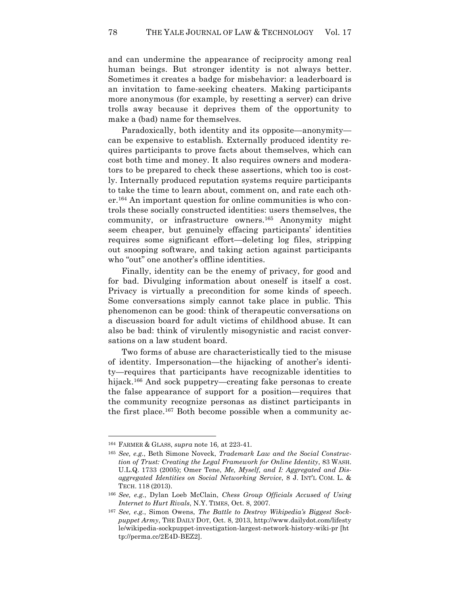and can undermine the appearance of reciprocity among real human beings. But stronger identity is not always better. Sometimes it creates a badge for misbehavior: a leaderboard is an invitation to fame-seeking cheaters. Making participants more anonymous (for example, by resetting a server) can drive trolls away because it deprives them of the opportunity to make a (bad) name for themselves.

Paradoxically, both identity and its opposite—anonymity can be expensive to establish. Externally produced identity requires participants to prove facts about themselves, which can cost both time and money. It also requires owners and moderators to be prepared to check these assertions, which too is costly. Internally produced reputation systems require participants to take the time to learn about, comment on, and rate each other.164 An important question for online communities is who controls these socially constructed identities: users themselves, the community, or infrastructure owners. <sup>165</sup> Anonymity might seem cheaper, but genuinely effacing participants' identities requires some significant effort—deleting log files, stripping out snooping software, and taking action against participants who "out" one another's offline identities.

Finally, identity can be the enemy of privacy, for good and for bad. Divulging information about oneself is itself a cost. Privacy is virtually a precondition for some kinds of speech. Some conversations simply cannot take place in public. This phenomenon can be good: think of therapeutic conversations on a discussion board for adult victims of childhood abuse. It can also be bad: think of virulently misogynistic and racist conversations on a law student board.

Two forms of abuse are characteristically tied to the misuse of identity. Impersonation—the hijacking of another's identity—requires that participants have recognizable identities to hijack.<sup>166</sup> And sock puppetry—creating fake personas to create the false appearance of support for a position—requires that the community recognize personas as distinct participants in the first place.167 Both become possible when a community ac-

<sup>164</sup> FARMER & GLASS, *supra* note 16*,* at 223-41.

<sup>165</sup> *See, e.g.*, Beth Simone Noveck, *Trademark Law and the Social Construction of Trust: Creating the Legal Framework for Online Identity*, 83 WASH. U.L.Q. 1733 (2005); Omer Tene, *Me, Myself, and I: Aggregated and Disaggregated Identities on Social Networking Service*, 8 J. INT'L COM. L. & TECH. 118 (2013).

<sup>166</sup> *See, e.g.*, Dylan Loeb McClain, *Chess Group Officials Accused of Using Internet to Hurt Rivals*, N.Y. TIMES, Oct. 8, 2007.

<sup>167</sup> *See, e.g.*, Simon Owens, *The Battle to Destroy Wikipedia's Biggest Sockpuppet Army*, THE DAILY DOT, Oct. 8, 2013, http://www.dailydot.com/lifesty le/wikipedia-sockpuppet-investigation-largest-network-history-wiki-pr [ht tp://perma.cc/2E4D-BEZ2].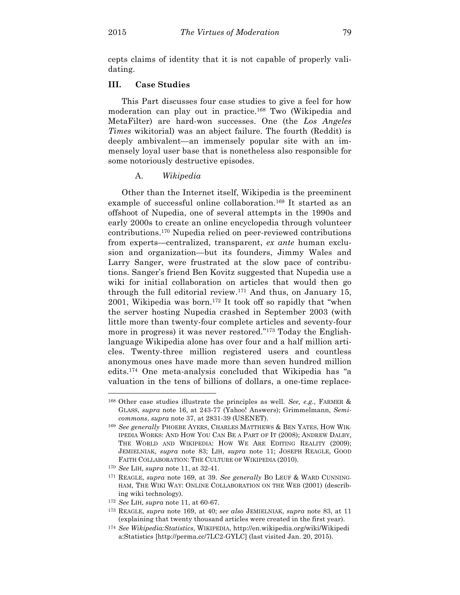cepts claims of identity that it is not capable of properly validating.

# **III. Case Studies**

This Part discusses four case studies to give a feel for how moderation can play out in practice.168 Two (Wikipedia and MetaFilter) are hard-won successes. One (the *Los Angeles Times* wikitorial) was an abject failure. The fourth (Reddit) is deeply ambivalent—an immensely popular site with an immensely loyal user base that is nonetheless also responsible for some notoriously destructive episodes.

## A. *Wikipedia*

Other than the Internet itself, Wikipedia is the preeminent example of successful online collaboration.<sup>169</sup> It started as an offshoot of Nupedia, one of several attempts in the 1990s and early 2000s to create an online encyclopedia through volunteer contributions.170 Nupedia relied on peer-reviewed contributions from experts—centralized, transparent, *ex ante* human exclusion and organization—but its founders, Jimmy Wales and Larry Sanger, were frustrated at the slow pace of contributions. Sanger's friend Ben Kovitz suggested that Nupedia use a wiki for initial collaboration on articles that would then go through the full editorial review. <sup>171</sup> And thus, on January 15, 2001, Wikipedia was born. <sup>172</sup> It took off so rapidly that "when the server hosting Nupedia crashed in September 2003 (with little more than twenty-four complete articles and seventy-four more in progress) it was never restored."173 Today the Englishlanguage Wikipedia alone has over four and a half million articles. Twenty-three million registered users and countless anonymous ones have made more than seven hundred million edits.174 One meta-analysis concluded that Wikipedia has "a valuation in the tens of billions of dollars, a one-time replace-

<sup>168</sup> Other case studies illustrate the principles as well. *See, e.g.*, FARMER & GLASS, *supra* note 16, at 243-77 (Yahoo! Answers); Grimmelmann, *Semicommons*, *supra* note 37, at 2831-39 (USENET).

<sup>169</sup> *See generally* PHOEBE AYERS, CHARLES MATTHEWS & BEN YATES, HOW WIK-IPEDIA WORKS: AND HOW YOU CAN BE A PART OF IT (2008); ANDREW DALBY, THE WORLD AND WIKIPEDIA: HOW WE ARE EDITING REALITY (2009); JEMIELNIAK, *supra* note 83; LIH, *supra* note 11; JOSEPH REAGLE, GOOD FAITH COLLABORATION: THE CULTURE OF WIKIPEDIA (2010).

<sup>170</sup> *See* LIH, *supra* note 11, at 32-41.

<sup>171</sup> REAGLE, *supra* note 169, at 39. *See generally* BO LEUF & WARD CUNNING-HAM, THE WIKI WAY: ONLINE COLLABORATION ON THE WEB (2001) (describing wiki technology).

<sup>172</sup> *See* LIH, *supra* note 11, at 60-67.

<sup>173</sup> REAGLE, *supra* note 169, at 40; *see also* JEMIELNIAK, *supra* note 83, at 11 (explaining that twenty thousand articles were created in the first year).

<sup>174</sup> *See Wikipedia:Statistics*, WIKIPEDIA, http://en.wikipedia.org/wiki/Wikipedi a:Statistics [http://perma.cc/7LC2-GYLC] (last visited Jan. 20, 2015).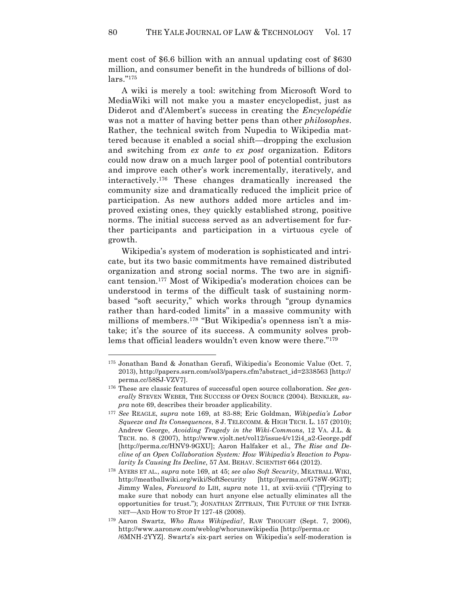ment cost of \$6.6 billion with an annual updating cost of \$630 million, and consumer benefit in the hundreds of billions of dollars."175

A wiki is merely a tool: switching from Microsoft Word to MediaWiki will not make you a master encyclopedist, just as Diderot and d'Alembert's success in creating the *Encyclopédie* was not a matter of having better pens than other *philosophes*. Rather, the technical switch from Nupedia to Wikipedia mattered because it enabled a social shift—dropping the exclusion and switching from *ex ante* to *ex post* organization. Editors could now draw on a much larger pool of potential contributors and improve each other's work incrementally, iteratively, and interactively.176 These changes dramatically increased the community size and dramatically reduced the implicit price of participation. As new authors added more articles and improved existing ones, they quickly established strong, positive norms. The initial success served as an advertisement for further participants and participation in a virtuous cycle of growth.

Wikipedia's system of moderation is sophisticated and intricate, but its two basic commitments have remained distributed organization and strong social norms. The two are in significant tension.177 Most of Wikipedia's moderation choices can be understood in terms of the difficult task of sustaining normbased "soft security," which works through "group dynamics rather than hard-coded limits" in a massive community with millions of members.<sup>178</sup> "But Wikipedia's openness isn't a mistake; it's the source of its success. A community solves problems that official leaders wouldn't even know were there."179

<sup>175</sup> Jonathan Band & Jonathan Gerafi, Wikipedia's Economic Value (Oct. 7, 2013), http://papers.ssrn.com/sol3/papers.cfm?abstract\_id=2338563 [http:// perma.cc/58SJ-VZV7].

<sup>176</sup> These are classic features of successful open source collaboration. *See generally* STEVEN WEBER, THE SUCCESS OF OPEN SOURCE (2004). BENKLER, *supra* note 69, describes their broader applicability.

<sup>177</sup> *See* REAGLE, *supra* note 169, at 83-88; Eric Goldman, *Wikipedia's Labor Squeeze and Its Consequences*, 8 J. TELECOMM. & HIGH TECH. L. 157 (2010); Andrew George, *Avoiding Tragedy in the Wiki-Commons*, 12 VA. J.L. & TECH. no. 8 (2007), http://www.vjolt.net/vol12/issue4/v12i4\_a2-George.pdf [http://perma.cc/HNV9-9GXU]; Aaron Halfaker et al., *The Rise and Decline of an Open Collaboration System: How Wikipedia's Reaction to Popularity Is Causing Its Decline*, 57 AM. BEHAV. SCIENTIST 664 (2012).

<sup>178</sup> AYERS ET AL., *supra* note 169, at 45; *see also Soft Security*, MEATBALL WIKI, http://meatballwiki.org/wiki/SoftSecurity [http://perma.cc/G78W-9G3T]; Jimmy Wales, *Foreword to* LIH, *supra* note 11, at xvii-xviii ("[T]rying to make sure that nobody can hurt anyone else actually eliminates all the opportunities for trust."); JONATHAN ZITTRAIN, THE FUTURE OF THE INTER-NET—AND HOW TO STOP IT 127-48 (2008).

<sup>179</sup> Aaron Swartz, *Who Runs Wikipedia?*, RAW THOUGHT (Sept. 7, 2006), http://www.aaronsw.com/weblog/whorunswikipedia [http://perma.cc /6MNH-2YYZ]. Swartz's six-part series on Wikipedia's self-moderation is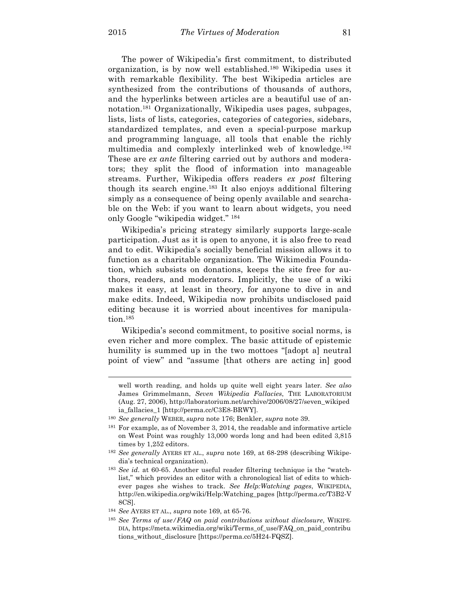The power of Wikipedia's first commitment, to distributed organization, is by now well established.180 Wikipedia uses it with remarkable flexibility. The best Wikipedia articles are synthesized from the contributions of thousands of authors, and the hyperlinks between articles are a beautiful use of annotation.181 Organizationally, Wikipedia uses pages, subpages, lists, lists of lists, categories, categories of categories, sidebars, standardized templates, and even a special-purpose markup and programming language, all tools that enable the richly multimedia and complexly interlinked web of knowledge.182 These are *ex ante* filtering carried out by authors and moderators; they split the flood of information into manageable streams. Further, Wikipedia offers readers *ex post* filtering though its search engine.183 It also enjoys additional filtering simply as a consequence of being openly available and searchable on the Web: if you want to learn about widgets, you need only Google "wikipedia widget." <sup>184</sup>

Wikipedia's pricing strategy similarly supports large-scale participation. Just as it is open to anyone, it is also free to read and to edit. Wikipedia's socially beneficial mission allows it to function as a charitable organization. The Wikimedia Foundation, which subsists on donations, keeps the site free for authors, readers, and moderators. Implicitly, the use of a wiki makes it easy, at least in theory, for anyone to dive in and make edits. Indeed, Wikipedia now prohibits undisclosed paid editing because it is worried about incentives for manipulation.<sup>185</sup>

Wikipedia's second commitment, to positive social norms, is even richer and more complex. The basic attitude of epistemic humility is summed up in the two mottoes "[adopt a] neutral point of view" and "assume [that others are acting in] good

well worth reading, and holds up quite well eight years later*. See also* James Grimmelmann, *Seven Wikipedia Fallacies*, THE LABORATORIUM (Aug. 27, 2006), http://laboratorium.net/archive/2006/08/27/seven\_wikiped ia\_fallacies\_1 [http://perma.cc/C3E8-BRWY].

<sup>180</sup> *See generally* WEBER, *supra* note 176; Benkler, *supra* note 39.

<sup>181</sup> For example, as of November 3, 2014, the readable and informative article on West Point was roughly 13,000 words long and had been edited 3,815 times by 1,252 editors.

<sup>182</sup> *See generally* AYERS ET AL., *supra* note 169, at 68-298 (describing Wikipedia's technical organization).

<sup>183</sup> *See id.* at 60-65. Another useful reader filtering technique is the "watchlist," which provides an editor with a chronological list of edits to whichever pages she wishes to track. *See Help:Watching pages*, WIKIPEDIA, http://en.wikipedia.org/wiki/Help:Watching\_pages [http://perma.cc/T3B2-V 8CS].

<sup>184</sup> *See* AYERS ET AL., *supra* note 169, at 65-76.

<sup>185</sup> *See Terms of use/FAQ on paid contributions without disclosure*, WIKIPE-DIA, https://meta.wikimedia.org/wiki/Terms\_of\_use/FAQ\_on\_paid\_contribu tions\_without\_disclosure [https://perma.cc/5H24-FQSZ].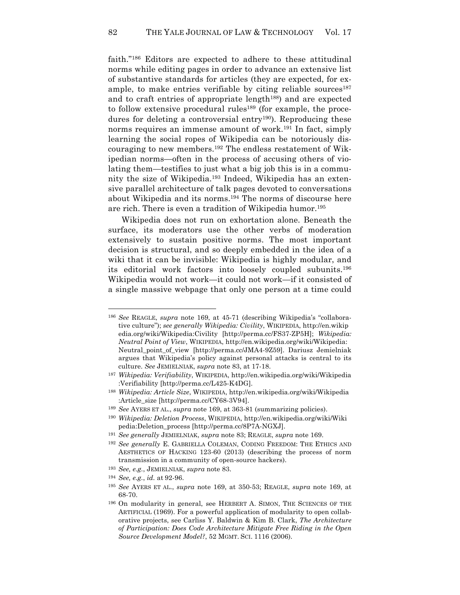faith."186 Editors are expected to adhere to these attitudinal norms while editing pages in order to advance an extensive list of substantive standards for articles (they are expected, for example, to make entries verifiable by citing reliable sources $187$ and to craft entries of appropriate length<sup>188</sup>) and are expected to follow extensive procedural rules<sup>189</sup> (for example, the procedures for deleting a controversial entry<sup>190</sup>). Reproducing these norms requires an immense amount of work. <sup>191</sup> In fact, simply learning the social ropes of Wikipedia can be notoriously discouraging to new members.192 The endless restatement of Wikipedian norms—often in the process of accusing others of violating them—testifies to just what a big job this is in a community the size of Wikipedia.193 Indeed, Wikipedia has an extensive parallel architecture of talk pages devoted to conversations about Wikipedia and its norms.194 The norms of discourse here are rich. There is even a tradition of Wikipedia humor.195

Wikipedia does not run on exhortation alone. Beneath the surface, its moderators use the other verbs of moderation extensively to sustain positive norms. The most important decision is structural, and so deeply embedded in the idea of a wiki that it can be invisible: Wikipedia is highly modular, and its editorial work factors into loosely coupled subunits.196 Wikipedia would not work—it could not work—if it consisted of a single massive webpage that only one person at a time could

<sup>186</sup> *See* REAGLE, *supra* note 169, at 45-71 (describing Wikipedia's "collaborative culture"); *see generally Wikipedia: Civility*, WIKIPEDIA, http://en.wikip edia.org/wiki/Wikipedia:Civility [http://perma.cc/FS37-ZP5H]; *Wikipedia: Neutral Point of View*, WIKIPEDIA, http://en.wikipedia.org/wiki/Wikipedia: Neutral\_point\_of\_view [http://perma.cc/JMA4-9Z59]. Dariusz Jemielniak argues that Wikipedia's policy against personal attacks is central to its culture. *See* JEMIELNIAK, *supra* note 83, at 17-18.

<sup>187</sup> *Wikipedia: Verifiability*, WIKIPEDIA, http://en.wikipedia.org/wiki/Wikipedia :Verifiability [http://perma.cc/L425-K4DG].

<sup>188</sup> *Wikipedia: Article Size*, WIKIPEDIA, http://en.wikipedia.org/wiki/Wikipedia :Article\_size [http://perma.cc/CY68-3V94].

<sup>189</sup> *See* AYERS ET AL., *supra* note 169, at 363-81 (summarizing policies).

<sup>190</sup> *Wikipedia: Deletion Process*, WIKIPEDIA, http://en.wikipedia.org/wiki/Wiki pedia:Deletion\_process [http://perma.cc/8P7A-NGXJ].

<sup>191</sup> *See generally* JEMIELNIAK, *supra* note 83; REAGLE, *supra* note 169.

<sup>192</sup> *See generally* E. GABRIELLA COLEMAN, CODING FREEDOM: THE ETHICS AND AESTHETICS OF HACKING 123-60 (2013) (describing the process of norm transmission in a community of open-source hackers).

<sup>193</sup> *See, e.g.*, JEMIELNIAK, *supra* note 83.

<sup>194</sup> *See, e.g.*, *id.* at 92-96.

<sup>195</sup> *See* AYERS ET AL., *supra* note 169, at 350-53; REAGLE, *supra* note 169, at 68-70.

<sup>196</sup> On modularity in general, see HERBERT A. SIMON, THE SCIENCES OF THE ARTIFICIAL (1969). For a powerful application of modularity to open collaborative projects, see Carliss Y. Baldwin & Kim B. Clark, *The Architecture of Participation: Does Code Architecture Mitigate Free Riding in the Open Source Development Model?*, 52 MGMT. SCI. 1116 (2006).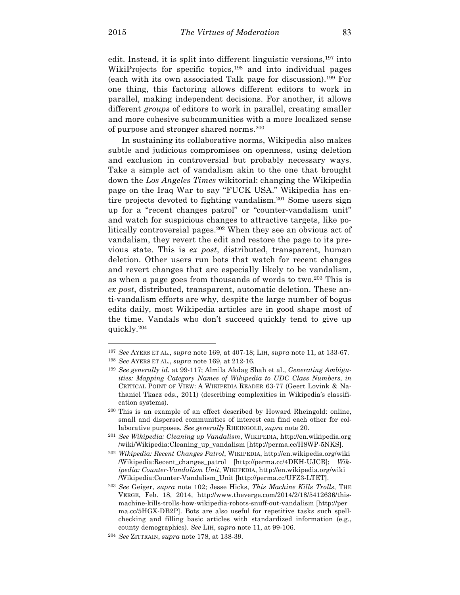$\overline{a}$ 

edit. Instead, it is split into different linguistic versions,<sup>197</sup> into WikiProjects for specific topics,<sup>198</sup> and into individual pages (each with its own associated Talk page for discussion).199 For one thing, this factoring allows different editors to work in parallel, making independent decisions. For another, it allows different *groups* of editors to work in parallel, creating smaller and more cohesive subcommunities with a more localized sense of purpose and stronger shared norms.200

In sustaining its collaborative norms, Wikipedia also makes subtle and judicious compromises on openness, using deletion and exclusion in controversial but probably necessary ways. Take a simple act of vandalism akin to the one that brought down the *Los Angeles Times* wikitorial: changing the Wikipedia page on the Iraq War to say "FUCK USA." Wikipedia has entire projects devoted to fighting vandalism. <sup>201</sup> Some users sign up for a "recent changes patrol" or "counter-vandalism unit" and watch for suspicious changes to attractive targets, like politically controversial pages.202 When they see an obvious act of vandalism, they revert the edit and restore the page to its previous state. This is *ex post*, distributed, transparent, human deletion. Other users run bots that watch for recent changes and revert changes that are especially likely to be vandalism, as when a page goes from thousands of words to two.203 This is *ex post*, distributed, transparent, automatic deletion. These anti-vandalism efforts are why, despite the large number of bogus edits daily, most Wikipedia articles are in good shape most of the time. Vandals who don't succeed quickly tend to give up quickly.204

<sup>197</sup> *See* AYERS ET AL., *supra* note 169, at 407-18; LIH, *supra* note 11, at 133-67.

<sup>198</sup> *See* AYERS ET AL., *supra* note 169, at 212-16.

<sup>199</sup> *See generally id.* at 99-117; Almila Akdag Shah et al., *Generating Ambiguities: Mapping Category Names of Wikipedia to UDC Class Numbers*, *in* CRITICAL POINT OF VIEW: A WIKIPEDIA READER 63-77 (Geert Lovink & Nathaniel Tkacz eds., 2011) (describing complexities in Wikipedia's classification systems).

<sup>200</sup> This is an example of an effect described by Howard Rheingold: online, small and dispersed communities of interest can find each other for collaborative purposes. *See generally* RHEINGOLD, *supra* note 20.

<sup>201</sup> *See Wikipedia: Cleaning up Vandalism*, WIKIPEDIA, http://en.wikipedia.org /wiki/Wikipedia:Cleaning\_up\_vandalism [http://perma.cc/H8WP-5NKS].

<sup>202</sup> *Wikipedia: Recent Changes Patrol*, WIKIPEDIA, http://en.wikipedia.org/wiki /Wikipedia:Recent\_changes\_patrol [http://perma.cc/4DKH-UJCB]; *Wikipedia: Counter-Vandalism Unit*, WIKIPEDIA, http://en.wikipedia.org/wiki /Wikipedia:Counter-Vandalism\_Unit [http://perma.cc/UFZ3-LTET].

<sup>203</sup> *See* Geiger, *supra* note 102; Jesse Hicks, *This Machine Kills Trolls*, THE VERGE, Feb. 18, 2014, http://www.theverge.com/2014/2/18/5412636/thismachine-kills-trolls-how-wikipedia-robots-snuff-out-vandalism [http://per ma.cc/5HGX-DB2P]. Bots are also useful for repetitive tasks such spellchecking and filling basic articles with standardized information (e.g., county demographics). *See* LIH, *supra* note 11, at 99-106.

<sup>204</sup> *See* ZITTRAIN, *supra* note 178, at 138-39.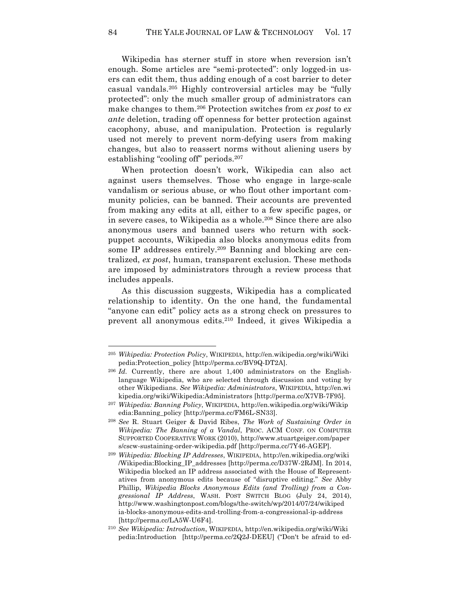Wikipedia has sterner stuff in store when reversion isn't enough. Some articles are "semi-protected": only logged-in users can edit them, thus adding enough of a cost barrier to deter casual vandals.205 Highly controversial articles may be "fully protected": only the much smaller group of administrators can make changes to them.206 Protection switches from *ex post* to *ex ante* deletion, trading off openness for better protection against cacophony, abuse, and manipulation. Protection is regularly used not merely to prevent norm-defying users from making changes, but also to reassert norms without aliening users by establishing "cooling off" periods.207

When protection doesn't work, Wikipedia can also act against users themselves. Those who engage in large-scale vandalism or serious abuse, or who flout other important community policies, can be banned. Their accounts are prevented from making any edits at all, either to a few specific pages, or in severe cases, to Wikipedia as a whole.208 Since there are also anonymous users and banned users who return with sockpuppet accounts, Wikipedia also blocks anonymous edits from some IP addresses entirely.209 Banning and blocking are centralized, *ex post*, human, transparent exclusion. These methods are imposed by administrators through a review process that includes appeals.

As this discussion suggests, Wikipedia has a complicated relationship to identity. On the one hand, the fundamental "anyone can edit" policy acts as a strong check on pressures to prevent all anonymous edits.210 Indeed, it gives Wikipedia a

<sup>205</sup> *Wikipedia: Protection Policy*, WIKIPEDIA, http://en.wikipedia.org/wiki/Wiki pedia:Protection\_policy [http://perma.cc/BV9Q-DT2A].

<sup>206</sup> *Id.* Currently, there are about 1,400 administrators on the Englishlanguage Wikipedia, who are selected through discussion and voting by other Wikipedians. *See Wikipedia: Administrators*, WIKIPEDIA, http://en.wi kipedia.org/wiki/Wikipedia:Administrators [http://perma.cc/X7VB-7F95].

<sup>207</sup> *Wikipedia: Banning Policy*, WIKIPEDIA, http://en.wikipedia.org/wiki/Wikip edia:Banning\_policy [http://perma.cc/FM6L-SN33].

<sup>208</sup> *See* R. Stuart Geiger & David Ribes, *The Work of Sustaining Order in Wikipedia: The Banning of a Vandal*, PROC. ACM CONF. ON COMPUTER SUPPORTED COOPERATIVE WORK (2010), http://www.stuartgeiger.com/paper s/cscw-sustaining-order-wikipedia.pdf [http://perma.cc/7Y46-AGEP].

<sup>209</sup> *Wikipedia: Blocking IP Addresses*, WIKIPEDIA, http://en.wikipedia.org/wiki /Wikipedia:Blocking\_IP\_addresses [http://perma.cc/D37W-2RJM]. In 2014, Wikipedia blocked an IP address associated with the House of Representatives from anonymous edits because of "disruptive editing." *See* Abby Phillip, *Wikipedia Blocks Anonymous Edits (and Trolling) from a Congressional IP Address*, WASH. POST SWITCH BLOG (July 24, 2014), http://www.washingtonpost.com/blogs/the-switch/wp/2014/07/24/wikiped ia-blocks-anonymous-edits-and-trolling-from-a-congressional-ip-address [http://perma.cc/LA5W-U6F4].

<sup>210</sup> *See Wikipedia: Introduction*, WIKIPEDIA, http://en.wikipedia.org/wiki/Wiki pedia:Introduction [http://perma.cc/2Q2J-DEEU] ("Don't be afraid to ed-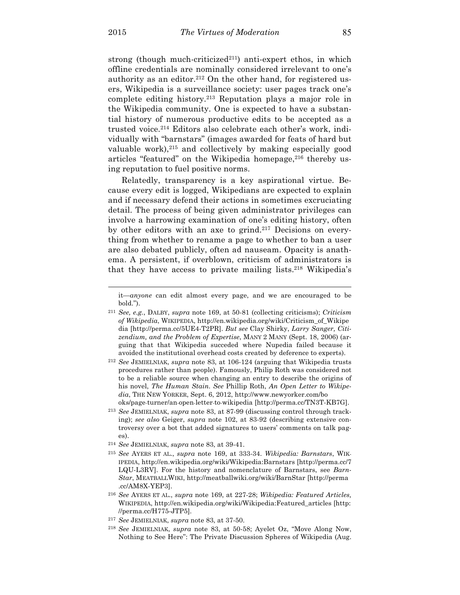strong (though much-criticized<sup>211</sup>) anti-expert ethos, in which offline credentials are nominally considered irrelevant to one's authority as an editor.<sup>212</sup> On the other hand, for registered users, Wikipedia is a surveillance society: user pages track one's complete editing history.213 Reputation plays a major role in the Wikipedia community. One is expected to have a substantial history of numerous productive edits to be accepted as a trusted voice.214 Editors also celebrate each other's work, individually with "barnstars" (images awarded for feats of hard but valuable work),<sup>215</sup> and collectively by making especially good articles "featured" on the Wikipedia homepage,<sup>216</sup> thereby using reputation to fuel positive norms.

Relatedly, transparency is a key aspirational virtue. Because every edit is logged, Wikipedians are expected to explain and if necessary defend their actions in sometimes excruciating detail. The process of being given administrator privileges can involve a harrowing examination of one's editing history, often by other editors with an axe to grind.217 Decisions on everything from whether to rename a page to whether to ban a user are also debated publicly, often ad nauseam. Opacity is anathema. A persistent, if overblown, criticism of administrators is that they have access to private mailing lists.218 Wikipedia's

<sup>218</sup> *See* JEMIELNIAK, *supra* note 83, at 50-58; Ayelet Oz, "Move Along Now, Nothing to See Here": The Private Discussion Spheres of Wikipedia (Aug.

it—*anyone* can edit almost every page, and we are encouraged to be bold.").

<sup>211</sup> *See, e.g.*, DALBY, *supra* note 169, at 50-81 (collecting criticisms); *Criticism of Wikipedia*, WIKIPEDIA, http://en.wikipedia.org/wiki/Criticism\_of\_Wikipe dia [http://perma.cc/5UE4-T2PR]. *But see* Clay Shirky, *Larry Sanger, Citizendium, and the Problem of Expertise*, MANY 2 MANY (Sept. 18, 2006) (arguing that that Wikipedia succeded where Nupedia failed because it avoided the institutional overhead costs created by deference to experts).

<sup>212</sup> *See* JEMIELNIAK, *supra* note 83, at 106-124 (arguing that Wikipedia trusts procedures rather than people). Famously, Philip Roth was considered not to be a reliable source when changing an entry to describe the origins of his novel, *The Human Stain. See* Phillip Roth, *An Open Letter to Wikipedia*, THE NEW YORKER, Sept. 6, 2012, http://www.newyorker.com/bo oks/page-turner/an-open-letter-to-wikipedia [http://perma.cc/TN3T-KB7G].

<sup>213</sup> *See* JEMIELNIAK, *supra* note 83, at 87-99 (discussing control through tracking); *see also* Geiger, *supra* note 102, at 83-92 (describing extensive controversy over a bot that added signatures to users' comments on talk pages).

<sup>214</sup> *See* JEMIELNIAK, *supra* note 83, at 39-41.

<sup>215</sup> *See* AYERS ET AL., *supra* note 169, at 333-34. *Wikipedia: Barnstars*, WIK-IPEDIA, http://en.wikipedia.org/wiki/Wikipedia:Barnstars [http://perma.cc/7 LQU-L3RV]. For the history and nomenclature of Barnstars, see *Barn-Star*, MEATBALLWIKI, http://meatballwiki.org/wiki/BarnStar [http://perma .cc/AM8X-YEP3].

<sup>216</sup> *See* AYERS ET AL., *supra* note 169, at 227-28; *Wikipedia: Featured Articles,*  WIKIPEDIA, http://en.wikipedia.org/wiki/Wikipedia:Featured\_articles [http: //perma.cc/H775-JTP5].

<sup>217</sup> *See* JEMIELNIAK, *supra* note 83, at 37-50.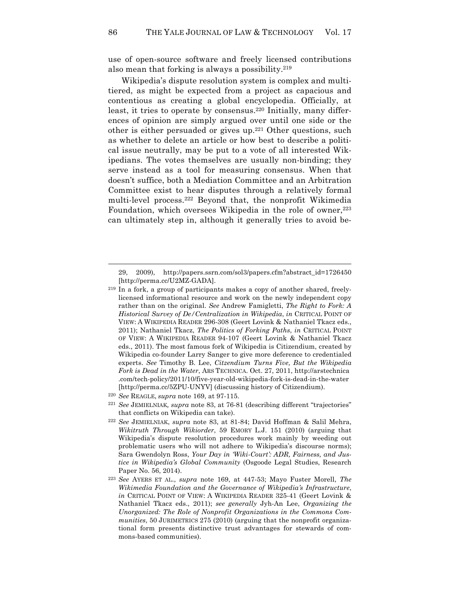use of open-source software and freely licensed contributions also mean that forking is always a possibility.219

Wikipedia's dispute resolution system is complex and multitiered, as might be expected from a project as capacious and contentious as creating a global encyclopedia. Officially, at least, it tries to operate by consensus.<sup>220</sup> Initially, many differences of opinion are simply argued over until one side or the other is either persuaded or gives up.221 Other questions, such as whether to delete an article or how best to describe a political issue neutrally, may be put to a vote of all interested Wikipedians. The votes themselves are usually non-binding; they serve instead as a tool for measuring consensus. When that doesn't suffice, both a Mediation Committee and an Arbitration Committee exist to hear disputes through a relatively formal multi-level process.222 Beyond that, the nonprofit Wikimedia Foundation, which oversees Wikipedia in the role of owner, $223$ can ultimately step in, although it generally tries to avoid be-

<sup>29, 2009),</sup> http://papers.ssrn.com/sol3/papers.cfm?abstract\_id=1726450 [http://perma.cc/U2MZ-GADA].

<sup>219</sup> In a fork, a group of participants makes a copy of another shared, freelylicensed informational resource and work on the newly independent copy rather than on the original. *See* Andrew Famigletti, *The Right to Fork: A Historical Survey of De/Centralization in Wikipedia*, *in* CRITICAL POINT OF VIEW: A WIKIPEDIA READER 296-308 (Geert Lovink & Nathaniel Tkacz eds., 2011); Nathaniel Tkacz, *The Politics of Forking Paths*, *in* CRITICAL POINT OF VIEW: A WIKIPEDIA READER 94-107 (Geert Lovink & Nathaniel Tkacz eds., 2011). The most famous fork of Wikipedia is Citizendium, created by Wikipedia co-founder Larry Sanger to give more deference to credentialed experts. *See* Timothy B. Lee, *Citzendium Turns Five, But the Wikipedia Fork is Dead in the Water*, ARS TECHNICA. Oct. 27, 2011, http://arstechnica .com/tech-policy/2011/10/five-year-old-wikipedia-fork-is-dead-in-the-water [http://perma.cc/5ZPU-UNYV] (discussing history of Citizendium).

<sup>220</sup> *See* REAGLE, *supra* note 169, at 97-115.

<sup>221</sup> *See* JEMIELNIAK*, supra* note 83, at 76-81 (describing different "trajectories" that conflicts on Wikipedia can take).

<sup>222</sup> *See* JEMIELNIAK, *supra* note 83, at 81-84; David Hoffman & Salil Mehra, *Wikitruth Through Wikiorder*, 59 EMORY L.J. 151 (2010) (arguing that Wikipedia's dispute resolution procedures work mainly by weeding out problematic users who will not adhere to Wikipedia's discourse norms); Sara Gwendolyn Ross, *Your Day in 'Wiki-Court': ADR, Fairness, and Justice in Wikipedia's Global Community* (Osgoode Legal Studies, Research Paper No. 56, 2014).

<sup>223</sup> *See* AYERS ET AL., *supra* note 169, at 447-53; Mayo Fuster Morell, *The Wikimedia Foundation and the Governance of Wikipedia's Infrastructure*, *in* CRITICAL POINT OF VIEW: A WIKIPEDIA READER 325-41 (Geert Lovink & Nathaniel Tkacz eds., 2011); *see generally* Jyh-An Lee, *Organizing the Unorganized: The Role of Nonprofit Organizations in the Commons Communities*, 50 JURIMETRICS 275 (2010) (arguing that the nonprofit organizational form presents distinctive trust advantages for stewards of commons-based communities).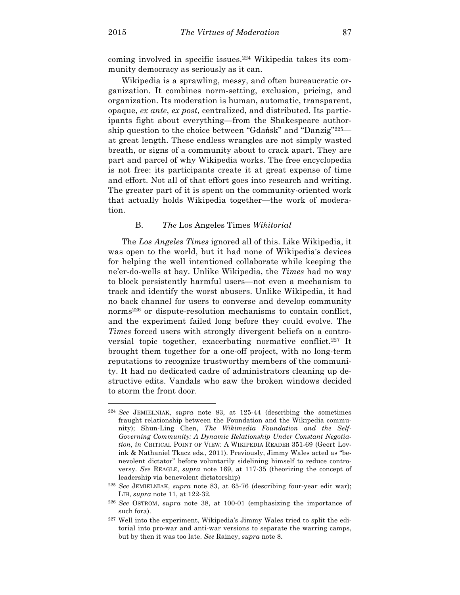coming involved in specific issues.224 Wikipedia takes its community democracy as seriously as it can.

Wikipedia is a sprawling, messy, and often bureaucratic organization. It combines norm-setting, exclusion, pricing, and organization. Its moderation is human, automatic, transparent, opaque, *ex ante*, *ex post*, centralized, and distributed. Its participants fight about everything—from the Shakespeare authorship question to the choice between "Gdańsk" and "Danzig"225 at great length. These endless wrangles are not simply wasted breath, or signs of a community about to crack apart. They are part and parcel of why Wikipedia works. The free encyclopedia is not free: its participants create it at great expense of time and effort. Not all of that effort goes into research and writing. The greater part of it is spent on the community-oriented work that actually holds Wikipedia together—the work of moderation.

## B. *The* Los Angeles Times *Wikitorial*

The *Los Angeles Times* ignored all of this. Like Wikipedia, it was open to the world, but it had none of Wikipedia's devices for helping the well intentioned collaborate while keeping the ne'er-do-wells at bay. Unlike Wikipedia, the *Times* had no way to block persistently harmful users—not even a mechanism to track and identify the worst abusers. Unlike Wikipedia, it had no back channel for users to converse and develop community norms<sup>226</sup> or dispute-resolution mechanisms to contain conflict, and the experiment failed long before they could evolve. The *Times* forced users with strongly divergent beliefs on a controversial topic together, exacerbating normative conflict.<sup>227</sup> It brought them together for a one-off project, with no long-term reputations to recognize trustworthy members of the community. It had no dedicated cadre of administrators cleaning up destructive edits. Vandals who saw the broken windows decided to storm the front door.

<sup>224</sup> *See* JEMIELNIAK, *supra* note 83, at 125-44 (describing the sometimes fraught relationship between the Foundation and the Wikipedia community); Shun-Ling Chen, *The Wikimedia Foundation and the Self-Governing Community: A Dynamic Relationship Under Constant Negotiation*, *in* CRITICAL POINT OF VIEW: A WIKIPEDIA READER 351-69 (Geert Lovink & Nathaniel Tkacz eds., 2011). Previously, Jimmy Wales acted as "benevolent dictator" before voluntarily sidelining himself to reduce controversy. *See* REAGLE, *supra* note 169, at 117-35 (theorizing the concept of leadership via benevolent dictatorship)

<sup>225</sup> *See* JEMIELNIAK, *supra* note 83, at 65-76 (describing four-year edit war); LIH, *supra* note 11, at 122-32.

<sup>226</sup> *See* OSTROM, *supra* note 38, at 100-01 (emphasizing the importance of such fora).

<sup>227</sup> Well into the experiment, Wikipedia's Jimmy Wales tried to split the editorial into pro-war and anti-war versions to separate the warring camps, but by then it was too late. *See* Rainey, *supra* note 8.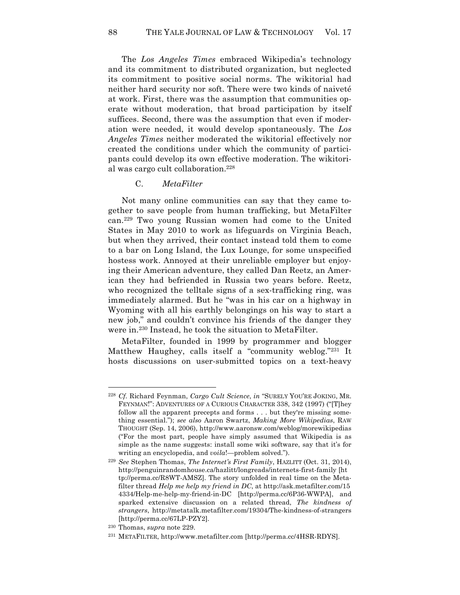The *Los Angeles Times* embraced Wikipedia's technology and its commitment to distributed organization, but neglected its commitment to positive social norms. The wikitorial had neither hard security nor soft. There were two kinds of naiveté at work. First, there was the assumption that communities operate without moderation, that broad participation by itself suffices. Second, there was the assumption that even if moderation were needed, it would develop spontaneously. The *Los Angeles Times* neither moderated the wikitorial effectively nor created the conditions under which the community of participants could develop its own effective moderation. The wikitorial was cargo cult collaboration.228

#### C. *MetaFilter*

Not many online communities can say that they came together to save people from human trafficking, but MetaFilter can.229 Two young Russian women had come to the United States in May 2010 to work as lifeguards on Virginia Beach, but when they arrived, their contact instead told them to come to a bar on Long Island, the Lux Lounge, for some unspecified hostess work. Annoyed at their unreliable employer but enjoying their American adventure, they called Dan Reetz, an American they had befriended in Russia two years before. Reetz, who recognized the telltale signs of a sex-trafficking ring, was immediately alarmed. But he "was in his car on a highway in Wyoming with all his earthly belongings on his way to start a new job," and couldn't convince his friends of the danger they were in.230 Instead, he took the situation to MetaFilter.

MetaFilter, founded in 1999 by programmer and blogger Matthew Haughey, calls itself a "community weblog."231 It hosts discussions on user-submitted topics on a text-heavy

<sup>228</sup> *Cf.* Richard Feynman, *Cargo Cult Science*, *in* "SURELY YOU'RE JOKING, MR. FEYNMAN!": ADVENTURES OF A CURIOUS CHARACTER 338, 342 (1997) ("[T]hey follow all the apparent precepts and forms . . . but they're missing something essential."); *see also* Aaron Swartz, *Making More Wikipedias*, RAW THOUGHT (Sep. 14, 2006), http://www.aaronsw.com/weblog/morewikipedias ("For the most part, people have simply assumed that Wikipedia is as simple as the name suggests: install some wiki software, say that it's for writing an encyclopedia, and *voila*!—problem solved.").

<sup>229</sup> *See* Stephen Thomas, *The Internet's First Family*, HAZLITT (Oct. 31, 2014), http://penguinrandomhouse.ca/hazlitt/longreads/internets-first-family [ht tp://perma.cc/R8WT-AMSZ]. The story unfolded in real time on the Metafilter thread *Help me help my friend in DC*, at http://ask.metafilter.com/15 4334/Help-me-help-my-friend-in-DC [http://perma.cc/6P36-WWPA], and sparked extensive discussion on a related thread, *The kindness of strangers*, http://metatalk.metafilter.com/19304/The-kindness-of-strangers [http://perma.cc/67LP-PZY2].

<sup>230</sup> Thomas, *supra* note 229.

<sup>231</sup> METAFILTER, http://www.metafilter.com [http://perma.cc/4HSR-RDYS].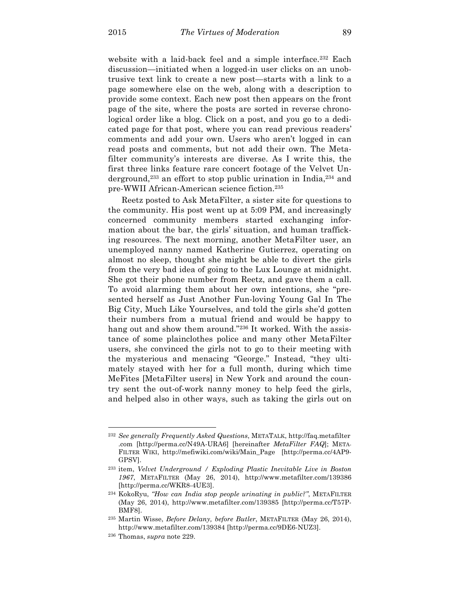website with a laid-back feel and a simple interface.<sup>232</sup> Each discussion—initiated when a logged-in user clicks on an unobtrusive text link to create a new post—starts with a link to a page somewhere else on the web, along with a description to provide some context. Each new post then appears on the front page of the site, where the posts are sorted in reverse chronological order like a blog. Click on a post, and you go to a dedicated page for that post, where you can read previous readers' comments and add your own. Users who aren't logged in can read posts and comments, but not add their own. The Metafilter community's interests are diverse. As I write this, the first three links feature rare concert footage of the Velvet Underground,233 an effort to stop public urination in India,234 and pre-WWII African-American science fiction.235

Reetz posted to Ask MetaFilter, a sister site for questions to the community. His post went up at 5:09 PM, and increasingly concerned community members started exchanging information about the bar, the girls' situation, and human trafficking resources. The next morning, another MetaFilter user, an unemployed nanny named Katherine Gutierrez, operating on almost no sleep, thought she might be able to divert the girls from the very bad idea of going to the Lux Lounge at midnight. She got their phone number from Reetz, and gave them a call. To avoid alarming them about her own intentions, she "presented herself as Just Another Fun-loving Young Gal In The Big City, Much Like Yourselves, and told the girls she'd gotten their numbers from a mutual friend and would be happy to hang out and show them around."236 It worked. With the assistance of some plainclothes police and many other MetaFilter users, she convinced the girls not to go to their meeting with the mysterious and menacing "George." Instead, "they ultimately stayed with her for a full month, during which time MeFites [MetaFilter users] in New York and around the country sent the out-of-work nanny money to help feed the girls, and helped also in other ways, such as taking the girls out on

<sup>232</sup> *See generally Frequently Asked Questions*, METATALK, http://faq.metafilter .com [http://perma.cc/N49A-URA6] [hereinafter *MetaFilter FAQ*]; META-FILTER WIKI, http://mefiwiki.com/wiki/Main\_Page [http://perma.cc/4AP9- GPSV].

<sup>233</sup> item, *Velvet Underground / Exploding Plastic Inevitable Live in Boston 1967*, METAFILTER (May 26, 2014), http://www.metafilter.com/139386 [http://perma.cc/WKR8-4UE3].

<sup>234</sup> KokoRyu, *"How can India stop people urinating in public?"*, METAFILTER (May 26, 2014), http://www.metafilter.com/139385 [http://perma.cc/T57P-BMF8].

<sup>235</sup> Martin Wisse, *Before Delany, before Butler*, METAFILTER (May 26, 2014), http://www.metafilter.com/139384 [http://perma.cc/9DE6-NUZ3].

<sup>236</sup> Thomas, *supra* note 229.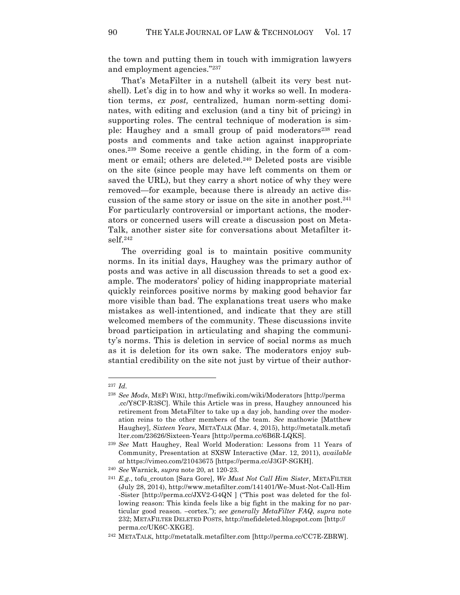the town and putting them in touch with immigration lawyers and employment agencies."237

That's MetaFilter in a nutshell (albeit its very best nutshell). Let's dig in to how and why it works so well. In moderation terms, *ex post,* centralized, human norm-setting dominates, with editing and exclusion (and a tiny bit of pricing) in supporting roles. The central technique of moderation is simple: Haughey and a small group of paid moderators<sup>238</sup> read posts and comments and take action against inappropriate ones.239 Some receive a gentle chiding, in the form of a comment or email; others are deleted.<sup>240</sup> Deleted posts are visible on the site (since people may have left comments on them or saved the URL), but they carry a short notice of why they were removed—for example, because there is already an active discussion of the same story or issue on the site in another post.241 For particularly controversial or important actions, the moderators or concerned users will create a discussion post on Meta-Talk, another sister site for conversations about Metafilter itself.242

The overriding goal is to maintain positive community norms. In its initial days, Haughey was the primary author of posts and was active in all discussion threads to set a good example. The moderators' policy of hiding inappropriate material quickly reinforces positive norms by making good behavior far more visible than bad. The explanations treat users who make mistakes as well-intentioned, and indicate that they are still welcomed members of the community. These discussions invite broad participation in articulating and shaping the community's norms. This is deletion in service of social norms as much as it is deletion for its own sake. The moderators enjoy substantial credibility on the site not just by virtue of their author-

<sup>237</sup> *Id.*

<sup>238</sup> *See Mods*, MEFI WIKI, http://mefiwiki.com/wiki/Moderators [http://perma .cc/Y8CP-R3SC]. While this Article was in press, Haughey announced his retirement from MetaFilter to take up a day job, handing over the moderation reins to the other members of the team. *See* mathowie [Matthew Haughey], *Sixteen Years*, METATALK (Mar. 4, 2015), http://metatalk.metafi lter.com/23626/Sixteen-Years [http://perma.cc/6B6R-LQKS].

<sup>239</sup> *See* Matt Haughey, Real World Moderation: Lessons from 11 Years of Community, Presentation at SXSW Interactive (Mar. 12, 2011), *available at* https://vimeo.com/21043675 [https://perma.cc/J3GP-SGKH].

<sup>240</sup> *See* Warnick, *supra* note 20, at 120-23.

<sup>241</sup> *E.g.*, tofu\_crouton [Sara Gore], *We Must Not Call Him Sister*, METAFILTER (July 28, 2014), http://www.metafilter.com/141401/We-Must-Not-Call-Him -Sister [http://perma.cc/JXV2-G4QN ] ("This post was deleted for the following reason: This kinda feels like a big fight in the making for no particular good reason. –cortex."); *see generally MetaFilter FAQ*, *supra* note 232; METAFILTER DELETED POSTS, http://mefideleted.blogspot.com [http:// perma.cc/UK6C-XKGE].

<sup>242</sup> METATALK, http://metatalk.metafilter.com [http://perma.cc/CC7E-ZBRW].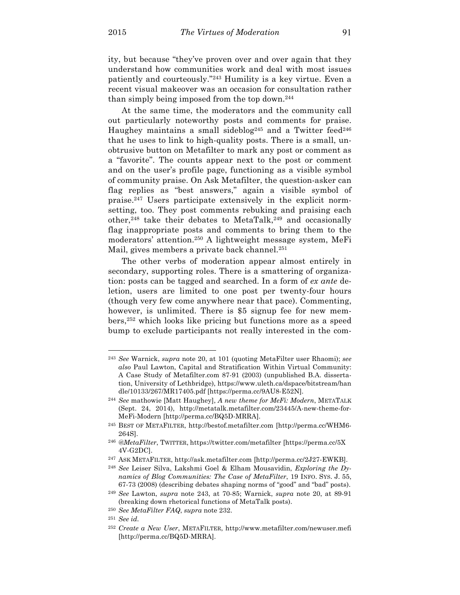ity, but because "they've proven over and over again that they understand how communities work and deal with most issues patiently and courteously."243 Humility is a key virtue. Even a recent visual makeover was an occasion for consultation rather than simply being imposed from the top down.244

At the same time, the moderators and the community call out particularly noteworthy posts and comments for praise. Haughey maintains a small sideblog<sup>245</sup> and a Twitter feed<sup>246</sup> that he uses to link to high-quality posts. There is a small, unobtrusive button on Metafilter to mark any post or comment as a "favorite". The counts appear next to the post or comment and on the user's profile page, functioning as a visible symbol of community praise. On Ask Metafilter, the question-asker can flag replies as "best answers," again a visible symbol of praise.247 Users participate extensively in the explicit normsetting, too. They post comments rebuking and praising each other,<sup>248</sup> take their debates to MetaTalk,<sup>249</sup> and occasionally flag inappropriate posts and comments to bring them to the moderators' attention.250 A lightweight message system, MeFi Mail, gives members a private back channel.<sup>251</sup>

The other verbs of moderation appear almost entirely in secondary, supporting roles. There is a smattering of organization: posts can be tagged and searched. In a form of *ex ante* deletion, users are limited to one post per twenty-four hours (though very few come anywhere near that pace). Commenting, however, is unlimited. There is \$5 signup fee for new members,252 which looks like pricing but functions more as a speed bump to exclude participants not really interested in the com-

<sup>243</sup> *See* Warnick, *supra* note 20, at 101 (quoting MetaFilter user Rhaomi); *see also* Paul Lawton, Capital and Stratification Within Virtual Community: A Case Study of Metafilter.com 87-91 (2003) (unpublished B.A. dissertation, University of Lethbridge), https://www.uleth.ca/dspace/bitstream/han dle/10133/267/MR17405.pdf [https://perma.cc/9AU8-E52N].

<sup>244</sup> *See* mathowie [Matt Haughey], *A new theme for MeFi: Modern*, METATALK (Sept. 24, 2014), http://metatalk.metafilter.com/23445/A-new-theme-for-MeFi-Modern [http://perma.cc/BQ5D-MRRA].

<sup>245</sup> BEST OF METAFILTER, http://bestof.metafilter.com [http://perma.cc/WHM6- 264S].

<sup>246</sup> *@MetaFilter*, TWITTER, https://twitter.com/metafilter [https://perma.cc/5X 4V-G2DC].

<sup>247</sup> ASK METAFILTER, http://ask.metafilter.com [http://perma.cc/2J27-EWKB].

<sup>248</sup> *See* Leiser Silva, Lakshmi Goel & Elham Mousavidin, *Exploring the Dynamics of Blog Communities: The Case of MetaFilter*, 19 INFO. SYS. J. 55, 67-73 (2008) (describing debates shaping norms of "good" and "bad" posts).

<sup>249</sup> *See* Lawton, *supra* note 243, at 70-85; Warnick, *supra* note 20, at 89-91 (breaking down rhetorical functions of MetaTalk posts).

<sup>250</sup> *See MetaFilter FAQ*, *supra* note 232.

<sup>251</sup> *See id.*

<sup>252</sup> *Create a New User*, METAFILTER, http://www.metafilter.com/newuser.mefi [http://perma.cc/BQ5D-MRRA].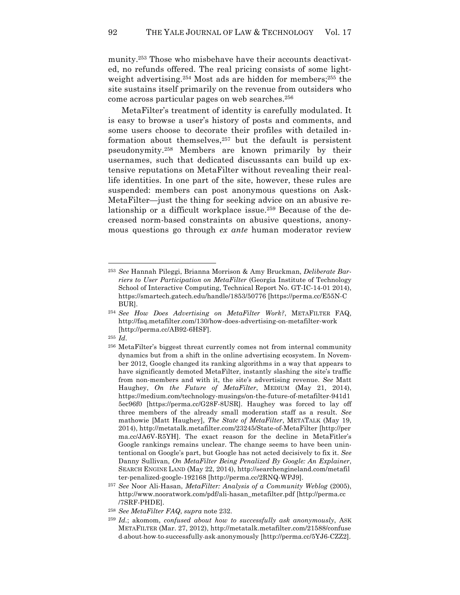munity.253 Those who misbehave have their accounts deactivated, no refunds offered. The real pricing consists of some lightweight advertising.254 Most ads are hidden for members; <sup>255</sup> the site sustains itself primarily on the revenue from outsiders who come across particular pages on web searches.<sup>256</sup>

MetaFilter's treatment of identity is carefully modulated. It is easy to browse a user's history of posts and comments, and some users choose to decorate their profiles with detailed information about themselves, $257$  but the default is persistent pseudonymity.258 Members are known primarily by their usernames, such that dedicated discussants can build up extensive reputations on MetaFilter without revealing their reallife identities. In one part of the site, however, these rules are suspended: members can post anonymous questions on Ask-MetaFilter—just the thing for seeking advice on an abusive relationship or a difficult workplace issue.259 Because of the decreased norm-based constraints on abusive questions, anonymous questions go through *ex ante* human moderator review

<sup>255</sup> *Id*.

<sup>253</sup> *See* Hannah Pileggi, Brianna Morrison & Amy Bruckman, *Deliberate Barriers to User Participation on MetaFilter* (Georgia Institute of Technology School of Interactive Computing, Technical Report No. GT-IC-14-01 2014), https://smartech.gatech.edu/handle/1853/50776 [https://perma.cc/E55N-C BUR].

<sup>254</sup> *See How Does Advertising on MetaFilter Work?*, METAFILTER FAQ, http://faq.metafilter.com/130/how-does-advertising-on-metafilter-work [http://perma.cc/AB92-6HSF].

<sup>256</sup> MetaFilter's biggest threat currently comes not from internal community dynamics but from a shift in the online advertising ecosystem. In November 2012, Google changed its ranking algorithms in a way that appears to have significantly demoted MetaFilter, instantly slashing the site's traffic from non-members and with it, the site's advertising revenue. *See* Matt Haughey, *On the Future of MetaFilter*, MEDIUM (May 21, 2014), https://medium.com/technology-musings/on-the-future-of-metafilter-941d1 5ec96f0 [https://perma.cc/G28F-8USR]. Haughey was forced to lay off three members of the already small moderation staff as a result. *See* mathowie [Matt Haughey], *The State of MetaFilter*, METATALK (May 19, 2014), http://metatalk.metafilter.com/23245/State-of-MetaFilter [http://per ma.cc/JA6V-R5YH]. The exact reason for the decline in MetaFitler's Google rankings remains unclear. The change seems to have been unintentional on Google's part, but Google has not acted decisively to fix it. *See* Danny Sullivan, *On MetaFilter Being Penalized By Google: An Explainer*, SEARCH ENGINE LAND (May 22, 2014), http://searchengineland.com/metafil ter-penalized-google-192168 [http://perma.cc/2RNQ-WPJ9].

<sup>257</sup> *See* Noor Ali-Hasan, *MetaFilter: Analysis of a Community Weblog* (2005), http://www.nooratwork.com/pdf/ali-hasan\_metafilter.pdf [http://perma.cc /7SRF-PHDE].

<sup>258</sup> *See MetaFilter FAQ*, *supra* note 232.

<sup>259</sup> *Id.*; akomom, *confused about how to successfully ask anonymously*, ASK METAFILTER (Mar. 27, 2012), http://metatalk.metafilter.com/21588/confuse d-about-how-to-successfully-ask-anonymously [http://perma.cc/5YJ6-CZZ2].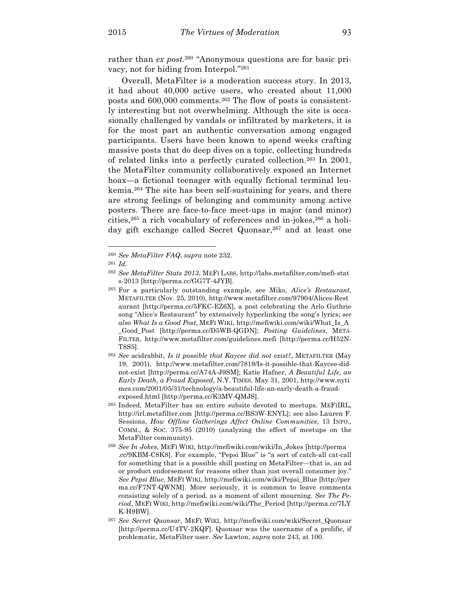rather than *ex post.*<sup>260</sup> "Anonymous questions are for basic privacy, not for hiding from Interpol."261

Overall, MetaFilter is a moderation success story. In 2013, it had about 40,000 active users, who created about 11,000 posts and 600,000 comments.262 The flow of posts is consistently interesting but not overwhelming. Although the site is occasionally challenged by vandals or infiltrated by marketers, it is for the most part an authentic conversation among engaged participants. Users have been known to spend weeks crafting massive posts that do deep dives on a topic, collecting hundreds of related links into a perfectly curated collection.263 In 2001, the MetaFilter community collaboratively exposed an Internet hoax—a fictional teenager with equally fictional terminal leukemia.264 The site has been self-sustaining for years, and there are strong feelings of belonging and community among active posters. There are face-to-face meet-ups in major (and minor) cities,265 a rich vocabulary of references and in-jokes,266 a holiday gift exchange called Secret Quonsar,<sup>267</sup> and at least one

<sup>260</sup> *See MetaFilter FAQ*, *supra* note 232.

<sup>261</sup> *Id.*

<sup>262</sup> *See MetaFilter Stats 2013*, MEFI LABS, http://labs.metafilter.com/mefi-stat s-2013 [http://perma.cc/GG7T-4JYB].

<sup>263</sup> For a particularly outstanding example, see Miko, *Alice's Restaurant*, METAFILTER (Nov. 25, 2010), http://www.metafilter.com/97904/Alices-Rest aurant [http://perma.cc/5FKC-EZ6X], a post celebrating the Arlo Guthrie song "Alice's Restaurant" by extensively hyperlinking the song's lyrics; *see also What Is a Good Post*, MEFI WIKI, http://mefiwiki.com/wiki/What\_Is\_A \_Good\_Post [http://perma.cc/D5WB-QGDN]; *Posting Guidelines*, META-FILTER, http://www.metafilter.com/guidelines.mefi [http://perma.cc/H52N-T8S5].

<sup>264</sup> *See* acidrabbit, *Is it possible that Kaycee did not exist?*, METAFILTER (May 19, 2001), http://www.metafilter.com/7819/Is-it-possible-that-Kaycee-didnot-exist [http://perma.cc/A74A-J9SM]; Katie Hafner, *A Beautiful Life, an Early Death, a Fraud Exposed*, N.Y. TIMES, May 31, 2001, http://www.nyti mes.com/2001/05/31/technology/a-beautiful-life-an-early-death-a-fraudexposed.html [http://perma.cc/K3MV-QMJS].

<sup>265</sup> Indeed, MetaFilter has an entire subsite devoted to meetups. MEFIIRL, http://irl.metafilter.com [http://perma.cc/BS3W-ENYL]; see also Lauren F. Sessions, *How Offline Gatherings Affect Online Communities*, 13 INFO., COMM., & SOC. 375-95 (2010) (analyzing the effect of meetups on the MetaFilter community).

<sup>266</sup> *See In Jokes*, MEFI WIKI, http://mefiwiki.com/wiki/In\_Jokes [http://perma .cc/9KBM-C8K8]. For example, "Pepsi Blue" is "a sort of catch-all cat-call for something that is a possible shill posting on MetaFilter—that is, an ad or product endorsement for reasons other than just overall consumer joy." *See Pepsi Blue*, MEFI WIKI, http://mefiwiki.com/wiki/Pepsi\_Blue [http://per ma.cc/F7NT-QWNM]. More seriously, it is common to leave comments consisting solely of a period, as a moment of silent mourning. *See The Period*, MEFI WIKI, http://mefiwiki.com/wiki/The\_Period [http://perma.cc/7LY K-H9BW].

<sup>267</sup> *See Secret Quonsar*, MEFI WIKI, http://mefiwiki.com/wiki/Secret\_Quonsar [http://perma.cc/U4TV-2KQF]. Quonsar was the username of a prolific, if problematic, MetaFilter user. *See* Lawton, *supra* note 243, at 100.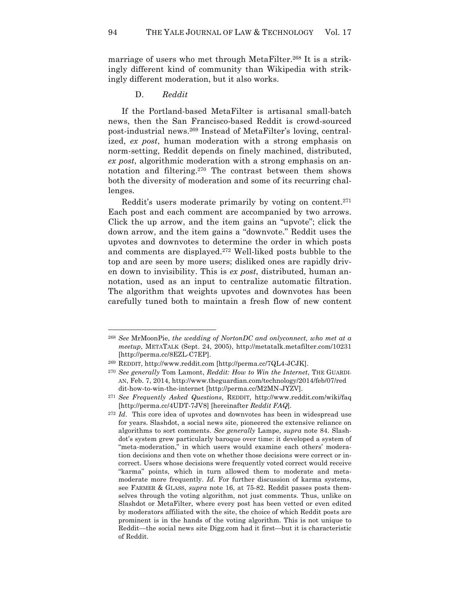marriage of users who met through MetaFilter.<sup>268</sup> It is a strikingly different kind of community than Wikipedia with strikingly different moderation, but it also works.

D. *Reddit*

If the Portland-based MetaFilter is artisanal small-batch news, then the San Francisco-based Reddit is crowd-sourced post-industrial news.269 Instead of MetaFilter's loving, centralized, *ex post*, human moderation with a strong emphasis on norm-setting, Reddit depends on finely machined, distributed, *ex post*, algorithmic moderation with a strong emphasis on annotation and filtering.270 The contrast between them shows both the diversity of moderation and some of its recurring challenges.

Reddit's users moderate primarily by voting on content.271 Each post and each comment are accompanied by two arrows. Click the up arrow, and the item gains an "upvote"; click the down arrow, and the item gains a "downvote." Reddit uses the upvotes and downvotes to determine the order in which posts and comments are displayed.272 Well-liked posts bubble to the top and are seen by more users; disliked ones are rapidly driven down to invisibility. This is *ex post*, distributed, human annotation, used as an input to centralize automatic filtration. The algorithm that weights upvotes and downvotes has been carefully tuned both to maintain a fresh flow of new content

<sup>268</sup> *See* MrMoonPie, *the wedding of NortonDC and onlyconnect, who met at a meetup*, METATALK (Sept. 24, 2005), http://metatalk.metafilter.com/10231 [http://perma.cc/8EZL-C7EP].

<sup>269</sup> REDDIT, http://www.reddit.com [http://perma.cc/7QL4-JCJK].

<sup>270</sup> *See generally* Tom Lamont, *Reddit: How to Win the Internet*, THE GUARDI-AN, Feb. 7, 2014, http://www.theguardian.com/technology/2014/feb/07/red dit-how-to-win-the-internet [http://perma.cc/M2MN-JYZV].

<sup>271</sup> *See Frequently Asked Questions*, REDDIT, http://www.reddit.com/wiki/faq [http://perma.cc/4UDT-7JV8] [hereinafter *Reddit FAQ*].

<sup>272</sup> *Id*. This core idea of upvotes and downvotes has been in widespread use for years. Slashdot, a social news site, pioneered the extensive reliance on algorithms to sort comments. *See generally* Lampe, *supra* note 84. Slashdot's system grew particularly baroque over time: it developed a system of "meta-moderation," in which users would examine each others' moderation decisions and then vote on whether those decisions were correct or incorrect. Users whose decisions were frequently voted correct would receive "karma" points, which in turn allowed them to moderate and metamoderate more frequently. *Id.* For further discussion of karma systems, see FARMER & GLASS, *supra* note 16, at 75-82. Reddit passes posts themselves through the voting algorithm, not just comments. Thus, unlike on Slashdot or MetaFilter, where every post has been vetted or even edited by moderators affiliated with the site, the choice of which Reddit posts are prominent is in the hands of the voting algorithm. This is not unique to Reddit—the social news site Digg.com had it first—but it is characteristic of Reddit.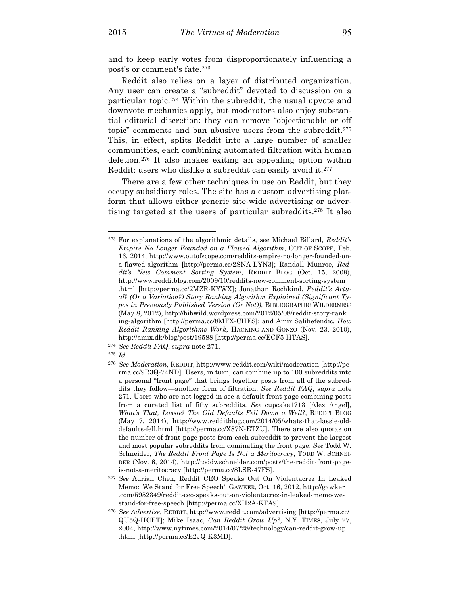and to keep early votes from disproportionately influencing a post's or comment's fate.273

Reddit also relies on a layer of distributed organization. Any user can create a "subreddit" devoted to discussion on a particular topic.274 Within the subreddit, the usual upvote and downvote mechanics apply, but moderators also enjoy substantial editorial discretion: they can remove "objectionable or off topic" comments and ban abusive users from the subreddit.275 This, in effect, splits Reddit into a large number of smaller communities, each combining automated filtration with human deletion.276 It also makes exiting an appealing option within Reddit: users who dislike a subreddit can easily avoid it.<sup>277</sup>

There are a few other techniques in use on Reddit, but they occupy subsidiary roles. The site has a custom advertising platform that allows either generic site-wide advertising or advertising targeted at the users of particular subreddits.278 It also

<sup>275</sup> *Id.*

<sup>273</sup> For explanations of the algorithmic details, see Michael Billard, *Reddit's Empire No Longer Founded on a Flawed Algorithm*, OUT OF SCOPE, Feb. 16, 2014, http://www.outofscope.com/reddits-empire-no-longer-founded-ona-flawed-algorithm [http://perma.cc/2SNA-LYN3]; Randall Munroe, *Reddit's New Comment Sorting System*, REDDIT BLOG (Oct. 15, 2009), http://www.redditblog.com/2009/10/reddits-new-comment-sorting-system .html [http://perma.cc/2MZR-KYWX]; Jonathan Rochkind, *Reddit's Actual? (Or a Variation?) Story Ranking Algorithm Explained (Significant Typos in Previously Published Version (Or Not))*, BIBLIOGRAPHIC WILDERNESS (May 8, 2012), http://bibwild.wordpress.com/2012/05/08/reddit-story-rank ing-algorithm [http://perma.cc/8MFX-CHFS]; and Amir Salihefendic, *How Reddit Ranking Algorithms Work*, HACKING AND GONZO (Nov. 23, 2010), http://amix.dk/blog/post/19588 [http://perma.cc/ECF5-HTAS].

<sup>274</sup> *See Reddit FAQ*, *supra* note 271.

<sup>276</sup> *See Moderation*, REDDIT, http://www.reddit.com/wiki/moderation [http://pe rma.cc/9R3Q-74ND]. Users, in turn, can combine up to 100 subreddits into a personal "front page" that brings together posts from all of the subreddits they follow—another form of filtration. *See Reddit FAQ*, *supra* note 271. Users who are not logged in see a default front page combining posts from a curated list of fifty subreddits. *See* cupcake1713 [Alex Angel], *What's That, Lassie? The Old Defaults Fell Down a Well?*, REDDIT BLOG (May 7, 2014), http://www.redditblog.com/2014/05/whats-that-lassie-olddefaults-fell.html [http://perma.cc/X87N-ETZU]. There are also quotas on the number of front-page posts from each subreddit to prevent the largest and most popular subreddits from dominating the front page. *See* Todd W. Schneider, *The Reddit Front Page Is Not a Meritocracy*, TODD W. SCHNEI-DER (Nov. 6, 2014), http://toddwschneider.com/posts/the-reddit-front-pageis-not-a-meritocracy [http://perma.cc/8LSB-47FS].

<sup>277</sup> *See* Adrian Chen, Reddit CEO Speaks Out On Violentacrez In Leaked Memo: 'We Stand for Free Speech', GAWKER, Oct. 16, 2012, http://gawker .com/5952349/reddit-ceo-speaks-out-on-violentacrez-in-leaked-memo-westand-for-free-speech [http://perma.cc/XH2A-KTA9].

<sup>278</sup> *See Advertise*, REDDIT, http://www.reddit.com/advertising [http://perma.cc/ QU5Q-HCET]; Mike Isaac, *Can Reddit Grow Up?*, N.Y. TIMES, July 27, 2004, http://www.nytimes.com/2014/07/28/technology/can-reddit-grow-up .html [http://perma.cc/E2JQ-K3MD].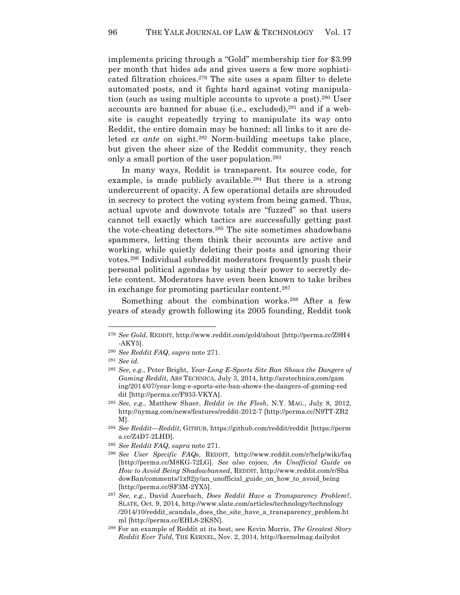implements pricing through a "Gold" membership tier for \$3.99 per month that hides ads and gives users a few more sophisticated filtration choices.279 The site uses a spam filter to delete automated posts, and it fights hard against voting manipulation (such as using multiple accounts to upvote a post).280 User accounts are banned for abuse (i.e., excluded), $281$  and if a website is caught repeatedly trying to manipulate its way onto Reddit, the entire domain may be banned: all links to it are deleted *ex ante* on sight.<sup>282</sup> Norm-building meetups take place, but given the sheer size of the Reddit community, they reach only a small portion of the user population.283

In many ways, Reddit is transparent. Its source code, for example, is made publicly available.<sup>284</sup> But there is a strong undercurrent of opacity. A few operational details are shrouded in secrecy to protect the voting system from being gamed. Thus, actual upvote and downvote totals are "fuzzed" so that users cannot tell exactly which tactics are successfully getting past the vote-cheating detectors.285 The site sometimes shadowbans spammers, letting them think their accounts are active and working, while quietly deleting their posts and ignoring their votes.286 Individual subreddit moderators frequently push their personal political agendas by using their power to secretly delete content. Moderators have even been known to take bribes in exchange for promoting particular content. 287

Something about the combination works.<sup>288</sup> After a few years of steady growth following its 2005 founding, Reddit took

<sup>279</sup> *See Gold*, REDDIT, http://www.reddit.com/gold/about [http://perma.cc/Z9H4 -AKY5].

<sup>280</sup> *See Reddit FAQ*, *supra* note 271.

<sup>281</sup> *See id.*

<sup>282</sup> *See, e.g.*, Peter Bright, *Year-Long E-Sports Site Ban Shows the Dangers of Gaming Reddit*, ARS TECHNICA, July 3, 2014, http://arstechnica.com/gam ing/2014/07/year-long-e-sports-site-ban-shows-the-dangers-of-gaming-red dit [http://perma.cc/F933-VKYA].

<sup>283</sup> *See, e.g.*, Matthew Shaer, *Reddit in the Flesh*, N.Y. MAG., July 8, 2012, http://nymag.com/news/features/reddit-2012-7 [http://perma.cc/N9TT-ZB2 M].

<sup>284</sup> *See Reddit—Reddit*, GITHUB, https://github.com/reddit/reddit [https://perm a.cc/Z4D7-2LHD].

<sup>285</sup> *See Reddit FAQ*, *supra* note 271.

<sup>286</sup> *See User Specific FAQs*, REDDIT, http://www.reddit.com/r/help/wiki/faq [http://perma.cc/M8KG-72LG]. *See also* cojoco, *An Unofficial Guide on How to Avoid Being Shadowbanned*, REDDIT, http://www.reddit.com/r/Sha dowBan/comments/1x92jy/an\_unofficial\_guide\_on\_how\_to\_avoid\_being [http://perma.cc/SF3M-2YX5].

<sup>287</sup> *See, e.g.*, David Auerbach, *Does Reddit Have a Transparency Problem?*, SLATE, Oct. 9, 2014, http://www.slate.com/articles/technology/technology /2014/10/reddit\_scandals\_does\_the\_site\_have\_a\_transparency\_problem.ht ml [http://perma.cc/EHL8-2KSN].

<sup>288</sup> For an example of Reddit at its best, see Kevin Morris, *The Greatest Story Reddit Ever Told*, THE KERNEL, Nov. 2, 2014, http://kernelmag.dailydot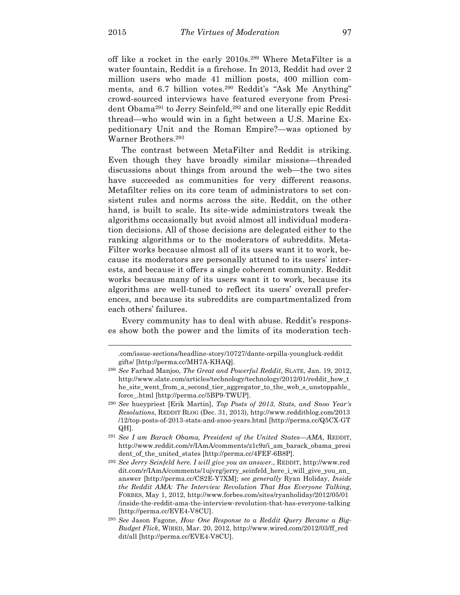$\overline{a}$ 

off like a rocket in the early 2010s.289 Where MetaFilter is a water fountain, Reddit is a firehose. In 2013, Reddit had over 2 million users who made 41 million posts, 400 million comments, and 6.7 billion votes.<sup>290</sup> Reddit's "Ask Me Anything" crowd-sourced interviews have featured everyone from President Obama<sup>291</sup> to Jerry Seinfeld,<sup>292</sup> and one literally epic Reddit thread—who would win in a fight between a U.S. Marine Expeditionary Unit and the Roman Empire?—was optioned by Warner Brothers.293

The contrast between MetaFilter and Reddit is striking. Even though they have broadly similar missions—threaded discussions about things from around the web—the two sites have succeeded as communities for very different reasons. Metafilter relies on its core team of administrators to set consistent rules and norms across the site. Reddit, on the other hand, is built to scale. Its site-wide administrators tweak the algorithms occasionally but avoid almost all individual moderation decisions. All of those decisions are delegated either to the ranking algorithms or to the moderators of subreddits. Meta-Filter works because almost all of its users want it to work, because its moderators are personally attuned to its users' interests, and because it offers a single coherent community. Reddit works because many of its users want it to work, because its algorithms are well-tuned to reflect its users' overall preferences, and because its subreddits are compartmentalized from each others' failures.

Every community has to deal with abuse. Reddit's responses show both the power and the limits of its moderation tech-

<sup>.</sup>com/issue-sections/headline-story/10727/dante-orpilla-youngluck-reddit gifts/ [http://perma.cc/MH7A-KHAQ].

<sup>289</sup> *See* Farhad Manjoo, *The Great and Powerful Reddit*, SLATE, Jan. 19, 2012, http://www.slate.com/articles/technology/technology/2012/01/reddit\_how\_t he\_site\_went\_from\_a\_second\_tier\_aggregator\_to\_the\_web\_s\_unstoppable\_ force\_.html [http://perma.cc/5BP9-TWUP].

<sup>290</sup> *See* hueypriest [Erik Martin], *Top Posts of 2013, Stats, and Snoo Year's Resolutions*, REDDIT BLOG (Dec. 31, 2013), http://www.redditblog.com/2013 /12/top-posts-of-2013-stats-and-snoo-years.html [http://perma.cc/Q5CX-GT QH].

<sup>291</sup> *See I am Barack Obama, President of the United States—AMA*, REDDIT, http://www.reddit.com/r/IAmA/comments/z1c9z/i\_am\_barack\_obama\_presi dent\_of\_the\_united\_states [http://perma.cc/4FEF-6B8P].

<sup>292</sup> *See Jerry Seinfeld here. I will give you an answer.*, REDDIT, http://www.red dit.com/r/IAmA/comments/1ujvrg/jerry\_seinfeld\_here\_i\_will\_give\_you\_an\_ answer [http://perma.cc/CS2E-Y7XM]; *see generally* Ryan Holiday, *Inside the Reddit AMA: The Interview Revolution That Has Everyone Talking*, FORBES, May 1, 2012, http://www.forbes.com/sites/ryanholiday/2012/05/01 /inside-the-reddit-ama-the-interview-revolution-that-has-everyone-talking [http://perma.cc/EVE4-V8CU].

<sup>293</sup> *See* Jason Fagone, *How One Response to a Reddit Query Became a Big-Budget Flick*, WIRED, Mar. 20, 2012, http://www.wired.com/2012/03/ff\_red dit/all [http://perma.cc/EVE4-V8CU].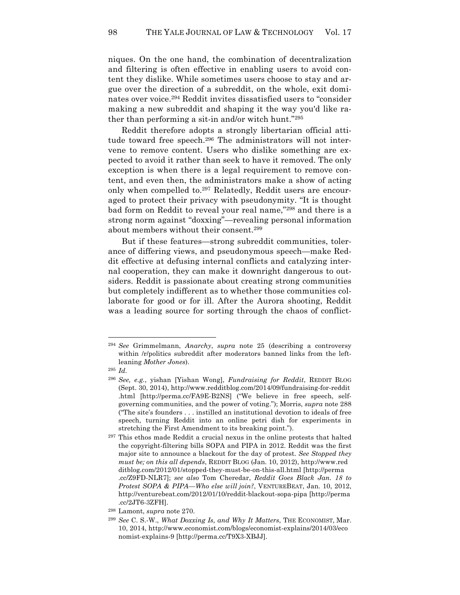niques. On the one hand, the combination of decentralization and filtering is often effective in enabling users to avoid content they dislike. While sometimes users choose to stay and argue over the direction of a subreddit, on the whole, exit dominates over voice.294 Reddit invites dissatisfied users to "consider making a new subreddit and shaping it the way you'd like rather than performing a sit-in and/or witch hunt."295

Reddit therefore adopts a strongly libertarian official attitude toward free speech.296 The administrators will not intervene to remove content. Users who dislike something are expected to avoid it rather than seek to have it removed. The only exception is when there is a legal requirement to remove content, and even then, the administrators make a show of acting only when compelled to.297 Relatedly, Reddit users are encouraged to protect their privacy with pseudonymity. "It is thought bad form on Reddit to reveal your real name,"298 and there is a strong norm against "doxxing"—revealing personal information about members without their consent.299

But if these features—strong subreddit communities, tolerance of differing views, and pseudonymous speech—make Reddit effective at defusing internal conflicts and catalyzing internal cooperation, they can make it downright dangerous to outsiders. Reddit is passionate about creating strong communities but completely indifferent as to whether those communities collaborate for good or for ill. After the Aurora shooting, Reddit was a leading source for sorting through the chaos of conflict-

<sup>294</sup> *See* Grimmelmann, *Anarchy*, *supra* note 25 (describing a controversy within /r/politics subreddit after moderators banned links from the leftleaning *Mother Jones*).

<sup>295</sup> *Id.*

<sup>296</sup> *See, e.g.*, yishan [Yishan Wong], *Fundraising for Reddit*, REDDIT BLOG (Sept. 30, 2014), http://www.redditblog.com/2014/09/fundraising-for-reddit .html [http://perma.cc/FA9E-B2NS] ("We believe in free speech, selfgoverning communities, and the power of voting."); Morris, *supra* note 288 ("The site's founders . . . instilled an institutional devotion to ideals of free speech, turning Reddit into an online petri dish for experiments in stretching the First Amendment to its breaking point.").

<sup>297</sup> This ethos made Reddit a crucial nexus in the online protests that halted the copyright-filtering bills SOPA and PIPA in 2012. Reddit was the first major site to announce a blackout for the day of protest. *See Stopped they must be; on this all depends*, REDDIT BLOG (Jan. 10, 2012), http://www.red ditblog.com/2012/01/stopped-they-must-be-on-this-all.html [http://perma .cc/Z9FD-NLR7]; *see also* Tom Cheredar, *Reddit Goes Black Jan. 18 to Protest SOPA & PIPA—Who else will join?*, VENTUREBEAT, Jan. 10, 2012, http://venturebeat.com/2012/01/10/reddit-blackout-sopa-pipa [http://perma .cc/2JT6-3ZFH].

<sup>298</sup> Lamont, *supra* note 270.

<sup>299</sup> *See* C. S.-W., *What Doxxing Is, and Why It Matters*, THE ECONOMIST, Mar. 10, 2014, http://www.economist.com/blogs/economist-explains/2014/03/eco nomist-explains-9 [http://perma.cc/T9X3-XBJJ].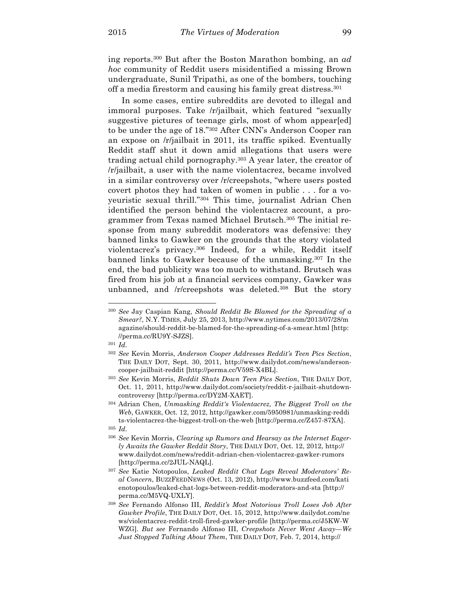ing reports.300 But after the Boston Marathon bombing, an *ad hoc* community of Reddit users misidentified a missing Brown undergraduate, Sunil Tripathi, as one of the bombers, touching off a media firestorm and causing his family great distress.301

In some cases, entire subreddits are devoted to illegal and immoral purposes. Take /r/jailbait, which featured "sexually suggestive pictures of teenage girls, most of whom appear[ed] to be under the age of 18."302 After CNN's Anderson Cooper ran an expose on /r/jailbait in 2011, its traffic spiked. Eventually Reddit staff shut it down amid allegations that users were trading actual child pornography.<sup>303</sup> A year later, the creator of /r/jailbait, a user with the name violentacrez, became involved in a similar controversy over /r/creepshots, "where users posted covert photos they had taken of women in public . . . for a voyeuristic sexual thrill."304 This time, journalist Adrian Chen identified the person behind the violentacrez account, a programmer from Texas named Michael Brutsch.305 The initial response from many subreddit moderators was defensive: they banned links to Gawker on the grounds that the story violated violentacrez's privacy.306 Indeed, for a while, Reddit itself banned links to Gawker because of the unmasking.307 In the end, the bad publicity was too much to withstand. Brutsch was fired from his job at a financial services company, Gawker was unbanned, and /r/creepshots was deleted.<sup>308</sup> But the story

<sup>300</sup> *See* Jay Caspian Kang, *Should Reddit Be Blamed for the Spreading of a Smear?*, N.Y. TIMES, July 25, 2013, http://www.nytimes.com/2013/07/28/m agazine/should-reddit-be-blamed-for-the-spreading-of-a-smear.html [http: //perma.cc/RU9Y-SJZS].

<sup>301</sup> *Id.*

<sup>302</sup> *See* Kevin Morris, *Anderson Cooper Addresses Reddit's Teen Pics Section*, THE DAILY DOT, Sept. 30, 2011, http://www.dailydot.com/news/andersoncooper-jailbait-reddit [http://perma.cc/V59S-X4BL].

<sup>303</sup> *See* Kevin Morris, *Reddit Shuts Down Teen Pics Section*, THE DAILY DOT, Oct. 11, 2011, http://www.dailydot.com/society/reddit-r-jailbait-shutdowncontroversy [http://perma.cc/DY2M-XAET].

<sup>304</sup> Adrian Chen, *Unmasking Reddit's Violentacrez, The Biggest Troll on the Web*, GAWKER, Oct. 12, 2012, http://gawker.com/5950981/unmasking-reddi ts-violentacrez-the-biggest-troll-on-the-web [http://perma.cc/Z457-87XA].

<sup>305</sup> *Id.*

<sup>306</sup> *See* Kevin Morris, *Clearing up Rumors and Hearsay as the Internet Eagerly Awaits the Gawker Reddit Story*, THE DAILY DOT, Oct. 12, 2012, http:// www.dailydot.com/news/reddit-adrian-chen-violentacrez-gawker-rumors [http://perma.cc/2JUL-NAQL].

<sup>307</sup> *See* Katie Notopoulos, *Leaked Reddit Chat Logs Reveal Moderators' Real Concern*, BUZZFEEDNEWS (Oct. 13, 2012), http://www.buzzfeed.com/kati enotopoulos/leaked-chat-logs-between-reddit-moderators-and-sta [http:// perma.cc/M5VQ-UXLY].

<sup>308</sup> *See* Fernando Alfonso III, *Reddit's Most Notorious Troll Loses Job After Gawker Profile*, THE DAILY DOT, Oct. 15, 2012, http://www.dailydot.com/ne ws/violentacrez-reddit-troll-fired-gawker-profile [http://perma.cc/J5KW-W WZG]. *But see* Fernando Alfonso III, *Creepshots Never Went Away—We Just Stopped Talking About Them*, THE DAILY DOT, Feb. 7, 2014, http://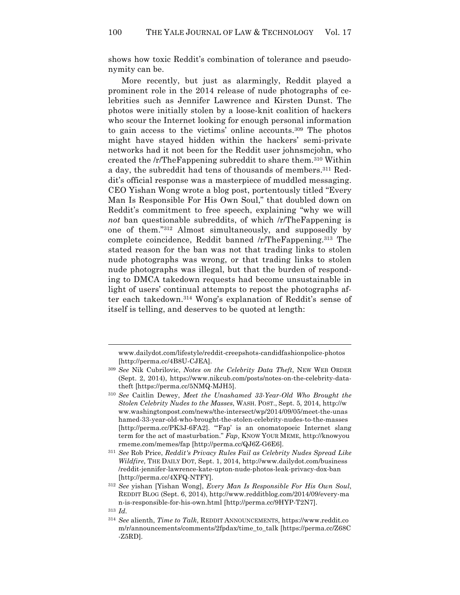shows how toxic Reddit's combination of tolerance and pseudonymity can be.

More recently, but just as alarmingly, Reddit played a prominent role in the 2014 release of nude photographs of celebrities such as Jennifer Lawrence and Kirsten Dunst. The photos were initially stolen by a loose-knit coalition of hackers who scour the Internet looking for enough personal information to gain access to the victims' online accounts.309 The photos might have stayed hidden within the hackers' semi-private networks had it not been for the Reddit user johnsmcjohn, who created the /r/TheFappening subreddit to share them.310 Within a day, the subreddit had tens of thousands of members.<sup>311</sup> Reddit's official response was a masterpiece of muddled messaging. CEO Yishan Wong wrote a blog post, portentously titled "Every Man Is Responsible For His Own Soul," that doubled down on Reddit's commitment to free speech, explaining "why we will *not* ban questionable subreddits, of which /r/TheFappening is one of them."312 Almost simultaneously, and supposedly by complete coincidence, Reddit banned /r/TheFappening.313 The stated reason for the ban was not that trading links to stolen nude photographs was wrong, or that trading links to stolen nude photographs was illegal, but that the burden of responding to DMCA takedown requests had become unsustainable in light of users' continual attempts to repost the photographs after each takedown.314 Wong's explanation of Reddit's sense of itself is telling, and deserves to be quoted at length:

www.dailydot.com/lifestyle/reddit-creepshots-candidfashionpolice-photos [http://perma.cc/4B8U-CJEA].

<sup>309</sup> *See* Nik Cubrilovic, *Notes on the Celebrity Data Theft*, NEW WEB ORDER (Sept. 2, 2014), https://www.nikcub.com/posts/notes-on-the-celebrity-datatheft [https://perma.cc/5NMQ-MJH5].

<sup>310</sup> *See* Caitlin Dewey, *Meet the Unashamed 33-Year-Old Who Brought the Stolen Celebrity Nudes to the Masses*, WASH. POST., Sept. 5, 2014, http://w ww.washingtonpost.com/news/the-intersect/wp/2014/09/05/meet-the-unas hamed-33-year-old-who-brought-the-stolen-celebrity-nudes-to-the-masses [http://perma.cc/PK3J-6FA2]. "'Fap' is an onomatopoeic Internet slang term for the act of masturbation." *Fap*, KNOW YOUR MEME, http://knowyou rmeme.com/memes/fap [http://perma.cc/QJ6Z-G6E6].

<sup>311</sup> *See* Rob Price, *Reddit's Privacy Rules Fail as Celebrity Nudes Spread Like Wildfire*, THE DAILY DOT, Sept. 1, 2014, http://www.dailydot.com/business /reddit-jennifer-lawrence-kate-upton-nude-photos-leak-privacy-dox-ban [http://perma.cc/4XFQ-NTFY].

<sup>312</sup> *See* yishan [Yishan Wong], *Every Man Is Responsible For His Own Soul*, REDDIT BLOG (Sept. 6, 2014), http://www.redditblog.com/2014/09/every-ma n-is-responsible-for-his-own.html [http://perma.cc/9HYP-T2N7]. <sup>313</sup> *Id.*

<sup>314</sup> *See* alienth, *Time to Talk*, REDDIT ANNOUNCEMENTS, https://www.reddit.co m/r/announcements/comments/2fpdax/time\_to\_talk [https://perma.cc/Z68C -Z5RD].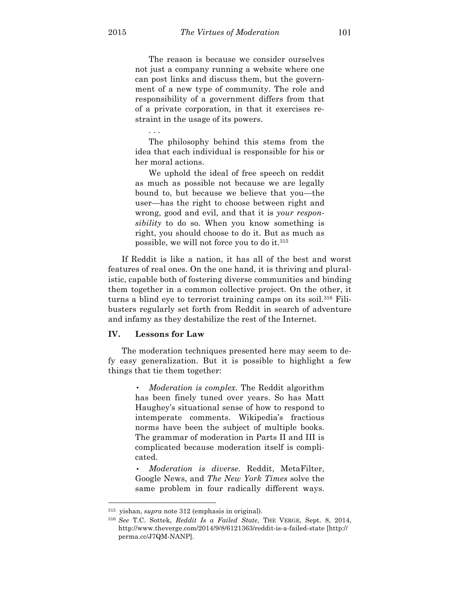The reason is because we consider ourselves not just a company running a website where one can post links and discuss them, but the government of a new type of community. The role and responsibility of a government differs from that of a private corporation, in that it exercises restraint in the usage of its powers.

The philosophy behind this stems from the idea that each individual is responsible for his or her moral actions.

We uphold the ideal of free speech on reddit as much as possible not because we are legally bound to, but because we believe that you—the user—has the right to choose between right and wrong, good and evil, and that it is *your responsibility* to do so. When you know something is right, you should choose to do it. But as much as possible, we will not force you to do it.315

If Reddit is like a nation, it has all of the best and worst features of real ones. On the one hand, it is thriving and pluralistic, capable both of fostering diverse communities and binding them together in a common collective project. On the other, it turns a blind eye to terrorist training camps on its soil.316 Filibusters regularly set forth from Reddit in search of adventure and infamy as they destabilize the rest of the Internet.

# **IV. Lessons for Law**

. . .

The moderation techniques presented here may seem to defy easy generalization. But it is possible to highlight a few things that tie them together:

> • *Moderation is complex*. The Reddit algorithm has been finely tuned over years. So has Matt Haughey's situational sense of how to respond to intemperate comments. Wikipedia's fractious norms have been the subject of multiple books. The grammar of moderation in Parts II and III is complicated because moderation itself is complicated.

> • *Moderation is diverse*. Reddit, MetaFilter, Google News, and *The New York Times* solve the same problem in four radically different ways.

<sup>315</sup> yishan, *supra* note 312 (emphasis in original).

<sup>316</sup> *See* T.C. Sottek, *Reddit Is a Failed State*, THE VERGE, Sept. 8, 2014, http://www.theverge.com/2014/9/8/6121363/reddit-is-a-failed-state [http:// perma.cc/J7QM-NANP].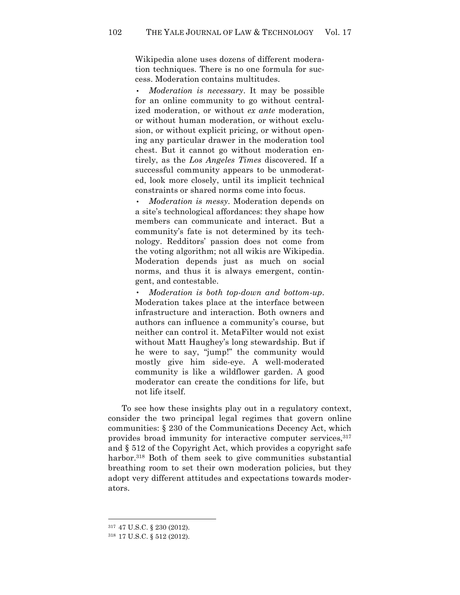Wikipedia alone uses dozens of different moderation techniques. There is no one formula for success. Moderation contains multitudes.

• *Moderation is necessary*. It may be possible for an online community to go without centralized moderation, or without *ex ante* moderation, or without human moderation, or without exclusion, or without explicit pricing, or without opening any particular drawer in the moderation tool chest. But it cannot go without moderation entirely, as the *Los Angeles Times* discovered. If a successful community appears to be unmoderated, look more closely, until its implicit technical constraints or shared norms come into focus.

• *Moderation is messy*. Moderation depends on a site's technological affordances: they shape how members can communicate and interact. But a community's fate is not determined by its technology. Redditors' passion does not come from the voting algorithm; not all wikis are Wikipedia. Moderation depends just as much on social norms, and thus it is always emergent, contingent, and contestable.

• *Moderation is both top-down and bottom-up*. Moderation takes place at the interface between infrastructure and interaction. Both owners and authors can influence a community's course, but neither can control it. MetaFilter would not exist without Matt Haughey's long stewardship. But if he were to say, "jump!" the community would mostly give him side-eye. A well-moderated community is like a wildflower garden. A good moderator can create the conditions for life, but not life itself.

To see how these insights play out in a regulatory context, consider the two principal legal regimes that govern online communities: § 230 of the Communications Decency Act, which provides broad immunity for interactive computer services, 317 and § 512 of the Copyright Act, which provides a copyright safe harbor.<sup>318</sup> Both of them seek to give communities substantial breathing room to set their own moderation policies, but they adopt very different attitudes and expectations towards moderators.

<sup>317</sup> 47 U.S.C. § 230 (2012).

<sup>318</sup> 17 U.S.C. § 512 (2012).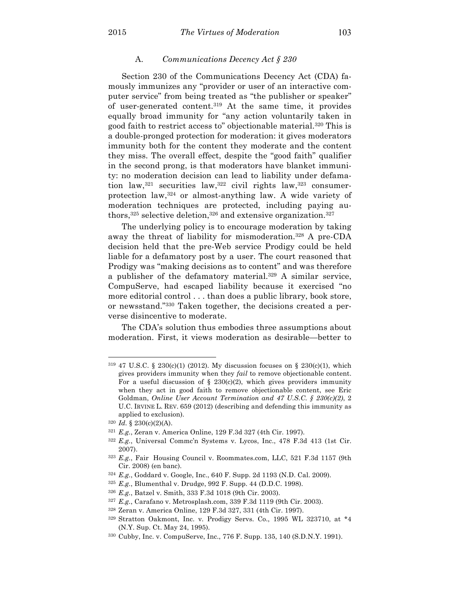#### A. *Communications Decency Act § 230*

Section 230 of the Communications Decency Act (CDA) famously immunizes any "provider or user of an interactive computer service" from being treated as "the publisher or speaker" of user-generated content.319 At the same time, it provides equally broad immunity for "any action voluntarily taken in good faith to restrict access to" objectionable material.320 This is a double-pronged protection for moderation: it gives moderators immunity both for the content they moderate and the content they miss. The overall effect, despite the "good faith" qualifier in the second prong, is that moderators have blanket immunity: no moderation decision can lead to liability under defamation law,  $321$  securities law,  $322$  civil rights law,  $323$  consumerprotection law,324 or almost-anything law. A wide variety of moderation techniques are protected, including paying authors,<sup>325</sup> selective deletion,<sup>326</sup> and extensive organization.<sup>327</sup>

The underlying policy is to encourage moderation by taking away the threat of liability for mismoderation.328 A pre-CDA decision held that the pre-Web service Prodigy could be held liable for a defamatory post by a user. The court reasoned that Prodigy was "making decisions as to content" and was therefore a publisher of the defamatory material.329 A similar service, CompuServe, had escaped liability because it exercised "no more editorial control . . . than does a public library, book store, or newsstand."330 Taken together, the decisions created a perverse disincentive to moderate.

The CDA's solution thus embodies three assumptions about moderation. First, it views moderation as desirable—better to

<sup>&</sup>lt;sup>319</sup> 47 U.S.C. § 230(c)(1) (2012). My discussion focuses on § 230(c)(1), which gives providers immunity when they *fail* to remove objectionable content. For a useful discussion of § 230(c)(2), which gives providers immunity when they act in good faith to remove objectionable content, see Eric Goldman, *Online User Account Termination and 47 U.S.C. § 230(c)(2)*, 2 U.C. IRVINE L. REV. 659 (2012) (describing and defending this immunity as applied to exclusion).

<sup>320</sup> *Id.* § 230(c)(2)(A).

<sup>321</sup> *E.g.*, Zeran v. America Online, 129 F.3d 327 (4th Cir. 1997).

<sup>322</sup> *E.g.*, Universal Commc'n Systems v. Lycos, Inc., 478 F.3d 413 (1st Cir. 2007).

<sup>323</sup> *E.g.*, Fair Housing Council v. Roommates.com, LLC, 521 F.3d 1157 (9th Cir. 2008) (en banc).

<sup>324</sup> *E.g.*, Goddard v. Google, Inc., 640 F. Supp. 2d 1193 (N.D. Cal. 2009).

<sup>325</sup> *E.g.*, Blumenthal v. Drudge, 992 F. Supp. 44 (D.D.C. 1998).

<sup>326</sup> *E.g.*, Batzel v. Smith, 333 F.3d 1018 (9th Cir. 2003).

<sup>327</sup> *E.g.*, Carafano v. Metrosplash.com, 339 F.3d 1119 (9th Cir. 2003).

<sup>328</sup> Zeran v. America Online, 129 F.3d 327, 331 (4th Cir. 1997).

<sup>329</sup> Stratton Oakmont, Inc. v. Prodigy Servs. Co., 1995 WL 323710, at \*4 (N.Y. Sup. Ct. May 24, 1995).

<sup>330</sup> Cubby, Inc. v. CompuServe, Inc., 776 F. Supp. 135, 140 (S.D.N.Y. 1991).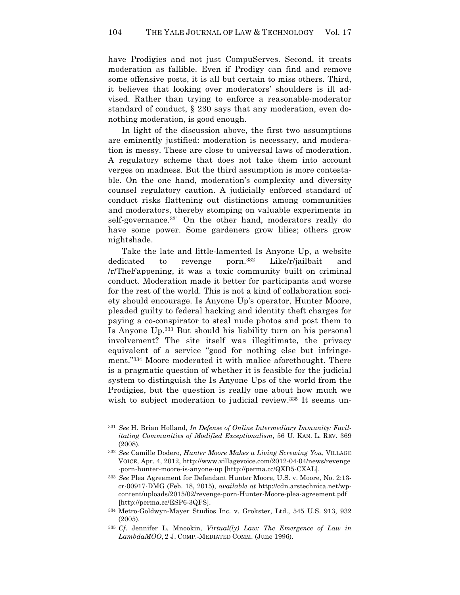have Prodigies and not just CompuServes. Second, it treats moderation as fallible. Even if Prodigy can find and remove some offensive posts, it is all but certain to miss others. Third, it believes that looking over moderators' shoulders is ill advised. Rather than trying to enforce a reasonable-moderator standard of conduct, § 230 says that any moderation, even donothing moderation, is good enough.

In light of the discussion above, the first two assumptions are eminently justified: moderation is necessary, and moderation is messy. These are close to universal laws of moderation. A regulatory scheme that does not take them into account verges on madness. But the third assumption is more contestable. On the one hand, moderation's complexity and diversity counsel regulatory caution. A judicially enforced standard of conduct risks flattening out distinctions among communities and moderators, thereby stomping on valuable experiments in self-governance.331 On the other hand, moderators really do have some power. Some gardeners grow lilies; others grow nightshade.

Take the late and little-lamented Is Anyone Up, a website dedicated to revenge porn.332 Like/r/jailbait and /r/TheFappening, it was a toxic community built on criminal conduct. Moderation made it better for participants and worse for the rest of the world. This is not a kind of collaboration society should encourage. Is Anyone Up's operator, Hunter Moore, pleaded guilty to federal hacking and identity theft charges for paying a co-conspirator to steal nude photos and post them to Is Anyone Up.333 But should his liability turn on his personal involvement? The site itself was illegitimate, the privacy equivalent of a service "good for nothing else but infringement."334 Moore moderated it with malice aforethought. There is a pragmatic question of whether it is feasible for the judicial system to distinguish the Is Anyone Ups of the world from the Prodigies, but the question is really one about how much we wish to subject moderation to judicial review.<sup>335</sup> It seems un-

<sup>331</sup> *See* H. Brian Holland, *In Defense of Online Intermediary Immunity: Facilitating Communities of Modified Exceptionalism*, 56 U. KAN. L. REV. 369 (2008).

<sup>332</sup> *See* Camille Dodero, *Hunter Moore Makes a Living Screwing You*, VILLAGE VOICE, Apr. 4, 2012, http://www.villagevoice.com/2012-04-04/news/revenge -porn-hunter-moore-is-anyone-up [http://perma.cc/QXD5-CXAL].

<sup>333</sup> *See* Plea Agreement for Defendant Hunter Moore, U.S. v. Moore, No. 2:13 cr-00917-DMG (Feb. 18, 2015), *available at* http://cdn.arstechnica.net/wpcontent/uploads/2015/02/revenge-porn-Hunter-Moore-plea-agreement.pdf [http://perma.cc/ESP6-3QFS].

<sup>334</sup> Metro-Goldwyn-Mayer Studios Inc. v. Grokster, Ltd., 545 U.S. 913, 932 (2005).

<sup>335</sup> *Cf*. Jennifer L. Mnookin, *Virtual(ly) Law: The Emergence of Law in LambdaMOO*, 2 J. COMP.-MEDIATED COMM. (June 1996).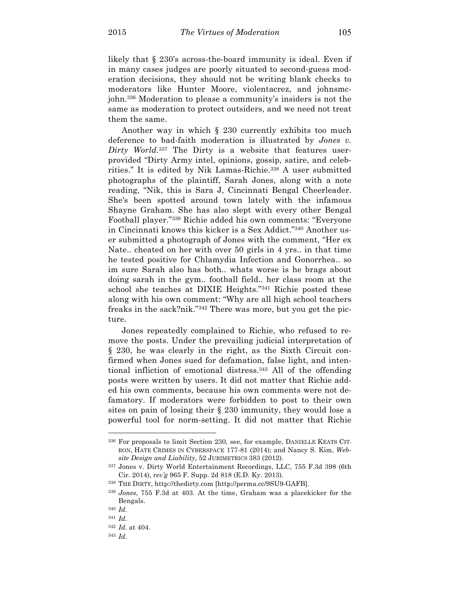likely that § 230's across-the-board immunity is ideal. Even if in many cases judges are poorly situated to second-guess moderation decisions, they should not be writing blank checks to moderators like Hunter Moore, violentacrez, and johnsmcjohn.336 Moderation to please a community's insiders is not the same as moderation to protect outsiders, and we need not treat them the same.

Another way in which § 230 currently exhibits too much deference to bad-faith moderation is illustrated by *Jones v. Dirty World*. <sup>337</sup> The Dirty is a website that features userprovided "Dirty Army intel, opinions, gossip, satire, and celebrities." It is edited by Nik Lamas-Richie.338 A user submitted photographs of the plaintiff, Sarah Jones, along with a note reading, "Nik, this is Sara J, Cincinnati Bengal Cheerleader. She's been spotted around town lately with the infamous Shayne Graham. She has also slept with every other Bengal Football player."339 Richie added his own comments: "Everyone in Cincinnati knows this kicker is a Sex Addict."340 Another user submitted a photograph of Jones with the comment, "Her ex Nate.. cheated on her with over 50 girls in 4 yrs.. in that time he tested positive for Chlamydia Infection and Gonorrhea.. so im sure Sarah also has both.. whats worse is he brags about doing sarah in the gym.. football field.. her class room at the school she teaches at DIXIE Heights."341 Richie posted these along with his own comment: "Why are all high school teachers freaks in the sack?nik."342 There was more, but you get the picture.

Jones repeatedly complained to Richie, who refused to remove the posts. Under the prevailing judicial interpretation of § 230, he was clearly in the right, as the Sixth Circuit confirmed when Jones sued for defamation, false light, and intentional infliction of emotional distress.343 All of the offending posts were written by users. It did not matter that Richie added his own comments, because his own comments were not defamatory. If moderators were forbidden to post to their own sites on pain of losing their § 230 immunity, they would lose a powerful tool for norm-setting. It did not matter that Richie

<sup>336</sup> For proposals to limit Section 230, see, for example, DANIELLE KEATS CIT-RON, HATE CRIMES IN CYBERSPACE 177-81 (2014); and Nancy S. Kim, *Website Design and Liability*, 52 JURIMETRICS 383 (2012).

<sup>337</sup> Jones v. Dirty World Entertainment Recordings, LLC, 755 F.3d 398 (6th Cir. 2014), *rev'g* 965 F. Supp. 2d 818 (E.D. Ky. 2013).

<sup>338</sup> THE DIRTY, http://thedirty.com [http://perma.cc/9SU9-GAFB].

<sup>339</sup> *Jones*, 755 F.3d at 403. At the time, Graham was a placekicker for the Bengals.

<sup>340</sup> *Id.*

<sup>341</sup> *Id.*

<sup>342</sup> *Id.* at 404.

<sup>343</sup> *Id.*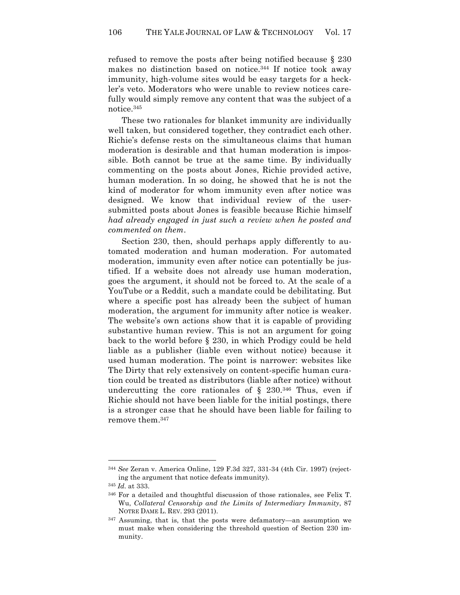refused to remove the posts after being notified because § 230 makes no distinction based on notice. <sup>344</sup> If notice took away immunity, high-volume sites would be easy targets for a heckler's veto. Moderators who were unable to review notices carefully would simply remove any content that was the subject of a notice.345

These two rationales for blanket immunity are individually well taken, but considered together, they contradict each other. Richie's defense rests on the simultaneous claims that human moderation is desirable and that human moderation is impossible. Both cannot be true at the same time. By individually commenting on the posts about Jones, Richie provided active, human moderation. In so doing, he showed that he is not the kind of moderator for whom immunity even after notice was designed. We know that individual review of the usersubmitted posts about Jones is feasible because Richie himself *had already engaged in just such a review when he posted and commented on them*.

Section 230, then, should perhaps apply differently to automated moderation and human moderation. For automated moderation, immunity even after notice can potentially be justified. If a website does not already use human moderation, goes the argument, it should not be forced to. At the scale of a YouTube or a Reddit, such a mandate could be debilitating. But where a specific post has already been the subject of human moderation, the argument for immunity after notice is weaker. The website's own actions show that it is capable of providing substantive human review. This is not an argument for going back to the world before § 230, in which Prodigy could be held liable as a publisher (liable even without notice) because it used human moderation. The point is narrower: websites like The Dirty that rely extensively on content-specific human curation could be treated as distributors (liable after notice) without undercutting the core rationales of  $\S$  230.<sup>346</sup> Thus, even if Richie should not have been liable for the initial postings, there is a stronger case that he should have been liable for failing to remove them.347

<sup>344</sup> *See* Zeran v. America Online, 129 F.3d 327, 331-34 (4th Cir. 1997) (rejecting the argument that notice defeats immunity).

<sup>345</sup> *Id.* at 333.

<sup>346</sup> For a detailed and thoughtful discussion of those rationales, see Felix T. Wu, *Collateral Censorship and the Limits of Intermediary Immunity*, 87 NOTRE DAME L. REV. 293 (2011).

<sup>347</sup> Assuming, that is, that the posts were defamatory—an assumption we must make when considering the threshold question of Section 230 immunity.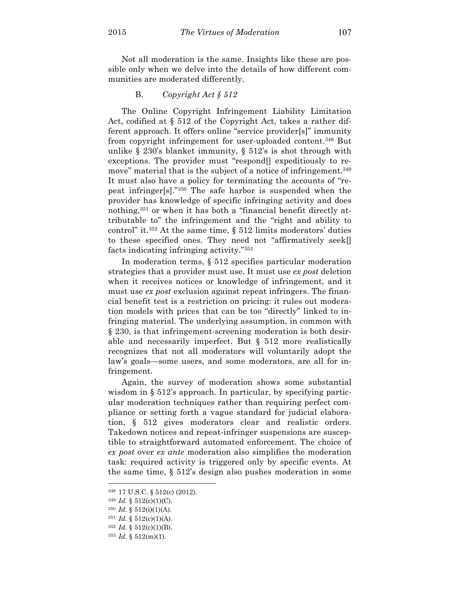Not all moderation is the same. Insights like these are possible only when we delve into the details of how different communities are moderated differently.

## B. *Copyright Act § 512*

The Online Copyright Infringement Liability Limitation Act, codified at § 512 of the Copyright Act, takes a rather different approach. It offers online "service provider[s]" immunity from copyright infringement for user-uploaded content.348 But unlike § 230's blanket immunity, § 512's is shot through with exceptions. The provider must "respond[] expeditiously to remove" material that is the subject of a notice of infringement.<sup>349</sup> It must also have a policy for terminating the accounts of "repeat infringer[s]."350 The safe harbor is suspended when the provider has knowledge of specific infringing activity and does nothing,351 or when it has both a "financial benefit directly attributable to" the infringement and the "right and ability to control" it. $352$  At the same time, § 512 limits moderators' duties to these specified ones. They need not "affirmatively seek[] facts indicating infringing activity."353

In moderation terms, § 512 specifies particular moderation strategies that a provider must use. It must use *ex post* deletion when it receives notices or knowledge of infringement, and it must use *ex post* exclusion against repeat infringers. The financial benefit test is a restriction on pricing: it rules out moderation models with prices that can be too "directly" linked to infringing material. The underlying assumption, in common with § 230, is that infringement-screening moderation is both desirable and necessarily imperfect. But § 512 more realistically recognizes that not all moderators will voluntarily adopt the law's goals—some users, and some moderators, are all for infringement.

Again, the survey of moderation shows some substantial wisdom in § 512's approach. In particular, by specifying particular moderation techniques rather than requiring perfect compliance or setting forth a vague standard for judicial elaboration, § 512 gives moderators clear and realistic orders. Takedown notices and repeat-infringer suspensions are susceptible to straightforward automated enforcement. The choice of *ex post* over *ex ante* moderation also simplifies the moderation task: required activity is triggered only by specific events. At the same time, § 512's design also pushes moderation in some

<sup>348</sup> 17 U.S.C. § 512(c) (2012).

<sup>349</sup> *Id.* § 512(c)(1)(C).

 $350$  *Id.* §  $512(i)(1)(A)$ .

<sup>351</sup> *Id.* § 512(c)(1)(A).

 $352$  *Id.* §  $512(c)(1)(B)$ .

<sup>353</sup> *Id.* § 512(m)(1).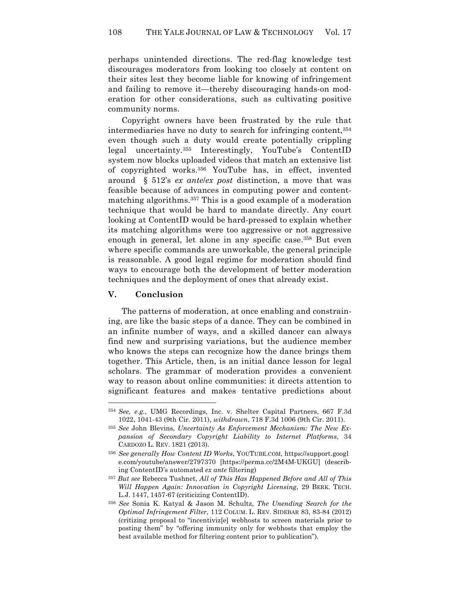perhaps unintended directions. The red-flag knowledge test discourages moderators from looking too closely at content on their sites lest they become liable for knowing of infringement and failing to remove it—thereby discouraging hands-on moderation for other considerations, such as cultivating positive community norms.

Copyright owners have been frustrated by the rule that intermediaries have no duty to search for infringing content, 354 even though such a duty would create potentially crippling legal uncertainty.355 Interestingly, YouTube's ContentID system now blocks uploaded videos that match an extensive list of copyrighted works.356 YouTube has, in effect, invented around § 512's *ex ante*/*ex post* distinction, a move that was feasible because of advances in computing power and contentmatching algorithms.357 This is a good example of a moderation technique that would be hard to mandate directly. Any court looking at ContentID would be hard-pressed to explain whether its matching algorithms were too aggressive or not aggressive enough in general, let alone in any specific case.<sup>358</sup> But even where specific commands are unworkable, the general principle is reasonable. A good legal regime for moderation should find ways to encourage both the development of better moderation techniques and the deployment of ones that already exist.

## **V. Conclusion**

 $\overline{a}$ 

The patterns of moderation, at once enabling and constraining, are like the basic steps of a dance. They can be combined in an infinite number of ways, and a skilled dancer can always find new and surprising variations, but the audience member who knows the steps can recognize how the dance brings them together. This Article, then, is an initial dance lesson for legal scholars. The grammar of moderation provides a convenient way to reason about online communities: it directs attention to significant features and makes tentative predictions about

<sup>354</sup> *See, e.g.*, UMG Recordings, Inc. v. Shelter Capital Partners, 667 F.3d 1022, 1041-43 (9th Cir. 2011), *withdrawn*, 718 F.3d 1006 (9th Cir. 2011).

<sup>355</sup> *See* John Blevins, *Uncertainty As Enforcement Mechanism: The New Expansion of Secondary Copyright Liability to Internet Platforms*, 34 CARDOZO L. REV. 1821 (2013).

<sup>356</sup> *See generally How Content ID Works*, YOUTUBE.COM, https://support.googl e.com/youtube/answer/2797370 [https://perma.cc/2M4M-UKGU] (describing ContentID's automated *ex ante* filtering)

<sup>357</sup> *But see* Rebecca Tushnet, *All of This Has Happened Before and All of This Will Happen Again: Innovation in Copyright Licensing*, 29 BERK. TECH. L.J. 1447, 1457-67 (criticizing ContentID).

<sup>358</sup> *See* Sonia K. Katyal & Jason M. Schultz, *The Unending Search for the Optimal Infringement Filter*, 112 COLUM. L. REV. SIDEBAR 83, 83-84 (2012) (critizing proposal to "incentiviz[e] webhosts to screen materials prior to posting them" by "offering immunity only for webhosts that employ the best available method for filtering content prior to publication").